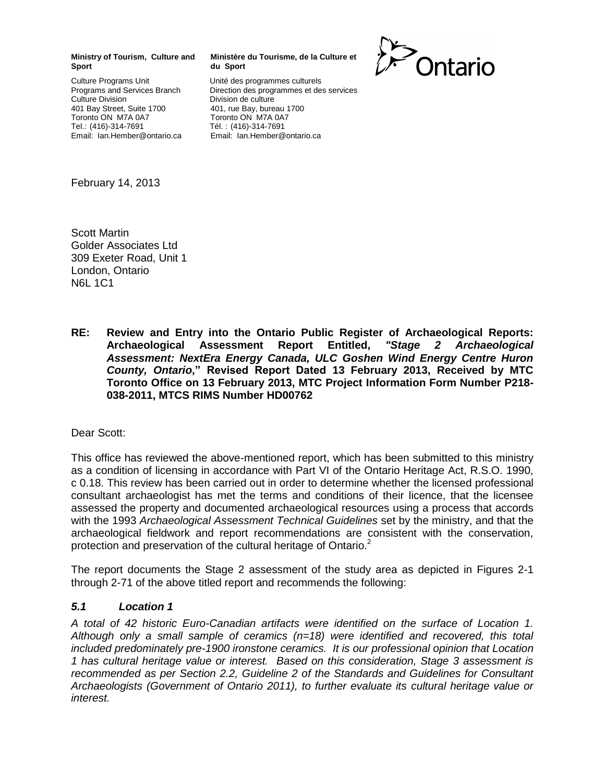#### **Ministry of Tourism, Culture and Sport**

Culture Programs Unit Programs and Services Branch Culture Division 401 Bay Street, Suite 1700 Toronto ON M7A 0A7 Tel.: (416)-314-7691 Email: Ian.Hember@ontario.ca

#### **Ministère du Tourisme, de la Culture et du Sport**

Unité des programmes culturels Direction des programmes et des services Division de culture 401, rue Bay, bureau 1700 Toronto ON M7A 0A7 Tél. : (416)-314-7691 Email: Ian.Hember@ontario.ca



February 14, 2013

Scott Martin Golder Associates Ltd 309 Exeter Road, Unit 1 London, Ontario N6L 1C1

**RE: Review and Entry into the Ontario Public Register of Archaeological Reports: Archaeological Assessment Report Entitled,** *"Stage 2 Archaeological Assessment: NextEra Energy Canada, ULC Goshen Wind Energy Centre Huron County, Ontario***," Revised Report Dated 13 February 2013, Received by MTC Toronto Office on 13 February 2013, MTC Project Information Form Number P218- 038-2011, MTCS RIMS Number HD00762**

#### Dear Scott:

This office has reviewed the above-mentioned report, which has been submitted to this ministry as a condition of licensing in accordance with Part VI of the Ontario Heritage Act, R.S.O. 1990, c 0.18. This review has been carried out in order to determine whether the licensed professional consultant archaeologist has met the terms and conditions of their licence, that the licensee assessed the property and documented archaeological resources using a process that accords with the 1993 *Archaeological Assessment Technical Guidelines* set by the ministry, and that the archaeological fieldwork and report recommendations are consistent with the conservation, protection and preservation of the cultural heritage of Ontario.<sup>2</sup>

The report documents the Stage 2 assessment of the study area as depicted in Figures 2-1 through 2-71 of the above titled report and recommends the following:

#### *5.1 Location 1*

*A total of 42 historic Euro-Canadian artifacts were identified on the surface of Location 1. Although only a small sample of ceramics (n=18) were identified and recovered, this total included predominately pre-1900 ironstone ceramics. It is our professional opinion that Location 1 has cultural heritage value or interest. Based on this consideration, Stage 3 assessment is recommended as per Section 2.2, Guideline 2 of the Standards and Guidelines for Consultant Archaeologists (Government of Ontario 2011), to further evaluate its cultural heritage value or interest.*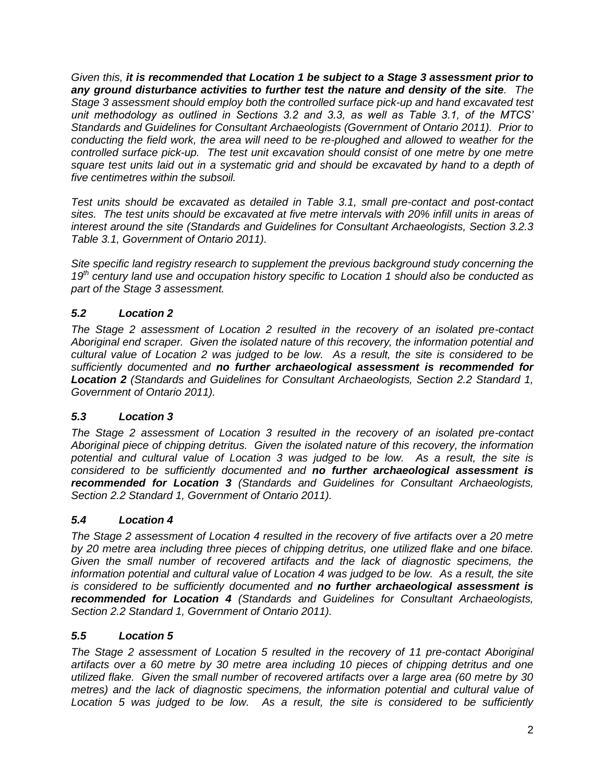*Given this, it is recommended that Location 1 be subject to a Stage 3 assessment prior to any ground disturbance activities to further test the nature and density of the site. The Stage 3 assessment should employ both the controlled surface pick-up and hand excavated test unit methodology as outlined in Sections 3.2 and 3.3, as well as Table 3.1, of the MTCS' Standards and Guidelines for Consultant Archaeologists (Government of Ontario 2011). Prior to conducting the field work, the area will need to be re-ploughed and allowed to weather for the controlled surface pick-up. The test unit excavation should consist of one metre by one metre square test units laid out in a systematic grid and should be excavated by hand to a depth of five centimetres within the subsoil.* 

*Test units should be excavated as detailed in Table 3.1, small pre-contact and post-contact sites. The test units should be excavated at five metre intervals with 20% infill units in areas of interest around the site (Standards and Guidelines for Consultant Archaeologists, Section 3.2.3 Table 3.1, Government of Ontario 2011).* 

*Site specific land registry research to supplement the previous background study concerning the 19th century land use and occupation history specific to Location 1 should also be conducted as part of the Stage 3 assessment.*

# *5.2 Location 2*

*The Stage 2 assessment of Location 2 resulted in the recovery of an isolated pre-contact Aboriginal end scraper. Given the isolated nature of this recovery, the information potential and cultural value of Location 2 was judged to be low. As a result, the site is considered to be sufficiently documented and no further archaeological assessment is recommended for Location 2 (Standards and Guidelines for Consultant Archaeologists, Section 2.2 Standard 1, Government of Ontario 2011).*

# *5.3 Location 3*

*The Stage 2 assessment of Location 3 resulted in the recovery of an isolated pre-contact Aboriginal piece of chipping detritus. Given the isolated nature of this recovery, the information potential and cultural value of Location 3 was judged to be low. As a result, the site is considered to be sufficiently documented and no further archaeological assessment is recommended for Location 3 (Standards and Guidelines for Consultant Archaeologists, Section 2.2 Standard 1, Government of Ontario 2011).*

# *5.4 Location 4*

*The Stage 2 assessment of Location 4 resulted in the recovery of five artifacts over a 20 metre by 20 metre area including three pieces of chipping detritus, one utilized flake and one biface. Given the small number of recovered artifacts and the lack of diagnostic specimens, the information potential and cultural value of Location 4 was judged to be low. As a result, the site is considered to be sufficiently documented and no further archaeological assessment is recommended for Location 4 (Standards and Guidelines for Consultant Archaeologists, Section 2.2 Standard 1, Government of Ontario 2011).*

# *5.5 Location 5*

*The Stage 2 assessment of Location 5 resulted in the recovery of 11 pre-contact Aboriginal artifacts over a 60 metre by 30 metre area including 10 pieces of chipping detritus and one utilized flake. Given the small number of recovered artifacts over a large area (60 metre by 30 metres) and the lack of diagnostic specimens, the information potential and cultural value of Location 5 was judged to be low. As a result, the site is considered to be sufficiently*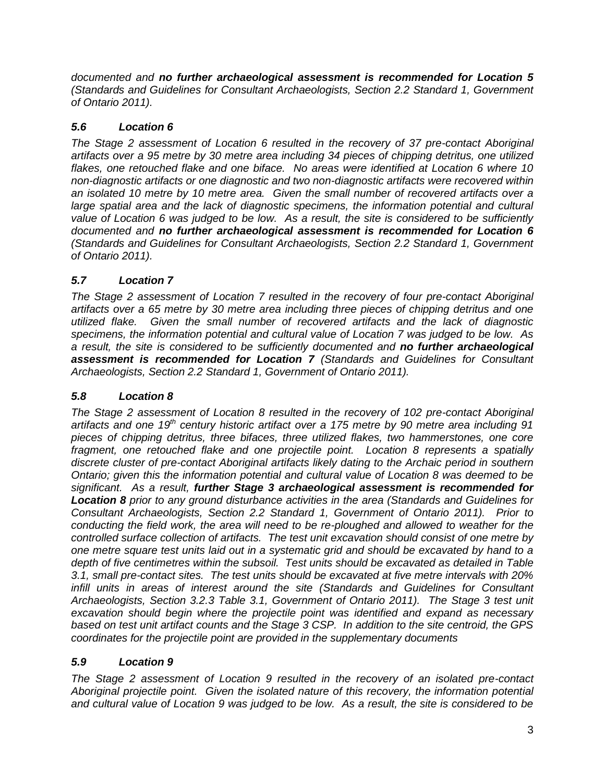*documented and no further archaeological assessment is recommended for Location 5 (Standards and Guidelines for Consultant Archaeologists, Section 2.2 Standard 1, Government of Ontario 2011).* 

# *5.6 Location 6*

*The Stage 2 assessment of Location 6 resulted in the recovery of 37 pre-contact Aboriginal artifacts over a 95 metre by 30 metre area including 34 pieces of chipping detritus, one utilized flakes, one retouched flake and one biface. No areas were identified at Location 6 where 10 non-diagnostic artifacts or one diagnostic and two non-diagnostic artifacts were recovered within an isolated 10 metre by 10 metre area. Given the small number of recovered artifacts over a large spatial area and the lack of diagnostic specimens, the information potential and cultural value of Location 6 was judged to be low. As a result, the site is considered to be sufficiently documented and no further archaeological assessment is recommended for Location 6 (Standards and Guidelines for Consultant Archaeologists, Section 2.2 Standard 1, Government of Ontario 2011).*

# *5.7 Location 7*

*The Stage 2 assessment of Location 7 resulted in the recovery of four pre-contact Aboriginal artifacts over a 65 metre by 30 metre area including three pieces of chipping detritus and one utilized flake. Given the small number of recovered artifacts and the lack of diagnostic specimens, the information potential and cultural value of Location 7 was judged to be low. As a result, the site is considered to be sufficiently documented and no further archaeological assessment is recommended for Location 7 (Standards and Guidelines for Consultant Archaeologists, Section 2.2 Standard 1, Government of Ontario 2011).*

# *5.8 Location 8*

*The Stage 2 assessment of Location 8 resulted in the recovery of 102 pre-contact Aboriginal artifacts and one 19th century historic artifact over a 175 metre by 90 metre area including 91 pieces of chipping detritus, three bifaces, three utilized flakes, two hammerstones, one core fragment, one retouched flake and one projectile point. Location 8 represents a spatially discrete cluster of pre-contact Aboriginal artifacts likely dating to the Archaic period in southern Ontario; given this the information potential and cultural value of Location 8 was deemed to be significant. As a result, further Stage 3 archaeological assessment is recommended for Location 8 prior to any ground disturbance activities in the area (Standards and Guidelines for Consultant Archaeologists, Section 2.2 Standard 1, Government of Ontario 2011). Prior to conducting the field work, the area will need to be re-ploughed and allowed to weather for the controlled surface collection of artifacts. The test unit excavation should consist of one metre by one metre square test units laid out in a systematic grid and should be excavated by hand to a depth of five centimetres within the subsoil. Test units should be excavated as detailed in Table 3.1, small pre-contact sites. The test units should be excavated at five metre intervals with 20%*  infill units in areas of interest around the site (Standards and Guidelines for Consultant *Archaeologists, Section 3.2.3 Table 3.1, Government of Ontario 2011). The Stage 3 test unit excavation should begin where the projectile point was identified and expand as necessary based on test unit artifact counts and the Stage 3 CSP. In addition to the site centroid, the GPS coordinates for the projectile point are provided in the supplementary documents* 

# *5.9 Location 9*

*The Stage 2 assessment of Location 9 resulted in the recovery of an isolated pre-contact Aboriginal projectile point. Given the isolated nature of this recovery, the information potential and cultural value of Location 9 was judged to be low. As a result, the site is considered to be*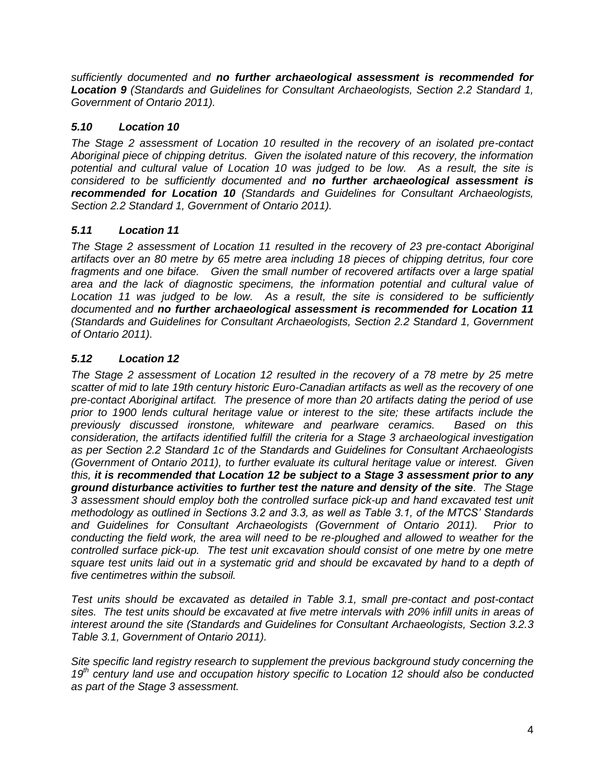*sufficiently documented and no further archaeological assessment is recommended for Location 9 (Standards and Guidelines for Consultant Archaeologists, Section 2.2 Standard 1, Government of Ontario 2011).*

# *5.10 Location 10*

*The Stage 2 assessment of Location 10 resulted in the recovery of an isolated pre-contact Aboriginal piece of chipping detritus. Given the isolated nature of this recovery, the information potential and cultural value of Location 10 was judged to be low. As a result, the site is considered to be sufficiently documented and no further archaeological assessment is recommended for Location 10 (Standards and Guidelines for Consultant Archaeologists, Section 2.2 Standard 1, Government of Ontario 2011).*

# *5.11 Location 11*

*The Stage 2 assessment of Location 11 resulted in the recovery of 23 pre-contact Aboriginal artifacts over an 80 metre by 65 metre area including 18 pieces of chipping detritus, four core fragments and one biface. Given the small number of recovered artifacts over a large spatial area and the lack of diagnostic specimens, the information potential and cultural value of Location 11 was judged to be low. As a result, the site is considered to be sufficiently documented and no further archaeological assessment is recommended for Location 11 (Standards and Guidelines for Consultant Archaeologists, Section 2.2 Standard 1, Government of Ontario 2011).*

# *5.12 Location 12*

*The Stage 2 assessment of Location 12 resulted in the recovery of a 78 metre by 25 metre scatter of mid to late 19th century historic Euro-Canadian artifacts as well as the recovery of one pre-contact Aboriginal artifact. The presence of more than 20 artifacts dating the period of use prior to 1900 lends cultural heritage value or interest to the site; these artifacts include the previously discussed ironstone, whiteware and pearlware ceramics. Based on this consideration, the artifacts identified fulfill the criteria for a Stage 3 archaeological investigation as per Section 2.2 Standard 1c of the Standards and Guidelines for Consultant Archaeologists (Government of Ontario 2011), to further evaluate its cultural heritage value or interest. Given this, it is recommended that Location 12 be subject to a Stage 3 assessment prior to any ground disturbance activities to further test the nature and density of the site. The Stage 3 assessment should employ both the controlled surface pick-up and hand excavated test unit methodology as outlined in Sections 3.2 and 3.3, as well as Table 3.1, of the MTCS' Standards and Guidelines for Consultant Archaeologists (Government of Ontario 2011). Prior to conducting the field work, the area will need to be re-ploughed and allowed to weather for the controlled surface pick-up. The test unit excavation should consist of one metre by one metre square test units laid out in a systematic grid and should be excavated by hand to a depth of five centimetres within the subsoil.* 

*Test units should be excavated as detailed in Table 3.1, small pre-contact and post-contact sites. The test units should be excavated at five metre intervals with 20% infill units in areas of interest around the site (Standards and Guidelines for Consultant Archaeologists, Section 3.2.3 Table 3.1, Government of Ontario 2011).* 

*Site specific land registry research to supplement the previous background study concerning the 19th century land use and occupation history specific to Location 12 should also be conducted as part of the Stage 3 assessment.*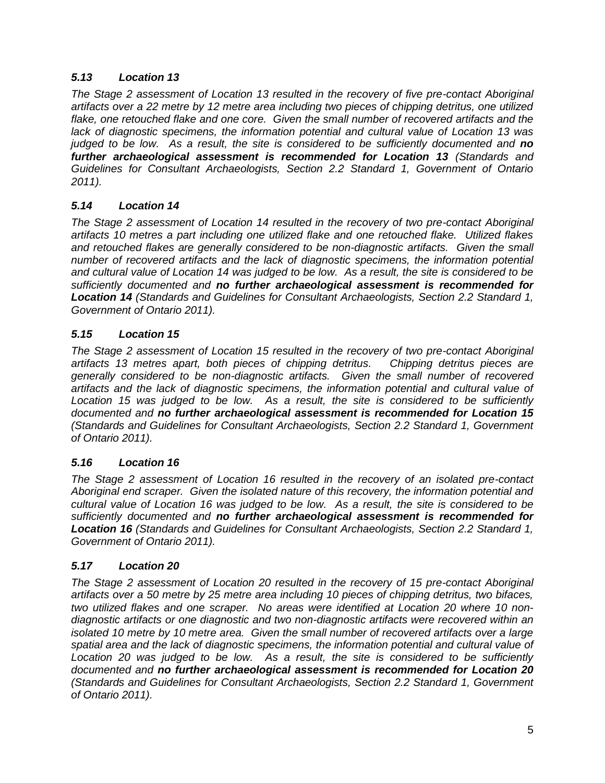# *5.13 Location 13*

*The Stage 2 assessment of Location 13 resulted in the recovery of five pre-contact Aboriginal artifacts over a 22 metre by 12 metre area including two pieces of chipping detritus, one utilized flake, one retouched flake and one core. Given the small number of recovered artifacts and the lack of diagnostic specimens, the information potential and cultural value of Location 13 was judged to be low.* As a result, the site is considered to be sufficiently documented and **no** *further archaeological assessment is recommended for Location 13 (Standards and Guidelines for Consultant Archaeologists, Section 2.2 Standard 1, Government of Ontario 2011).*

### *5.14 Location 14*

*The Stage 2 assessment of Location 14 resulted in the recovery of two pre-contact Aboriginal artifacts 10 metres a part including one utilized flake and one retouched flake. Utilized flakes and retouched flakes are generally considered to be non-diagnostic artifacts. Given the small number of recovered artifacts and the lack of diagnostic specimens, the information potential and cultural value of Location 14 was judged to be low. As a result, the site is considered to be sufficiently documented and no further archaeological assessment is recommended for Location 14 (Standards and Guidelines for Consultant Archaeologists, Section 2.2 Standard 1, Government of Ontario 2011).*

### *5.15 Location 15*

*The Stage 2 assessment of Location 15 resulted in the recovery of two pre-contact Aboriginal artifacts 13 metres apart, both pieces of chipping detritus. Chipping detritus pieces are generally considered to be non-diagnostic artifacts. Given the small number of recovered artifacts and the lack of diagnostic specimens, the information potential and cultural value of Location 15 was judged to be low. As a result, the site is considered to be sufficiently documented and no further archaeological assessment is recommended for Location 15 (Standards and Guidelines for Consultant Archaeologists, Section 2.2 Standard 1, Government of Ontario 2011).*

#### *5.16 Location 16*

*The Stage 2 assessment of Location 16 resulted in the recovery of an isolated pre-contact Aboriginal end scraper. Given the isolated nature of this recovery, the information potential and cultural value of Location 16 was judged to be low. As a result, the site is considered to be sufficiently documented and no further archaeological assessment is recommended for Location 16 (Standards and Guidelines for Consultant Archaeologists, Section 2.2 Standard 1, Government of Ontario 2011).*

#### *5.17 Location 20*

*The Stage 2 assessment of Location 20 resulted in the recovery of 15 pre-contact Aboriginal artifacts over a 50 metre by 25 metre area including 10 pieces of chipping detritus, two bifaces, two utilized flakes and one scraper. No areas were identified at Location 20 where 10 nondiagnostic artifacts or one diagnostic and two non-diagnostic artifacts were recovered within an isolated 10 metre by 10 metre area. Given the small number of recovered artifacts over a large spatial area and the lack of diagnostic specimens, the information potential and cultural value of Location 20 was judged to be low. As a result, the site is considered to be sufficiently documented and no further archaeological assessment is recommended for Location 20 (Standards and Guidelines for Consultant Archaeologists, Section 2.2 Standard 1, Government of Ontario 2011).*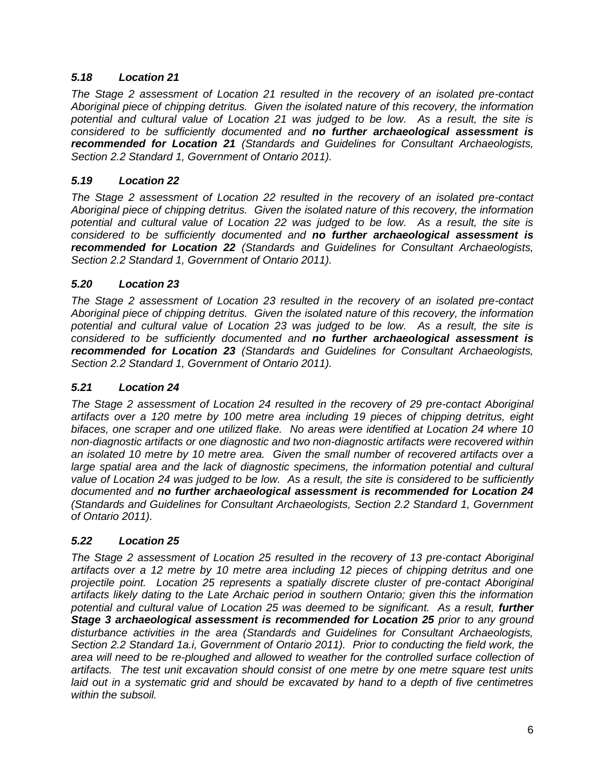# *5.18 Location 21*

*The Stage 2 assessment of Location 21 resulted in the recovery of an isolated pre-contact Aboriginal piece of chipping detritus. Given the isolated nature of this recovery, the information potential and cultural value of Location 21 was judged to be low. As a result, the site is considered to be sufficiently documented and no further archaeological assessment is recommended for Location 21 (Standards and Guidelines for Consultant Archaeologists, Section 2.2 Standard 1, Government of Ontario 2011).*

### *5.19 Location 22*

*The Stage 2 assessment of Location 22 resulted in the recovery of an isolated pre-contact Aboriginal piece of chipping detritus. Given the isolated nature of this recovery, the information potential and cultural value of Location 22 was judged to be low. As a result, the site is considered to be sufficiently documented and no further archaeological assessment is recommended for Location 22 (Standards and Guidelines for Consultant Archaeologists, Section 2.2 Standard 1, Government of Ontario 2011).*

### *5.20 Location 23*

*The Stage 2 assessment of Location 23 resulted in the recovery of an isolated pre-contact Aboriginal piece of chipping detritus. Given the isolated nature of this recovery, the information potential and cultural value of Location 23 was judged to be low. As a result, the site is considered to be sufficiently documented and no further archaeological assessment is recommended for Location 23 (Standards and Guidelines for Consultant Archaeologists, Section 2.2 Standard 1, Government of Ontario 2011).*

#### *5.21 Location 24*

*The Stage 2 assessment of Location 24 resulted in the recovery of 29 pre-contact Aboriginal artifacts over a 120 metre by 100 metre area including 19 pieces of chipping detritus, eight bifaces, one scraper and one utilized flake. No areas were identified at Location 24 where 10 non-diagnostic artifacts or one diagnostic and two non-diagnostic artifacts were recovered within an isolated 10 metre by 10 metre area. Given the small number of recovered artifacts over a large spatial area and the lack of diagnostic specimens, the information potential and cultural value of Location 24 was judged to be low. As a result, the site is considered to be sufficiently documented and no further archaeological assessment is recommended for Location 24 (Standards and Guidelines for Consultant Archaeologists, Section 2.2 Standard 1, Government of Ontario 2011).*

#### *5.22 Location 25*

*The Stage 2 assessment of Location 25 resulted in the recovery of 13 pre-contact Aboriginal artifacts over a 12 metre by 10 metre area including 12 pieces of chipping detritus and one projectile point. Location 25 represents a spatially discrete cluster of pre-contact Aboriginal artifacts likely dating to the Late Archaic period in southern Ontario; given this the information*  potential and cultural value of Location 25 was deemed to be significant. As a result, **further Stage 3 archaeological assessment is recommended for Location 25** prior to any ground *disturbance activities in the area (Standards and Guidelines for Consultant Archaeologists, Section 2.2 Standard 1a.i, Government of Ontario 2011). Prior to conducting the field work, the area will need to be re-ploughed and allowed to weather for the controlled surface collection of artifacts. The test unit excavation should consist of one metre by one metre square test units laid out in a systematic grid and should be excavated by hand to a depth of five centimetres within the subsoil.*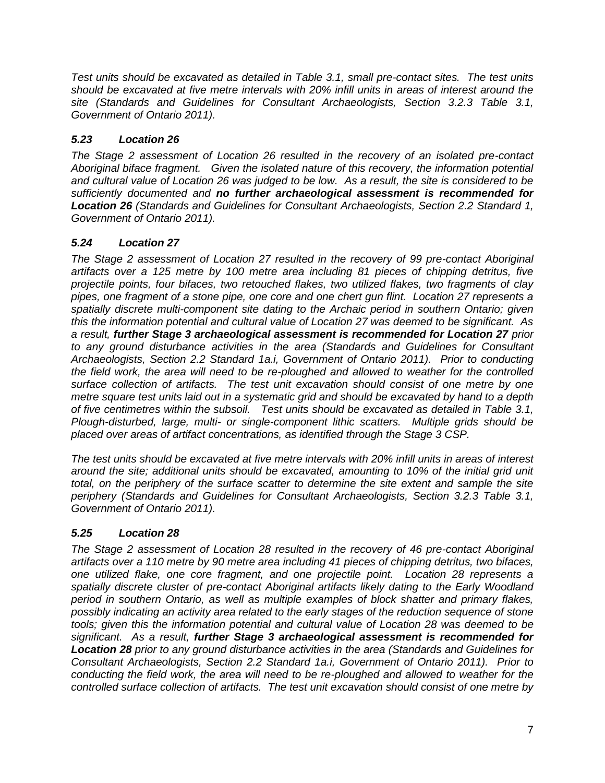*Test units should be excavated as detailed in Table 3.1, small pre-contact sites. The test units should be excavated at five metre intervals with 20% infill units in areas of interest around the site (Standards and Guidelines for Consultant Archaeologists, Section 3.2.3 Table 3.1, Government of Ontario 2011).* 

# *5.23 Location 26*

*The Stage 2 assessment of Location 26 resulted in the recovery of an isolated pre-contact Aboriginal biface fragment. Given the isolated nature of this recovery, the information potential and cultural value of Location 26 was judged to be low. As a result, the site is considered to be sufficiently documented and no further archaeological assessment is recommended for Location 26 (Standards and Guidelines for Consultant Archaeologists, Section 2.2 Standard 1, Government of Ontario 2011).*

# *5.24 Location 27*

*The Stage 2 assessment of Location 27 resulted in the recovery of 99 pre-contact Aboriginal artifacts over a 125 metre by 100 metre area including 81 pieces of chipping detritus, five projectile points, four bifaces, two retouched flakes, two utilized flakes, two fragments of clay pipes, one fragment of a stone pipe, one core and one chert gun flint. Location 27 represents a spatially discrete multi-component site dating to the Archaic period in southern Ontario; given this the information potential and cultural value of Location 27 was deemed to be significant. As a result, further Stage 3 archaeological assessment is recommended for Location 27 prior to any ground disturbance activities in the area (Standards and Guidelines for Consultant Archaeologists, Section 2.2 Standard 1a.i, Government of Ontario 2011). Prior to conducting the field work, the area will need to be re-ploughed and allowed to weather for the controlled surface collection of artifacts. The test unit excavation should consist of one metre by one metre square test units laid out in a systematic grid and should be excavated by hand to a depth of five centimetres within the subsoil. Test units should be excavated as detailed in Table 3.1, Plough-disturbed, large, multi- or single-component lithic scatters. Multiple grids should be placed over areas of artifact concentrations, as identified through the Stage 3 CSP.* 

*The test units should be excavated at five metre intervals with 20% infill units in areas of interest around the site; additional units should be excavated, amounting to 10% of the initial grid unit total, on the periphery of the surface scatter to determine the site extent and sample the site periphery (Standards and Guidelines for Consultant Archaeologists, Section 3.2.3 Table 3.1, Government of Ontario 2011).* 

# *5.25 Location 28*

*The Stage 2 assessment of Location 28 resulted in the recovery of 46 pre-contact Aboriginal artifacts over a 110 metre by 90 metre area including 41 pieces of chipping detritus, two bifaces, one utilized flake, one core fragment, and one projectile point. Location 28 represents a spatially discrete cluster of pre-contact Aboriginal artifacts likely dating to the Early Woodland period in southern Ontario, as well as multiple examples of block shatter and primary flakes, possibly indicating an activity area related to the early stages of the reduction sequence of stone tools; given this the information potential and cultural value of Location 28 was deemed to be significant. As a result, further Stage 3 archaeological assessment is recommended for Location 28 prior to any ground disturbance activities in the area (Standards and Guidelines for Consultant Archaeologists, Section 2.2 Standard 1a.i, Government of Ontario 2011). Prior to conducting the field work, the area will need to be re-ploughed and allowed to weather for the controlled surface collection of artifacts. The test unit excavation should consist of one metre by*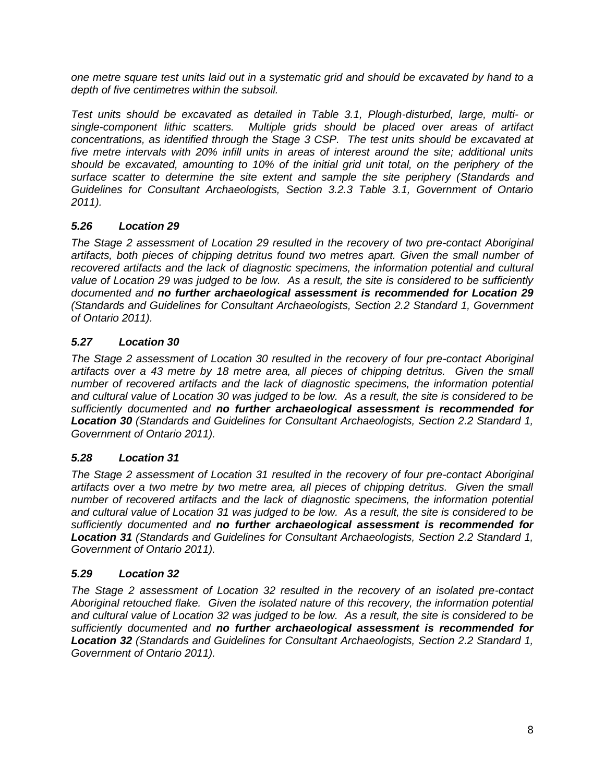*one metre square test units laid out in a systematic grid and should be excavated by hand to a depth of five centimetres within the subsoil.* 

*Test units should be excavated as detailed in Table 3.1, Plough-disturbed, large, multi- or single-component lithic scatters. Multiple grids should be placed over areas of artifact concentrations, as identified through the Stage 3 CSP. The test units should be excavated at five metre intervals with 20% infill units in areas of interest around the site; additional units should be excavated, amounting to 10% of the initial grid unit total, on the periphery of the surface scatter to determine the site extent and sample the site periphery (Standards and Guidelines for Consultant Archaeologists, Section 3.2.3 Table 3.1, Government of Ontario 2011).* 

# *5.26 Location 29*

*The Stage 2 assessment of Location 29 resulted in the recovery of two pre-contact Aboriginal artifacts, both pieces of chipping detritus found two metres apart. Given the small number of*  recovered artifacts and the lack of diagnostic specimens, the information potential and cultural *value of Location 29 was judged to be low. As a result, the site is considered to be sufficiently documented and no further archaeological assessment is recommended for Location 29 (Standards and Guidelines for Consultant Archaeologists, Section 2.2 Standard 1, Government of Ontario 2011).*

# *5.27 Location 30*

*The Stage 2 assessment of Location 30 resulted in the recovery of four pre-contact Aboriginal*  artifacts over a 43 metre by 18 metre area, all pieces of chipping detritus. Given the small *number of recovered artifacts and the lack of diagnostic specimens, the information potential and cultural value of Location 30 was judged to be low. As a result, the site is considered to be sufficiently documented and no further archaeological assessment is recommended for Location 30 (Standards and Guidelines for Consultant Archaeologists, Section 2.2 Standard 1, Government of Ontario 2011).*

# *5.28 Location 31*

*The Stage 2 assessment of Location 31 resulted in the recovery of four pre-contact Aboriginal artifacts over a two metre by two metre area, all pieces of chipping detritus. Given the small number of recovered artifacts and the lack of diagnostic specimens, the information potential and cultural value of Location 31 was judged to be low. As a result, the site is considered to be sufficiently documented and no further archaeological assessment is recommended for Location 31 (Standards and Guidelines for Consultant Archaeologists, Section 2.2 Standard 1, Government of Ontario 2011).* 

# *5.29 Location 32*

*The Stage 2 assessment of Location 32 resulted in the recovery of an isolated pre-contact Aboriginal retouched flake. Given the isolated nature of this recovery, the information potential and cultural value of Location 32 was judged to be low. As a result, the site is considered to be sufficiently documented and no further archaeological assessment is recommended for Location 32 (Standards and Guidelines for Consultant Archaeologists, Section 2.2 Standard 1, Government of Ontario 2011).*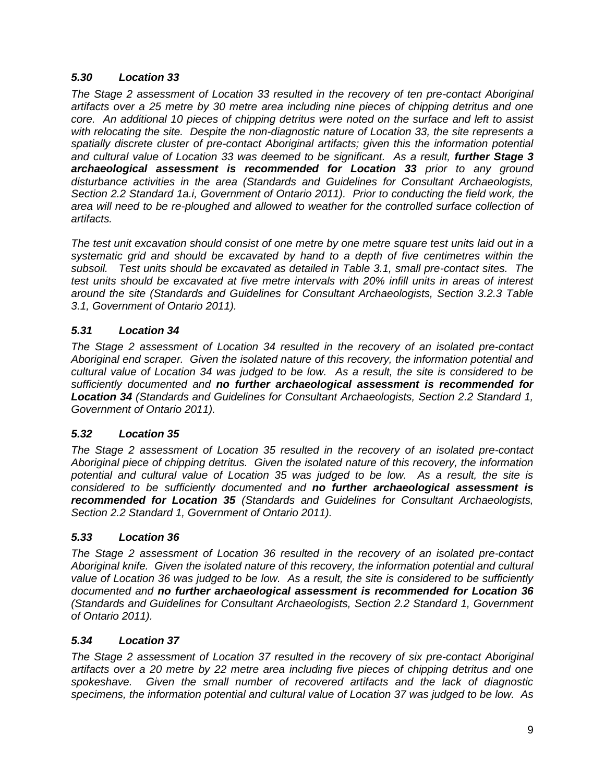### *5.30 Location 33*

*The Stage 2 assessment of Location 33 resulted in the recovery of ten pre-contact Aboriginal artifacts over a 25 metre by 30 metre area including nine pieces of chipping detritus and one core. An additional 10 pieces of chipping detritus were noted on the surface and left to assist with relocating the site. Despite the non-diagnostic nature of Location 33, the site represents a spatially discrete cluster of pre-contact Aboriginal artifacts; given this the information potential*  and cultural value of Location 33 was deemed to be significant. As a result, **further Stage 3** *archaeological assessment is recommended for Location 33 prior to any ground disturbance activities in the area (Standards and Guidelines for Consultant Archaeologists, Section 2.2 Standard 1a.i, Government of Ontario 2011). Prior to conducting the field work, the*  area will need to be re-ploughed and allowed to weather for the controlled surface collection of *artifacts.* 

*The test unit excavation should consist of one metre by one metre square test units laid out in a systematic grid and should be excavated by hand to a depth of five centimetres within the subsoil. Test units should be excavated as detailed in Table 3.1, small pre-contact sites. The test units should be excavated at five metre intervals with 20% infill units in areas of interest around the site (Standards and Guidelines for Consultant Archaeologists, Section 3.2.3 Table 3.1, Government of Ontario 2011).* 

# *5.31 Location 34*

*The Stage 2 assessment of Location 34 resulted in the recovery of an isolated pre-contact Aboriginal end scraper. Given the isolated nature of this recovery, the information potential and cultural value of Location 34 was judged to be low. As a result, the site is considered to be sufficiently documented and no further archaeological assessment is recommended for Location 34 (Standards and Guidelines for Consultant Archaeologists, Section 2.2 Standard 1, Government of Ontario 2011).*

# *5.32 Location 35*

*The Stage 2 assessment of Location 35 resulted in the recovery of an isolated pre-contact Aboriginal piece of chipping detritus. Given the isolated nature of this recovery, the information potential and cultural value of Location 35 was judged to be low. As a result, the site is considered to be sufficiently documented and no further archaeological assessment is recommended for Location 35 (Standards and Guidelines for Consultant Archaeologists, Section 2.2 Standard 1, Government of Ontario 2011).*

# *5.33 Location 36*

*The Stage 2 assessment of Location 36 resulted in the recovery of an isolated pre-contact Aboriginal knife. Given the isolated nature of this recovery, the information potential and cultural value of Location 36 was judged to be low. As a result, the site is considered to be sufficiently documented and no further archaeological assessment is recommended for Location 36 (Standards and Guidelines for Consultant Archaeologists, Section 2.2 Standard 1, Government of Ontario 2011).*

#### *5.34 Location 37*

*The Stage 2 assessment of Location 37 resulted in the recovery of six pre-contact Aboriginal artifacts over a 20 metre by 22 metre area including five pieces of chipping detritus and one spokeshave. Given the small number of recovered artifacts and the lack of diagnostic specimens, the information potential and cultural value of Location 37 was judged to be low. As*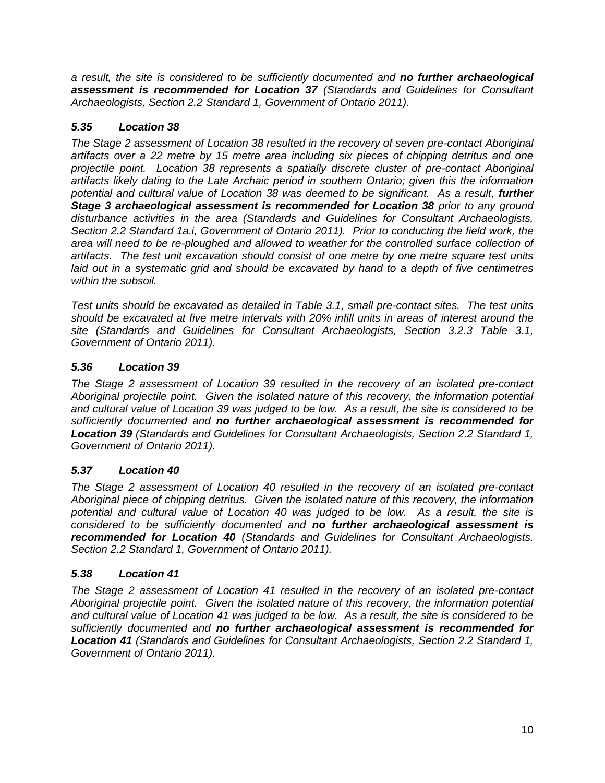*a result, the site is considered to be sufficiently documented and no further archaeological assessment is recommended for Location 37 (Standards and Guidelines for Consultant Archaeologists, Section 2.2 Standard 1, Government of Ontario 2011).*

# *5.35 Location 38*

*The Stage 2 assessment of Location 38 resulted in the recovery of seven pre-contact Aboriginal artifacts over a 22 metre by 15 metre area including six pieces of chipping detritus and one projectile point. Location 38 represents a spatially discrete cluster of pre-contact Aboriginal artifacts likely dating to the Late Archaic period in southern Ontario; given this the information*  potential and cultural value of Location 38 was deemed to be significant. As a result, **further Stage 3 archaeological assessment is recommended for Location 38 prior to any ground** *disturbance activities in the area (Standards and Guidelines for Consultant Archaeologists, Section 2.2 Standard 1a.i, Government of Ontario 2011). Prior to conducting the field work, the*  area will need to be re-ploughed and allowed to weather for the controlled surface collection of *artifacts. The test unit excavation should consist of one metre by one metre square test units laid out in a systematic grid and should be excavated by hand to a depth of five centimetres within the subsoil.* 

*Test units should be excavated as detailed in Table 3.1, small pre-contact sites. The test units should be excavated at five metre intervals with 20% infill units in areas of interest around the site (Standards and Guidelines for Consultant Archaeologists, Section 3.2.3 Table 3.1, Government of Ontario 2011).* 

# *5.36 Location 39*

*The Stage 2 assessment of Location 39 resulted in the recovery of an isolated pre-contact Aboriginal projectile point. Given the isolated nature of this recovery, the information potential and cultural value of Location 39 was judged to be low. As a result, the site is considered to be sufficiently documented and no further archaeological assessment is recommended for Location 39 (Standards and Guidelines for Consultant Archaeologists, Section 2.2 Standard 1, Government of Ontario 2011).*

# *5.37 Location 40*

*The Stage 2 assessment of Location 40 resulted in the recovery of an isolated pre-contact Aboriginal piece of chipping detritus. Given the isolated nature of this recovery, the information potential and cultural value of Location 40 was judged to be low. As a result, the site is considered to be sufficiently documented and no further archaeological assessment is recommended for Location 40 (Standards and Guidelines for Consultant Archaeologists, Section 2.2 Standard 1, Government of Ontario 2011).*

# *5.38 Location 41*

*The Stage 2 assessment of Location 41 resulted in the recovery of an isolated pre-contact Aboriginal projectile point. Given the isolated nature of this recovery, the information potential and cultural value of Location 41 was judged to be low. As a result, the site is considered to be sufficiently documented and no further archaeological assessment is recommended for Location 41 (Standards and Guidelines for Consultant Archaeologists, Section 2.2 Standard 1, Government of Ontario 2011).*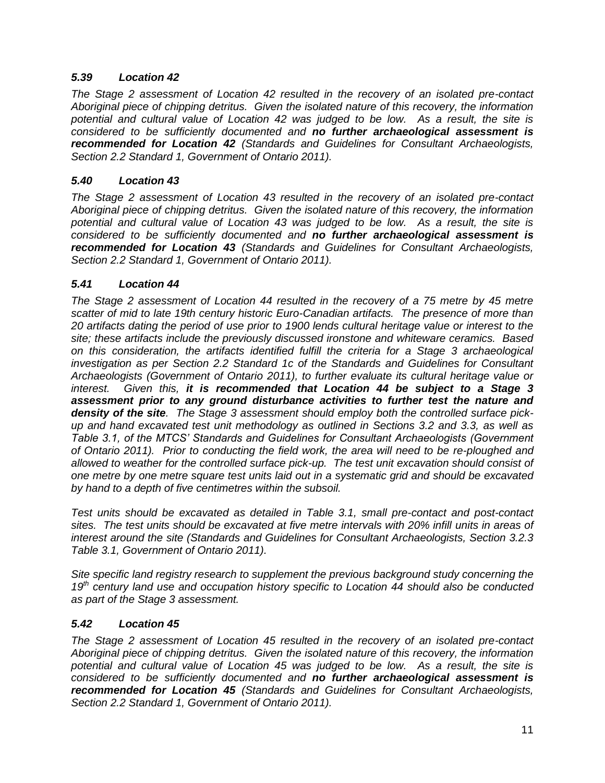### *5.39 Location 42*

*The Stage 2 assessment of Location 42 resulted in the recovery of an isolated pre-contact Aboriginal piece of chipping detritus. Given the isolated nature of this recovery, the information potential and cultural value of Location 42 was judged to be low. As a result, the site is considered to be sufficiently documented and no further archaeological assessment is recommended for Location 42 (Standards and Guidelines for Consultant Archaeologists, Section 2.2 Standard 1, Government of Ontario 2011).*

#### *5.40 Location 43*

*The Stage 2 assessment of Location 43 resulted in the recovery of an isolated pre-contact Aboriginal piece of chipping detritus. Given the isolated nature of this recovery, the information potential and cultural value of Location 43 was judged to be low. As a result, the site is considered to be sufficiently documented and no further archaeological assessment is recommended for Location 43 (Standards and Guidelines for Consultant Archaeologists, Section 2.2 Standard 1, Government of Ontario 2011).*

### *5.41 Location 44*

*The Stage 2 assessment of Location 44 resulted in the recovery of a 75 metre by 45 metre scatter of mid to late 19th century historic Euro-Canadian artifacts. The presence of more than 20 artifacts dating the period of use prior to 1900 lends cultural heritage value or interest to the site; these artifacts include the previously discussed ironstone and whiteware ceramics. Based on this consideration, the artifacts identified fulfill the criteria for a Stage 3 archaeological investigation as per Section 2.2 Standard 1c of the Standards and Guidelines for Consultant Archaeologists (Government of Ontario 2011), to further evaluate its cultural heritage value or interest. Given this, it is recommended that Location 44 be subject to a Stage 3 assessment prior to any ground disturbance activities to further test the nature and density of the site. The Stage 3 assessment should employ both the controlled surface pickup and hand excavated test unit methodology as outlined in Sections 3.2 and 3.3, as well as Table 3.1, of the MTCS' Standards and Guidelines for Consultant Archaeologists (Government of Ontario 2011). Prior to conducting the field work, the area will need to be re-ploughed and allowed to weather for the controlled surface pick-up. The test unit excavation should consist of one metre by one metre square test units laid out in a systematic grid and should be excavated by hand to a depth of five centimetres within the subsoil.* 

*Test units should be excavated as detailed in Table 3.1, small pre-contact and post-contact sites. The test units should be excavated at five metre intervals with 20% infill units in areas of interest around the site (Standards and Guidelines for Consultant Archaeologists, Section 3.2.3 Table 3.1, Government of Ontario 2011).* 

*Site specific land registry research to supplement the previous background study concerning the 19th century land use and occupation history specific to Location 44 should also be conducted as part of the Stage 3 assessment.*

#### *5.42 Location 45*

*The Stage 2 assessment of Location 45 resulted in the recovery of an isolated pre-contact Aboriginal piece of chipping detritus. Given the isolated nature of this recovery, the information potential and cultural value of Location 45 was judged to be low. As a result, the site is considered to be sufficiently documented and no further archaeological assessment is recommended for Location 45 (Standards and Guidelines for Consultant Archaeologists, Section 2.2 Standard 1, Government of Ontario 2011).*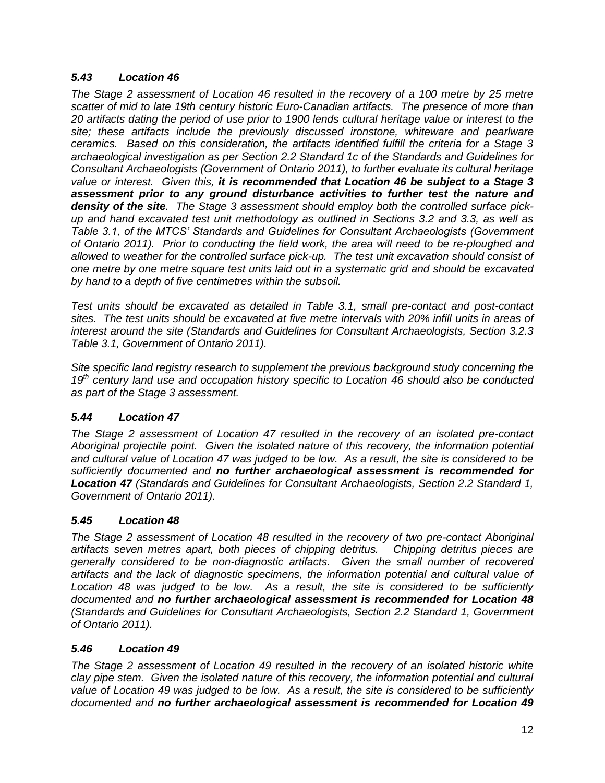### *5.43 Location 46*

*The Stage 2 assessment of Location 46 resulted in the recovery of a 100 metre by 25 metre scatter of mid to late 19th century historic Euro-Canadian artifacts. The presence of more than 20 artifacts dating the period of use prior to 1900 lends cultural heritage value or interest to the site; these artifacts include the previously discussed ironstone, whiteware and pearlware ceramics. Based on this consideration, the artifacts identified fulfill the criteria for a Stage 3 archaeological investigation as per Section 2.2 Standard 1c of the Standards and Guidelines for Consultant Archaeologists (Government of Ontario 2011), to further evaluate its cultural heritage value or interest. Given this, it is recommended that Location 46 be subject to a Stage 3 assessment prior to any ground disturbance activities to further test the nature and density of the site. The Stage 3 assessment should employ both the controlled surface pickup and hand excavated test unit methodology as outlined in Sections 3.2 and 3.3, as well as Table 3.1, of the MTCS' Standards and Guidelines for Consultant Archaeologists (Government of Ontario 2011). Prior to conducting the field work, the area will need to be re-ploughed and allowed to weather for the controlled surface pick-up. The test unit excavation should consist of one metre by one metre square test units laid out in a systematic grid and should be excavated by hand to a depth of five centimetres within the subsoil.* 

*Test units should be excavated as detailed in Table 3.1, small pre-contact and post-contact sites. The test units should be excavated at five metre intervals with 20% infill units in areas of interest around the site (Standards and Guidelines for Consultant Archaeologists, Section 3.2.3 Table 3.1, Government of Ontario 2011).* 

*Site specific land registry research to supplement the previous background study concerning the 19th century land use and occupation history specific to Location 46 should also be conducted as part of the Stage 3 assessment.*

# *5.44 Location 47*

*The Stage 2 assessment of Location 47 resulted in the recovery of an isolated pre-contact Aboriginal projectile point. Given the isolated nature of this recovery, the information potential and cultural value of Location 47 was judged to be low. As a result, the site is considered to be sufficiently documented and no further archaeological assessment is recommended for Location 47 (Standards and Guidelines for Consultant Archaeologists, Section 2.2 Standard 1, Government of Ontario 2011).*

#### *5.45 Location 48*

*The Stage 2 assessment of Location 48 resulted in the recovery of two pre-contact Aboriginal artifacts seven metres apart, both pieces of chipping detritus. Chipping detritus pieces are generally considered to be non-diagnostic artifacts. Given the small number of recovered artifacts and the lack of diagnostic specimens, the information potential and cultural value of Location 48 was judged to be low. As a result, the site is considered to be sufficiently documented and no further archaeological assessment is recommended for Location 48 (Standards and Guidelines for Consultant Archaeologists, Section 2.2 Standard 1, Government of Ontario 2011).*

#### *5.46 Location 49*

*The Stage 2 assessment of Location 49 resulted in the recovery of an isolated historic white clay pipe stem. Given the isolated nature of this recovery, the information potential and cultural value of Location 49 was judged to be low. As a result, the site is considered to be sufficiently documented and no further archaeological assessment is recommended for Location 49*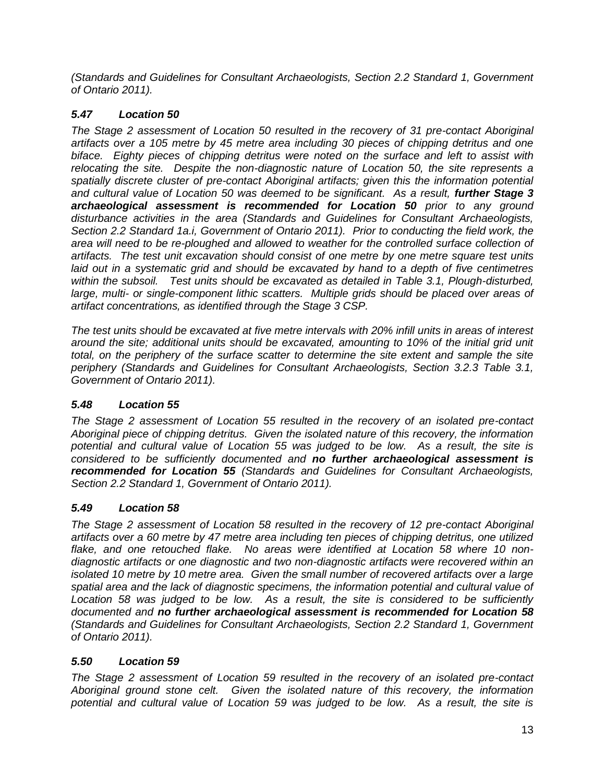*(Standards and Guidelines for Consultant Archaeologists, Section 2.2 Standard 1, Government of Ontario 2011).*

# *5.47 Location 50*

*The Stage 2 assessment of Location 50 resulted in the recovery of 31 pre-contact Aboriginal artifacts over a 105 metre by 45 metre area including 30 pieces of chipping detritus and one biface. Eighty pieces of chipping detritus were noted on the surface and left to assist with relocating the site. Despite the non-diagnostic nature of Location 50, the site represents a spatially discrete cluster of pre-contact Aboriginal artifacts; given this the information potential and cultural value of Location 50 was deemed to be significant. As a result, further Stage 3 archaeological assessment is recommended for Location 50 prior to any ground disturbance activities in the area (Standards and Guidelines for Consultant Archaeologists, Section 2.2 Standard 1a.i, Government of Ontario 2011). Prior to conducting the field work, the area will need to be re-ploughed and allowed to weather for the controlled surface collection of artifacts. The test unit excavation should consist of one metre by one metre square test units laid out in a systematic grid and should be excavated by hand to a depth of five centimetres within the subsoil. Test units should be excavated as detailed in Table 3.1, Plough-disturbed, large, multi- or single-component lithic scatters. Multiple grids should be placed over areas of artifact concentrations, as identified through the Stage 3 CSP.* 

*The test units should be excavated at five metre intervals with 20% infill units in areas of interest around the site; additional units should be excavated, amounting to 10% of the initial grid unit total, on the periphery of the surface scatter to determine the site extent and sample the site periphery (Standards and Guidelines for Consultant Archaeologists, Section 3.2.3 Table 3.1, Government of Ontario 2011).* 

# *5.48 Location 55*

*The Stage 2 assessment of Location 55 resulted in the recovery of an isolated pre-contact Aboriginal piece of chipping detritus. Given the isolated nature of this recovery, the information potential and cultural value of Location 55 was judged to be low. As a result, the site is considered to be sufficiently documented and no further archaeological assessment is recommended for Location 55 (Standards and Guidelines for Consultant Archaeologists, Section 2.2 Standard 1, Government of Ontario 2011).*

# *5.49 Location 58*

*The Stage 2 assessment of Location 58 resulted in the recovery of 12 pre-contact Aboriginal artifacts over a 60 metre by 47 metre area including ten pieces of chipping detritus, one utilized flake, and one retouched flake. No areas were identified at Location 58 where 10 nondiagnostic artifacts or one diagnostic and two non-diagnostic artifacts were recovered within an isolated 10 metre by 10 metre area. Given the small number of recovered artifacts over a large spatial area and the lack of diagnostic specimens, the information potential and cultural value of Location 58 was judged to be low. As a result, the site is considered to be sufficiently documented and no further archaeological assessment is recommended for Location 58 (Standards and Guidelines for Consultant Archaeologists, Section 2.2 Standard 1, Government of Ontario 2011).*

# *5.50 Location 59*

*The Stage 2 assessment of Location 59 resulted in the recovery of an isolated pre-contact Aboriginal ground stone celt. Given the isolated nature of this recovery, the information potential and cultural value of Location 59 was judged to be low. As a result, the site is*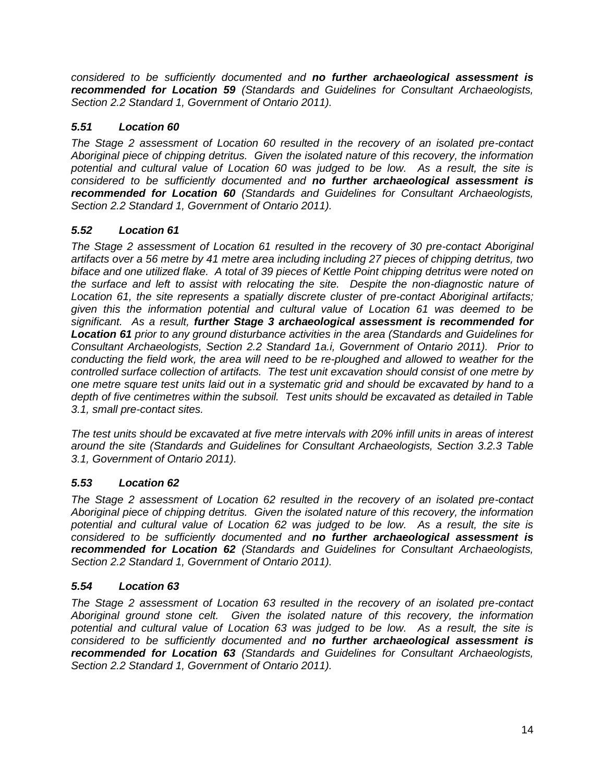*considered to be sufficiently documented and no further archaeological assessment is recommended for Location 59 (Standards and Guidelines for Consultant Archaeologists, Section 2.2 Standard 1, Government of Ontario 2011).*

# *5.51 Location 60*

*The Stage 2 assessment of Location 60 resulted in the recovery of an isolated pre-contact Aboriginal piece of chipping detritus. Given the isolated nature of this recovery, the information potential and cultural value of Location 60 was judged to be low. As a result, the site is considered to be sufficiently documented and no further archaeological assessment is recommended for Location 60 (Standards and Guidelines for Consultant Archaeologists, Section 2.2 Standard 1, Government of Ontario 2011).*

# *5.52 Location 61*

*The Stage 2 assessment of Location 61 resulted in the recovery of 30 pre-contact Aboriginal artifacts over a 56 metre by 41 metre area including including 27 pieces of chipping detritus, two biface and one utilized flake. A total of 39 pieces of Kettle Point chipping detritus were noted on the surface and left to assist with relocating the site. Despite the non-diagnostic nature of Location 61, the site represents a spatially discrete cluster of pre-contact Aboriginal artifacts; given this the information potential and cultural value of Location 61 was deemed to be significant. As a result, further Stage 3 archaeological assessment is recommended for Location 61 prior to any ground disturbance activities in the area (Standards and Guidelines for Consultant Archaeologists, Section 2.2 Standard 1a.i, Government of Ontario 2011). Prior to conducting the field work, the area will need to be re-ploughed and allowed to weather for the controlled surface collection of artifacts. The test unit excavation should consist of one metre by one metre square test units laid out in a systematic grid and should be excavated by hand to a depth of five centimetres within the subsoil. Test units should be excavated as detailed in Table 3.1, small pre-contact sites.* 

*The test units should be excavated at five metre intervals with 20% infill units in areas of interest around the site (Standards and Guidelines for Consultant Archaeologists, Section 3.2.3 Table 3.1, Government of Ontario 2011).* 

# *5.53 Location 62*

*The Stage 2 assessment of Location 62 resulted in the recovery of an isolated pre-contact Aboriginal piece of chipping detritus. Given the isolated nature of this recovery, the information potential and cultural value of Location 62 was judged to be low. As a result, the site is considered to be sufficiently documented and no further archaeological assessment is recommended for Location 62 (Standards and Guidelines for Consultant Archaeologists, Section 2.2 Standard 1, Government of Ontario 2011).*

# *5.54 Location 63*

*The Stage 2 assessment of Location 63 resulted in the recovery of an isolated pre-contact Aboriginal ground stone celt. Given the isolated nature of this recovery, the information potential and cultural value of Location 63 was judged to be low. As a result, the site is considered to be sufficiently documented and no further archaeological assessment is recommended for Location 63 (Standards and Guidelines for Consultant Archaeologists, Section 2.2 Standard 1, Government of Ontario 2011).*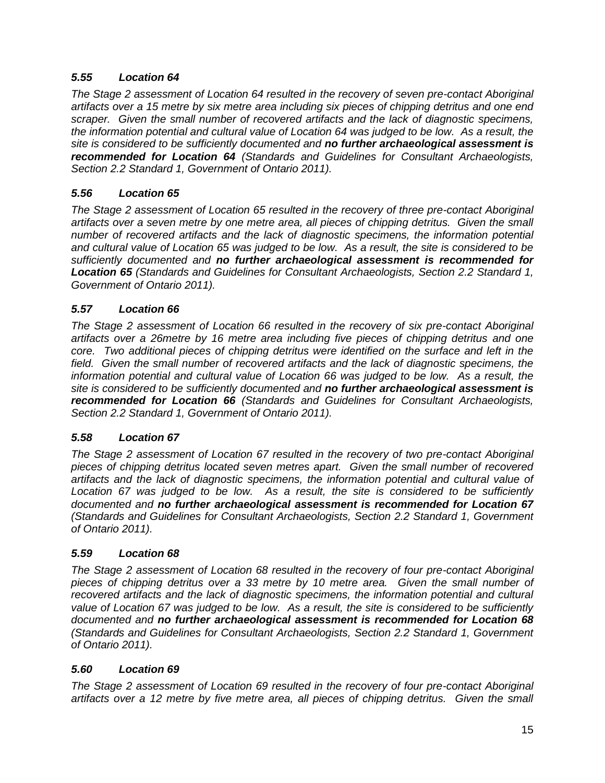# *5.55 Location 64*

*The Stage 2 assessment of Location 64 resulted in the recovery of seven pre-contact Aboriginal artifacts over a 15 metre by six metre area including six pieces of chipping detritus and one end scraper. Given the small number of recovered artifacts and the lack of diagnostic specimens, the information potential and cultural value of Location 64 was judged to be low. As a result, the site is considered to be sufficiently documented and no further archaeological assessment is recommended for Location 64 (Standards and Guidelines for Consultant Archaeologists, Section 2.2 Standard 1, Government of Ontario 2011).* 

### *5.56 Location 65*

*The Stage 2 assessment of Location 65 resulted in the recovery of three pre-contact Aboriginal artifacts over a seven metre by one metre area, all pieces of chipping detritus. Given the small number of recovered artifacts and the lack of diagnostic specimens, the information potential and cultural value of Location 65 was judged to be low. As a result, the site is considered to be sufficiently documented and no further archaeological assessment is recommended for Location 65 (Standards and Guidelines for Consultant Archaeologists, Section 2.2 Standard 1, Government of Ontario 2011).* 

#### *5.57 Location 66*

*The Stage 2 assessment of Location 66 resulted in the recovery of six pre-contact Aboriginal artifacts over a 26metre by 16 metre area including five pieces of chipping detritus and one core. Two additional pieces of chipping detritus were identified on the surface and left in the field. Given the small number of recovered artifacts and the lack of diagnostic specimens, the information potential and cultural value of Location 66 was judged to be low. As a result, the site is considered to be sufficiently documented and no further archaeological assessment is recommended for Location 66 (Standards and Guidelines for Consultant Archaeologists, Section 2.2 Standard 1, Government of Ontario 2011).* 

#### *5.58 Location 67*

*The Stage 2 assessment of Location 67 resulted in the recovery of two pre-contact Aboriginal pieces of chipping detritus located seven metres apart. Given the small number of recovered artifacts and the lack of diagnostic specimens, the information potential and cultural value of Location 67 was judged to be low. As a result, the site is considered to be sufficiently documented and no further archaeological assessment is recommended for Location 67 (Standards and Guidelines for Consultant Archaeologists, Section 2.2 Standard 1, Government of Ontario 2011).* 

#### *5.59 Location 68*

*The Stage 2 assessment of Location 68 resulted in the recovery of four pre-contact Aboriginal pieces of chipping detritus over a 33 metre by 10 metre area. Given the small number of*  recovered artifacts and the lack of diagnostic specimens, the information potential and cultural *value of Location 67 was judged to be low. As a result, the site is considered to be sufficiently documented and no further archaeological assessment is recommended for Location 68 (Standards and Guidelines for Consultant Archaeologists, Section 2.2 Standard 1, Government of Ontario 2011).* 

#### *5.60 Location 69*

*The Stage 2 assessment of Location 69 resulted in the recovery of four pre-contact Aboriginal artifacts over a 12 metre by five metre area, all pieces of chipping detritus. Given the small*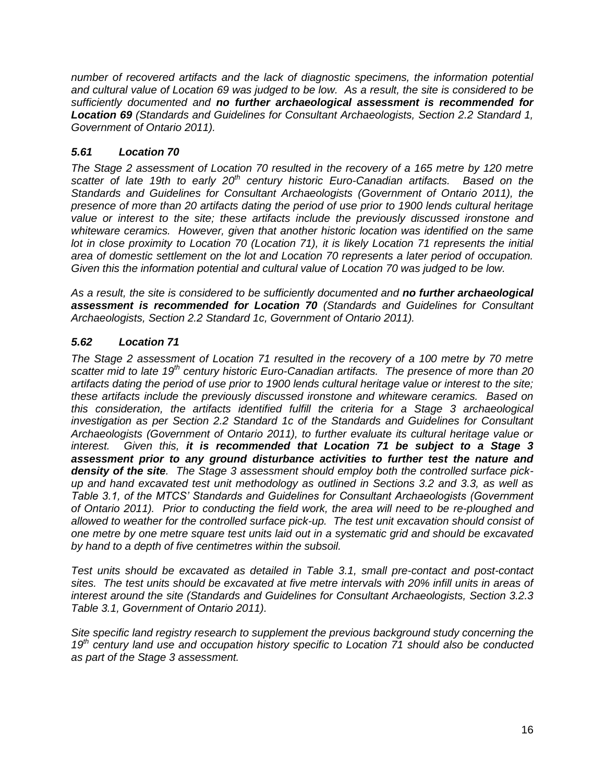*number of recovered artifacts and the lack of diagnostic specimens, the information potential and cultural value of Location 69 was judged to be low. As a result, the site is considered to be sufficiently documented and no further archaeological assessment is recommended for Location 69 (Standards and Guidelines for Consultant Archaeologists, Section 2.2 Standard 1, Government of Ontario 2011).* 

# *5.61 Location 70*

*The Stage 2 assessment of Location 70 resulted in the recovery of a 165 metre by 120 metre scatter of late 19th to early 20th century historic Euro-Canadian artifacts. Based on the Standards and Guidelines for Consultant Archaeologists (Government of Ontario 2011), the presence of more than 20 artifacts dating the period of use prior to 1900 lends cultural heritage value or interest to the site; these artifacts include the previously discussed ironstone and whiteware ceramics. However, given that another historic location was identified on the same lot in close proximity to Location 70 (Location 71), it is likely Location 71 represents the initial area of domestic settlement on the lot and Location 70 represents a later period of occupation. Given this the information potential and cultural value of Location 70 was judged to be low.* 

*As a result, the site is considered to be sufficiently documented and no further archaeological assessment is recommended for Location 70 (Standards and Guidelines for Consultant Archaeologists, Section 2.2 Standard 1c, Government of Ontario 2011).*

# *5.62 Location 71*

*The Stage 2 assessment of Location 71 resulted in the recovery of a 100 metre by 70 metre scatter mid to late 19th century historic Euro-Canadian artifacts. The presence of more than 20 artifacts dating the period of use prior to 1900 lends cultural heritage value or interest to the site; these artifacts include the previously discussed ironstone and whiteware ceramics. Based on this consideration, the artifacts identified fulfill the criteria for a Stage 3 archaeological investigation as per Section 2.2 Standard 1c of the Standards and Guidelines for Consultant Archaeologists (Government of Ontario 2011), to further evaluate its cultural heritage value or interest. Given this, it is recommended that Location 71 be subject to a Stage 3 assessment prior to any ground disturbance activities to further test the nature and density of the site. The Stage 3 assessment should employ both the controlled surface pickup and hand excavated test unit methodology as outlined in Sections 3.2 and 3.3, as well as Table 3.1, of the MTCS' Standards and Guidelines for Consultant Archaeologists (Government of Ontario 2011). Prior to conducting the field work, the area will need to be re-ploughed and allowed to weather for the controlled surface pick-up. The test unit excavation should consist of one metre by one metre square test units laid out in a systematic grid and should be excavated by hand to a depth of five centimetres within the subsoil.* 

*Test units should be excavated as detailed in Table 3.1, small pre-contact and post-contact sites. The test units should be excavated at five metre intervals with 20% infill units in areas of interest around the site (Standards and Guidelines for Consultant Archaeologists, Section 3.2.3 Table 3.1, Government of Ontario 2011).* 

*Site specific land registry research to supplement the previous background study concerning the 19th century land use and occupation history specific to Location 71 should also be conducted as part of the Stage 3 assessment.*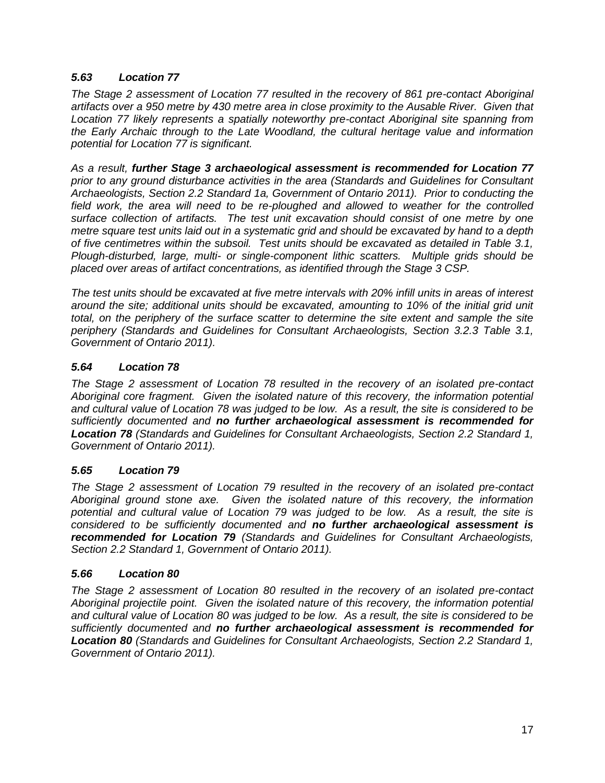### *5.63 Location 77*

*The Stage 2 assessment of Location 77 resulted in the recovery of 861 pre-contact Aboriginal artifacts over a 950 metre by 430 metre area in close proximity to the Ausable River. Given that Location 77 likely represents a spatially noteworthy pre-contact Aboriginal site spanning from the Early Archaic through to the Late Woodland, the cultural heritage value and information potential for Location 77 is significant.*

*As a result, further Stage 3 archaeological assessment is recommended for Location 77 prior to any ground disturbance activities in the area (Standards and Guidelines for Consultant Archaeologists, Section 2.2 Standard 1a, Government of Ontario 2011). Prior to conducting the field work, the area will need to be re-ploughed and allowed to weather for the controlled surface collection of artifacts. The test unit excavation should consist of one metre by one metre square test units laid out in a systematic grid and should be excavated by hand to a depth of five centimetres within the subsoil. Test units should be excavated as detailed in Table 3.1, Plough-disturbed, large, multi- or single-component lithic scatters. Multiple grids should be placed over areas of artifact concentrations, as identified through the Stage 3 CSP.* 

*The test units should be excavated at five metre intervals with 20% infill units in areas of interest around the site; additional units should be excavated, amounting to 10% of the initial grid unit total, on the periphery of the surface scatter to determine the site extent and sample the site periphery (Standards and Guidelines for Consultant Archaeologists, Section 3.2.3 Table 3.1, Government of Ontario 2011).* 

### *5.64 Location 78*

*The Stage 2 assessment of Location 78 resulted in the recovery of an isolated pre-contact Aboriginal core fragment. Given the isolated nature of this recovery, the information potential and cultural value of Location 78 was judged to be low. As a result, the site is considered to be sufficiently documented and no further archaeological assessment is recommended for Location 78 (Standards and Guidelines for Consultant Archaeologists, Section 2.2 Standard 1, Government of Ontario 2011).*

#### *5.65 Location 79*

*The Stage 2 assessment of Location 79 resulted in the recovery of an isolated pre-contact Aboriginal ground stone axe. Given the isolated nature of this recovery, the information potential and cultural value of Location 79 was judged to be low. As a result, the site is considered to be sufficiently documented and no further archaeological assessment is recommended for Location 79 (Standards and Guidelines for Consultant Archaeologists, Section 2.2 Standard 1, Government of Ontario 2011).*

#### *5.66 Location 80*

*The Stage 2 assessment of Location 80 resulted in the recovery of an isolated pre-contact Aboriginal projectile point. Given the isolated nature of this recovery, the information potential and cultural value of Location 80 was judged to be low. As a result, the site is considered to be sufficiently documented and no further archaeological assessment is recommended for Location 80 (Standards and Guidelines for Consultant Archaeologists, Section 2.2 Standard 1, Government of Ontario 2011).*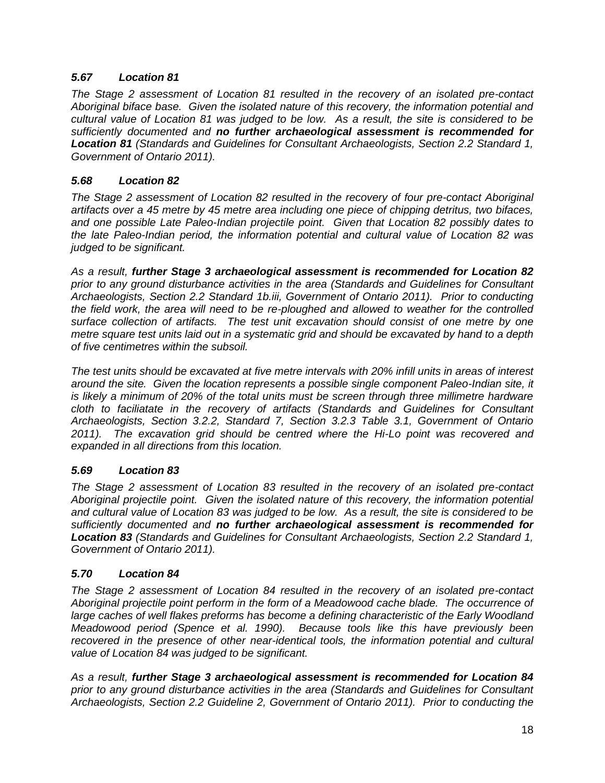### *5.67 Location 81*

*The Stage 2 assessment of Location 81 resulted in the recovery of an isolated pre-contact Aboriginal biface base. Given the isolated nature of this recovery, the information potential and cultural value of Location 81 was judged to be low. As a result, the site is considered to be sufficiently documented and no further archaeological assessment is recommended for Location 81 (Standards and Guidelines for Consultant Archaeologists, Section 2.2 Standard 1, Government of Ontario 2011).*

### *5.68 Location 82*

*The Stage 2 assessment of Location 82 resulted in the recovery of four pre-contact Aboriginal artifacts over a 45 metre by 45 metre area including one piece of chipping detritus, two bifaces, and one possible Late Paleo-Indian projectile point. Given that Location 82 possibly dates to the late Paleo-Indian period, the information potential and cultural value of Location 82 was judged to be significant.*

*As a result, further Stage 3 archaeological assessment is recommended for Location 82 prior to any ground disturbance activities in the area (Standards and Guidelines for Consultant Archaeologists, Section 2.2 Standard 1b.iii, Government of Ontario 2011). Prior to conducting the field work, the area will need to be re-ploughed and allowed to weather for the controlled surface collection of artifacts. The test unit excavation should consist of one metre by one metre square test units laid out in a systematic grid and should be excavated by hand to a depth of five centimetres within the subsoil.* 

*The test units should be excavated at five metre intervals with 20% infill units in areas of interest around the site. Given the location represents a possible single component Paleo-Indian site, it is likely a minimum of 20% of the total units must be screen through three millimetre hardware cloth to faciliatate in the recovery of artifacts (Standards and Guidelines for Consultant Archaeologists, Section 3.2.2, Standard 7, Section 3.2.3 Table 3.1, Government of Ontario 2011). The excavation grid should be centred where the Hi-Lo point was recovered and expanded in all directions from this location.*

# *5.69 Location 83*

*The Stage 2 assessment of Location 83 resulted in the recovery of an isolated pre-contact Aboriginal projectile point. Given the isolated nature of this recovery, the information potential and cultural value of Location 83 was judged to be low. As a result, the site is considered to be sufficiently documented and no further archaeological assessment is recommended for Location 83 (Standards and Guidelines for Consultant Archaeologists, Section 2.2 Standard 1, Government of Ontario 2011).*

# *5.70 Location 84*

*The Stage 2 assessment of Location 84 resulted in the recovery of an isolated pre-contact Aboriginal projectile point perform in the form of a Meadowood cache blade. The occurrence of large caches of well flakes preforms has become a defining characteristic of the Early Woodland Meadowood period (Spence et al. 1990). Because tools like this have previously been*  recovered in the presence of other near-identical tools, the information potential and cultural *value of Location 84 was judged to be significant.*

*As a result, further Stage 3 archaeological assessment is recommended for Location 84 prior to any ground disturbance activities in the area (Standards and Guidelines for Consultant Archaeologists, Section 2.2 Guideline 2, Government of Ontario 2011). Prior to conducting the*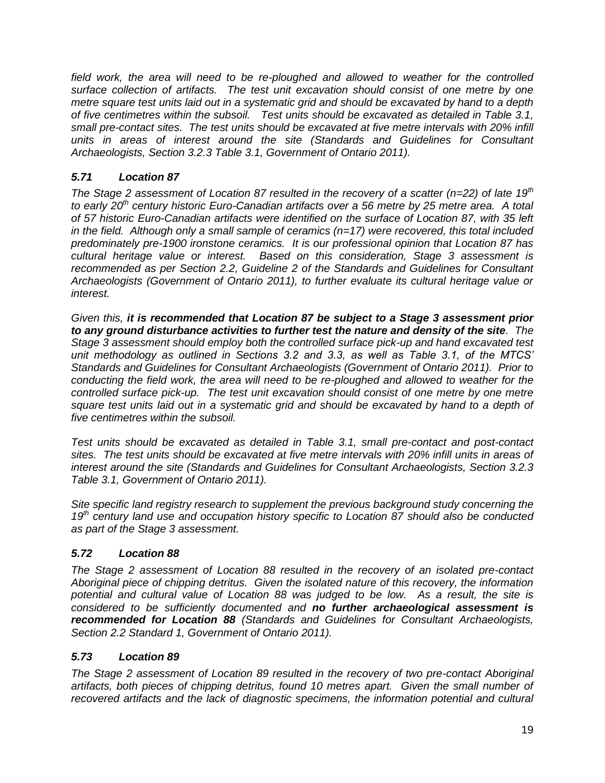*field work, the area will need to be re-ploughed and allowed to weather for the controlled surface collection of artifacts. The test unit excavation should consist of one metre by one metre square test units laid out in a systematic grid and should be excavated by hand to a depth of five centimetres within the subsoil. Test units should be excavated as detailed in Table 3.1, small pre-contact sites. The test units should be excavated at five metre intervals with 20% infill units in areas of interest around the site (Standards and Guidelines for Consultant Archaeologists, Section 3.2.3 Table 3.1, Government of Ontario 2011).* 

# *5.71 Location 87*

*The Stage 2 assessment of Location 87 resulted in the recovery of a scatter (n=22) of late 19th to early 20th century historic Euro-Canadian artifacts over a 56 metre by 25 metre area. A total of 57 historic Euro-Canadian artifacts were identified on the surface of Location 87, with 35 left in the field. Although only a small sample of ceramics (n=17) were recovered, this total included predominately pre-1900 ironstone ceramics. It is our professional opinion that Location 87 has cultural heritage value or interest. Based on this consideration, Stage 3 assessment is recommended as per Section 2.2, Guideline 2 of the Standards and Guidelines for Consultant Archaeologists (Government of Ontario 2011), to further evaluate its cultural heritage value or interest.* 

*Given this, it is recommended that Location 87 be subject to a Stage 3 assessment prior to any ground disturbance activities to further test the nature and density of the site. The Stage 3 assessment should employ both the controlled surface pick-up and hand excavated test unit methodology as outlined in Sections 3.2 and 3.3, as well as Table 3.1, of the MTCS' Standards and Guidelines for Consultant Archaeologists (Government of Ontario 2011). Prior to conducting the field work, the area will need to be re-ploughed and allowed to weather for the controlled surface pick-up. The test unit excavation should consist of one metre by one metre square test units laid out in a systematic grid and should be excavated by hand to a depth of five centimetres within the subsoil.* 

*Test units should be excavated as detailed in Table 3.1, small pre-contact and post-contact sites. The test units should be excavated at five metre intervals with 20% infill units in areas of interest around the site (Standards and Guidelines for Consultant Archaeologists, Section 3.2.3 Table 3.1, Government of Ontario 2011).* 

*Site specific land registry research to supplement the previous background study concerning the 19th century land use and occupation history specific to Location 87 should also be conducted as part of the Stage 3 assessment.*

# *5.72 Location 88*

*The Stage 2 assessment of Location 88 resulted in the recovery of an isolated pre-contact Aboriginal piece of chipping detritus. Given the isolated nature of this recovery, the information potential and cultural value of Location 88 was judged to be low. As a result, the site is considered to be sufficiently documented and no further archaeological assessment is recommended for Location 88 (Standards and Guidelines for Consultant Archaeologists, Section 2.2 Standard 1, Government of Ontario 2011).*

# *5.73 Location 89*

*The Stage 2 assessment of Location 89 resulted in the recovery of two pre-contact Aboriginal artifacts, both pieces of chipping detritus, found 10 metres apart. Given the small number of recovered artifacts and the lack of diagnostic specimens, the information potential and cultural*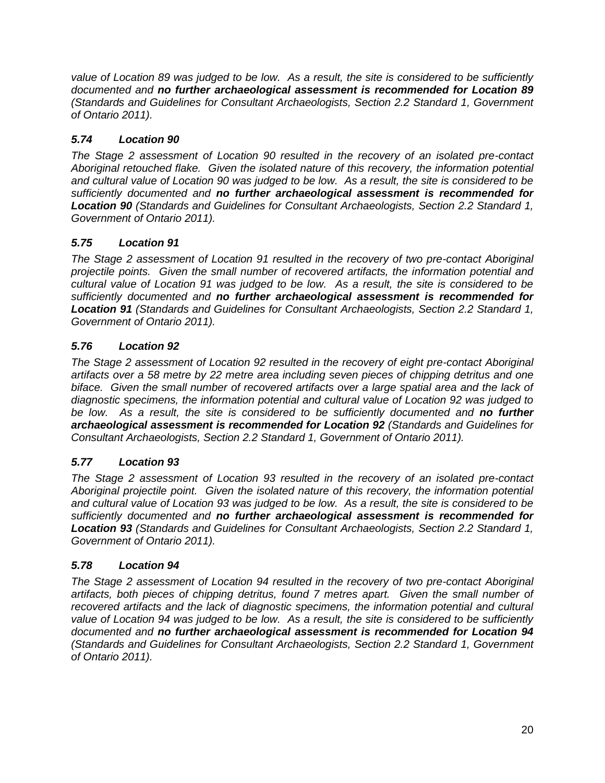*value of Location 89 was judged to be low. As a result, the site is considered to be sufficiently documented and no further archaeological assessment is recommended for Location 89 (Standards and Guidelines for Consultant Archaeologists, Section 2.2 Standard 1, Government of Ontario 2011).*

# *5.74 Location 90*

*The Stage 2 assessment of Location 90 resulted in the recovery of an isolated pre-contact Aboriginal retouched flake. Given the isolated nature of this recovery, the information potential and cultural value of Location 90 was judged to be low. As a result, the site is considered to be sufficiently documented and no further archaeological assessment is recommended for Location 90 (Standards and Guidelines for Consultant Archaeologists, Section 2.2 Standard 1, Government of Ontario 2011).*

# *5.75 Location 91*

*The Stage 2 assessment of Location 91 resulted in the recovery of two pre-contact Aboriginal projectile points. Given the small number of recovered artifacts, the information potential and cultural value of Location 91 was judged to be low. As a result, the site is considered to be sufficiently documented and no further archaeological assessment is recommended for Location 91 (Standards and Guidelines for Consultant Archaeologists, Section 2.2 Standard 1, Government of Ontario 2011).*

# *5.76 Location 92*

*The Stage 2 assessment of Location 92 resulted in the recovery of eight pre-contact Aboriginal artifacts over a 58 metre by 22 metre area including seven pieces of chipping detritus and one biface. Given the small number of recovered artifacts over a large spatial area and the lack of diagnostic specimens, the information potential and cultural value of Location 92 was judged to be low. As a result, the site is considered to be sufficiently documented and no further archaeological assessment is recommended for Location 92 (Standards and Guidelines for Consultant Archaeologists, Section 2.2 Standard 1, Government of Ontario 2011).*

# *5.77 Location 93*

*The Stage 2 assessment of Location 93 resulted in the recovery of an isolated pre-contact Aboriginal projectile point. Given the isolated nature of this recovery, the information potential and cultural value of Location 93 was judged to be low. As a result, the site is considered to be sufficiently documented and no further archaeological assessment is recommended for Location 93 (Standards and Guidelines for Consultant Archaeologists, Section 2.2 Standard 1, Government of Ontario 2011).*

# *5.78 Location 94*

*The Stage 2 assessment of Location 94 resulted in the recovery of two pre-contact Aboriginal artifacts, both pieces of chipping detritus, found 7 metres apart. Given the small number of*  recovered artifacts and the lack of diagnostic specimens, the information potential and cultural *value of Location 94 was judged to be low. As a result, the site is considered to be sufficiently documented and no further archaeological assessment is recommended for Location 94 (Standards and Guidelines for Consultant Archaeologists, Section 2.2 Standard 1, Government of Ontario 2011).*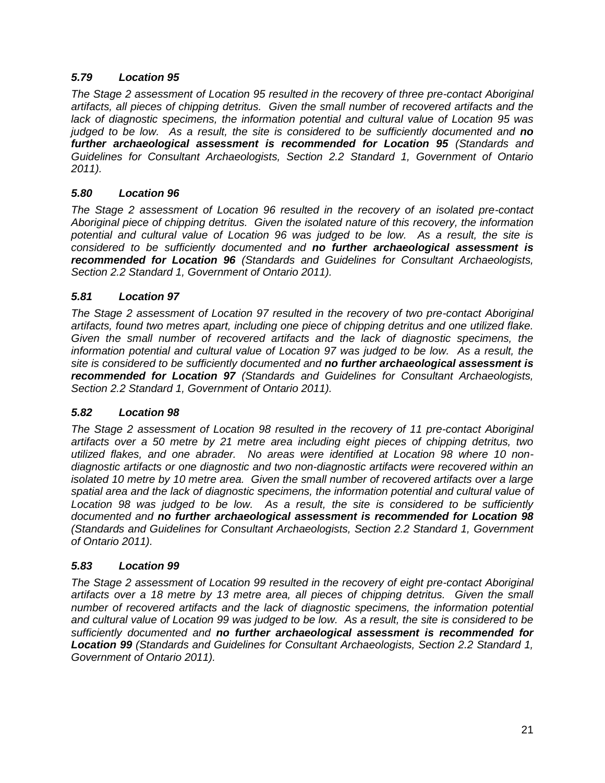# *5.79 Location 95*

*The Stage 2 assessment of Location 95 resulted in the recovery of three pre-contact Aboriginal artifacts, all pieces of chipping detritus. Given the small number of recovered artifacts and the lack of diagnostic specimens, the information potential and cultural value of Location 95 was judged to be low. As a result, the site is considered to be sufficiently documented and no further archaeological assessment is recommended for Location 95 (Standards and Guidelines for Consultant Archaeologists, Section 2.2 Standard 1, Government of Ontario 2011).* 

# *5.80 Location 96*

*The Stage 2 assessment of Location 96 resulted in the recovery of an isolated pre-contact Aboriginal piece of chipping detritus. Given the isolated nature of this recovery, the information potential and cultural value of Location 96 was judged to be low. As a result, the site is considered to be sufficiently documented and no further archaeological assessment is recommended for Location 96 (Standards and Guidelines for Consultant Archaeologists, Section 2.2 Standard 1, Government of Ontario 2011).*

# *5.81 Location 97*

*The Stage 2 assessment of Location 97 resulted in the recovery of two pre-contact Aboriginal artifacts, found two metres apart, including one piece of chipping detritus and one utilized flake. Given the small number of recovered artifacts and the lack of diagnostic specimens, the information potential and cultural value of Location 97 was judged to be low. As a result, the site is considered to be sufficiently documented and no further archaeological assessment is recommended for Location 97 (Standards and Guidelines for Consultant Archaeologists, Section 2.2 Standard 1, Government of Ontario 2011).*

#### *5.82 Location 98*

*The Stage 2 assessment of Location 98 resulted in the recovery of 11 pre-contact Aboriginal artifacts over a 50 metre by 21 metre area including eight pieces of chipping detritus, two utilized flakes, and one abrader. No areas were identified at Location 98 where 10 nondiagnostic artifacts or one diagnostic and two non-diagnostic artifacts were recovered within an isolated 10 metre by 10 metre area. Given the small number of recovered artifacts over a large spatial area and the lack of diagnostic specimens, the information potential and cultural value of Location 98 was judged to be low. As a result, the site is considered to be sufficiently documented and no further archaeological assessment is recommended for Location 98 (Standards and Guidelines for Consultant Archaeologists, Section 2.2 Standard 1, Government of Ontario 2011).*

#### *5.83 Location 99*

*The Stage 2 assessment of Location 99 resulted in the recovery of eight pre-contact Aboriginal*  artifacts over a 18 metre by 13 metre area, all pieces of chipping detritus. Given the small *number of recovered artifacts and the lack of diagnostic specimens, the information potential and cultural value of Location 99 was judged to be low. As a result, the site is considered to be sufficiently documented and no further archaeological assessment is recommended for Location 99 (Standards and Guidelines for Consultant Archaeologists, Section 2.2 Standard 1, Government of Ontario 2011).*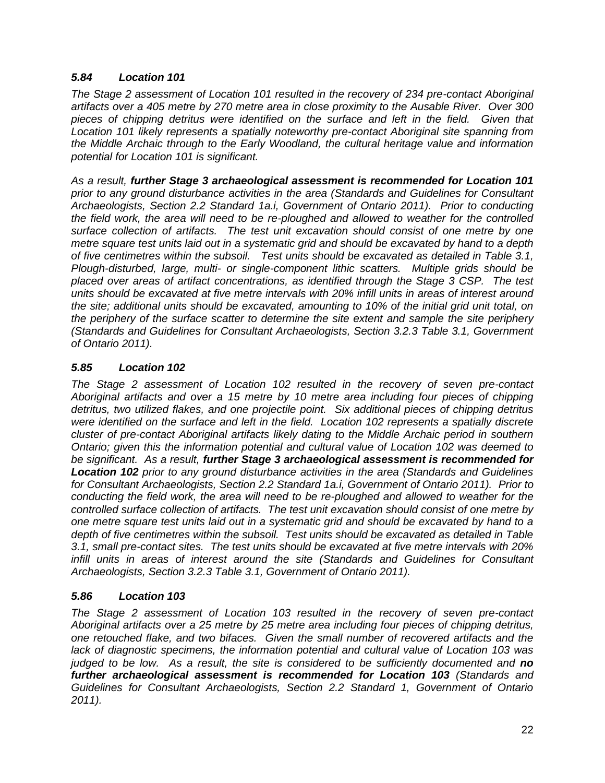### *5.84 Location 101*

*The Stage 2 assessment of Location 101 resulted in the recovery of 234 pre-contact Aboriginal artifacts over a 405 metre by 270 metre area in close proximity to the Ausable River. Over 300 pieces of chipping detritus were identified on the surface and left in the field. Given that Location 101 likely represents a spatially noteworthy pre-contact Aboriginal site spanning from the Middle Archaic through to the Early Woodland, the cultural heritage value and information potential for Location 101 is significant.*

*As a result, further Stage 3 archaeological assessment is recommended for Location 101 prior to any ground disturbance activities in the area (Standards and Guidelines for Consultant Archaeologists, Section 2.2 Standard 1a.i, Government of Ontario 2011). Prior to conducting the field work, the area will need to be re-ploughed and allowed to weather for the controlled surface collection of artifacts. The test unit excavation should consist of one metre by one metre square test units laid out in a systematic grid and should be excavated by hand to a depth of five centimetres within the subsoil. Test units should be excavated as detailed in Table 3.1, Plough-disturbed, large, multi- or single-component lithic scatters. Multiple grids should be placed over areas of artifact concentrations, as identified through the Stage 3 CSP. The test units should be excavated at five metre intervals with 20% infill units in areas of interest around the site; additional units should be excavated, amounting to 10% of the initial grid unit total, on the periphery of the surface scatter to determine the site extent and sample the site periphery (Standards and Guidelines for Consultant Archaeologists, Section 3.2.3 Table 3.1, Government of Ontario 2011).* 

# *5.85 Location 102*

*The Stage 2 assessment of Location 102 resulted in the recovery of seven pre-contact Aboriginal artifacts and over a 15 metre by 10 metre area including four pieces of chipping detritus, two utilized flakes, and one projectile point. Six additional pieces of chipping detritus were identified on the surface and left in the field. Location 102 represents a spatially discrete cluster of pre-contact Aboriginal artifacts likely dating to the Middle Archaic period in southern Ontario; given this the information potential and cultural value of Location 102 was deemed to be significant. As a result, further Stage 3 archaeological assessment is recommended for Location 102 prior to any ground disturbance activities in the area (Standards and Guidelines for Consultant Archaeologists, Section 2.2 Standard 1a.i, Government of Ontario 2011). Prior to conducting the field work, the area will need to be re-ploughed and allowed to weather for the controlled surface collection of artifacts. The test unit excavation should consist of one metre by one metre square test units laid out in a systematic grid and should be excavated by hand to a depth of five centimetres within the subsoil. Test units should be excavated as detailed in Table 3.1, small pre-contact sites. The test units should be excavated at five metre intervals with 20% infill units in areas of interest around the site (Standards and Guidelines for Consultant Archaeologists, Section 3.2.3 Table 3.1, Government of Ontario 2011).* 

# *5.86 Location 103*

*The Stage 2 assessment of Location 103 resulted in the recovery of seven pre-contact Aboriginal artifacts over a 25 metre by 25 metre area including four pieces of chipping detritus, one retouched flake, and two bifaces. Given the small number of recovered artifacts and the lack of diagnostic specimens, the information potential and cultural value of Location 103 was judged to be low. As a result, the site is considered to be sufficiently documented and no further archaeological assessment is recommended for Location 103 (Standards and Guidelines for Consultant Archaeologists, Section 2.2 Standard 1, Government of Ontario 2011).*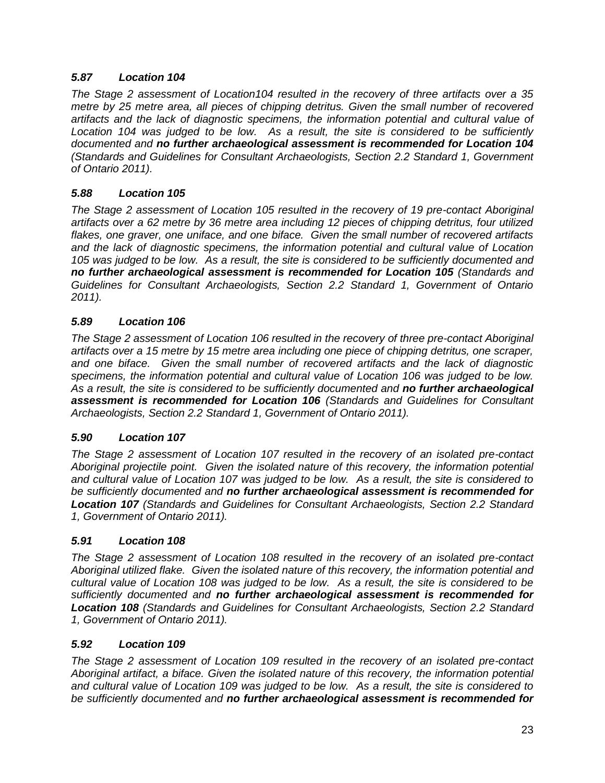### *5.87 Location 104*

*The Stage 2 assessment of Location104 resulted in the recovery of three artifacts over a 35 metre by 25 metre area, all pieces of chipping detritus. Given the small number of recovered artifacts and the lack of diagnostic specimens, the information potential and cultural value of Location 104 was judged to be low. As a result, the site is considered to be sufficiently documented and no further archaeological assessment is recommended for Location 104 (Standards and Guidelines for Consultant Archaeologists, Section 2.2 Standard 1, Government of Ontario 2011).*

### *5.88 Location 105*

*The Stage 2 assessment of Location 105 resulted in the recovery of 19 pre-contact Aboriginal artifacts over a 62 metre by 36 metre area including 12 pieces of chipping detritus, four utilized flakes, one graver, one uniface, and one biface. Given the small number of recovered artifacts and the lack of diagnostic specimens, the information potential and cultural value of Location 105 was judged to be low. As a result, the site is considered to be sufficiently documented and no further archaeological assessment is recommended for Location 105 (Standards and Guidelines for Consultant Archaeologists, Section 2.2 Standard 1, Government of Ontario 2011).*

#### *5.89 Location 106*

*The Stage 2 assessment of Location 106 resulted in the recovery of three pre-contact Aboriginal artifacts over a 15 metre by 15 metre area including one piece of chipping detritus, one scraper, and one biface. Given the small number of recovered artifacts and the lack of diagnostic specimens, the information potential and cultural value of Location 106 was judged to be low. As a result, the site is considered to be sufficiently documented and no further archaeological assessment is recommended for Location 106 (Standards and Guidelines for Consultant Archaeologists, Section 2.2 Standard 1, Government of Ontario 2011).*

#### *5.90 Location 107*

*The Stage 2 assessment of Location 107 resulted in the recovery of an isolated pre-contact Aboriginal projectile point. Given the isolated nature of this recovery, the information potential and cultural value of Location 107 was judged to be low. As a result, the site is considered to be sufficiently documented and no further archaeological assessment is recommended for Location 107 (Standards and Guidelines for Consultant Archaeologists, Section 2.2 Standard 1, Government of Ontario 2011).*

#### *5.91 Location 108*

*The Stage 2 assessment of Location 108 resulted in the recovery of an isolated pre-contact Aboriginal utilized flake. Given the isolated nature of this recovery, the information potential and cultural value of Location 108 was judged to be low. As a result, the site is considered to be sufficiently documented and no further archaeological assessment is recommended for Location 108 (Standards and Guidelines for Consultant Archaeologists, Section 2.2 Standard 1, Government of Ontario 2011).*

#### *5.92 Location 109*

*The Stage 2 assessment of Location 109 resulted in the recovery of an isolated pre-contact Aboriginal artifact, a biface. Given the isolated nature of this recovery, the information potential and cultural value of Location 109 was judged to be low. As a result, the site is considered to be sufficiently documented and no further archaeological assessment is recommended for*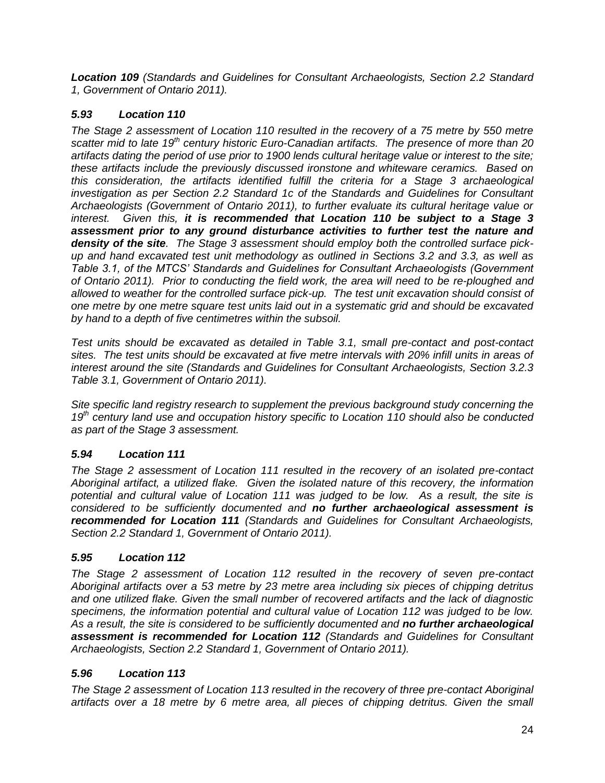*Location 109 (Standards and Guidelines for Consultant Archaeologists, Section 2.2 Standard 1, Government of Ontario 2011).*

# *5.93 Location 110*

*The Stage 2 assessment of Location 110 resulted in the recovery of a 75 metre by 550 metre scatter mid to late 19th century historic Euro-Canadian artifacts. The presence of more than 20 artifacts dating the period of use prior to 1900 lends cultural heritage value or interest to the site; these artifacts include the previously discussed ironstone and whiteware ceramics. Based on this consideration, the artifacts identified fulfill the criteria for a Stage 3 archaeological investigation as per Section 2.2 Standard 1c of the Standards and Guidelines for Consultant Archaeologists (Government of Ontario 2011), to further evaluate its cultural heritage value or interest. Given this, it is recommended that Location 110 be subject to a Stage 3 assessment prior to any ground disturbance activities to further test the nature and density of the site. The Stage 3 assessment should employ both the controlled surface pickup and hand excavated test unit methodology as outlined in Sections 3.2 and 3.3, as well as Table 3.1, of the MTCS' Standards and Guidelines for Consultant Archaeologists (Government of Ontario 2011). Prior to conducting the field work, the area will need to be re-ploughed and allowed to weather for the controlled surface pick-up. The test unit excavation should consist of one metre by one metre square test units laid out in a systematic grid and should be excavated by hand to a depth of five centimetres within the subsoil.* 

*Test units should be excavated as detailed in Table 3.1, small pre-contact and post-contact sites. The test units should be excavated at five metre intervals with 20% infill units in areas of interest around the site (Standards and Guidelines for Consultant Archaeologists, Section 3.2.3 Table 3.1, Government of Ontario 2011).* 

*Site specific land registry research to supplement the previous background study concerning the 19th century land use and occupation history specific to Location 110 should also be conducted as part of the Stage 3 assessment.*

# *5.94 Location 111*

*The Stage 2 assessment of Location 111 resulted in the recovery of an isolated pre-contact Aboriginal artifact, a utilized flake. Given the isolated nature of this recovery, the information potential and cultural value of Location 111 was judged to be low. As a result, the site is considered to be sufficiently documented and no further archaeological assessment is recommended for Location 111 (Standards and Guidelines for Consultant Archaeologists, Section 2.2 Standard 1, Government of Ontario 2011).*

# *5.95 Location 112*

*The Stage 2 assessment of Location 112 resulted in the recovery of seven pre-contact Aboriginal artifacts over a 53 metre by 23 metre area including six pieces of chipping detritus and one utilized flake. Given the small number of recovered artifacts and the lack of diagnostic specimens, the information potential and cultural value of Location 112 was judged to be low. As a result, the site is considered to be sufficiently documented and no further archaeological assessment is recommended for Location 112 (Standards and Guidelines for Consultant Archaeologists, Section 2.2 Standard 1, Government of Ontario 2011).*

# *5.96 Location 113*

*The Stage 2 assessment of Location 113 resulted in the recovery of three pre-contact Aboriginal artifacts over a 18 metre by 6 metre area, all pieces of chipping detritus. Given the small*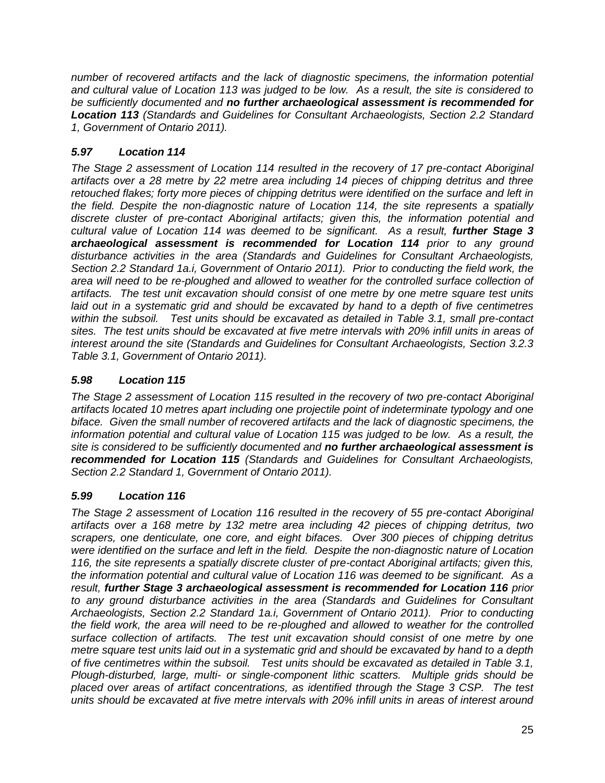*number of recovered artifacts and the lack of diagnostic specimens, the information potential and cultural value of Location 113 was judged to be low. As a result, the site is considered to be sufficiently documented and no further archaeological assessment is recommended for Location 113 (Standards and Guidelines for Consultant Archaeologists, Section 2.2 Standard 1, Government of Ontario 2011).*

# *5.97 Location 114*

*The Stage 2 assessment of Location 114 resulted in the recovery of 17 pre-contact Aboriginal artifacts over a 28 metre by 22 metre area including 14 pieces of chipping detritus and three retouched flakes; forty more pieces of chipping detritus were identified on the surface and left in the field. Despite the non-diagnostic nature of Location 114, the site represents a spatially discrete cluster of pre-contact Aboriginal artifacts; given this, the information potential and cultural value of Location 114 was deemed to be significant. As a result, further Stage 3 archaeological assessment is recommended for Location 114 prior to any ground disturbance activities in the area (Standards and Guidelines for Consultant Archaeologists, Section 2.2 Standard 1a.i, Government of Ontario 2011). Prior to conducting the field work, the area will need to be re-ploughed and allowed to weather for the controlled surface collection of artifacts. The test unit excavation should consist of one metre by one metre square test units laid out in a systematic grid and should be excavated by hand to a depth of five centimetres within the subsoil. Test units should be excavated as detailed in Table 3.1, small pre-contact sites. The test units should be excavated at five metre intervals with 20% infill units in areas of interest around the site (Standards and Guidelines for Consultant Archaeologists, Section 3.2.3 Table 3.1, Government of Ontario 2011).* 

# *5.98 Location 115*

*The Stage 2 assessment of Location 115 resulted in the recovery of two pre-contact Aboriginal artifacts located 10 metres apart including one projectile point of indeterminate typology and one biface. Given the small number of recovered artifacts and the lack of diagnostic specimens, the information potential and cultural value of Location 115 was judged to be low. As a result, the site is considered to be sufficiently documented and no further archaeological assessment is recommended for Location 115 (Standards and Guidelines for Consultant Archaeologists, Section 2.2 Standard 1, Government of Ontario 2011).*

# *5.99 Location 116*

*The Stage 2 assessment of Location 116 resulted in the recovery of 55 pre-contact Aboriginal artifacts over a 168 metre by 132 metre area including 42 pieces of chipping detritus, two scrapers, one denticulate, one core, and eight bifaces. Over 300 pieces of chipping detritus were identified on the surface and left in the field. Despite the non-diagnostic nature of Location 116, the site represents a spatially discrete cluster of pre-contact Aboriginal artifacts; given this, the information potential and cultural value of Location 116 was deemed to be significant. As a result, further Stage 3 archaeological assessment is recommended for Location 116 prior to any ground disturbance activities in the area (Standards and Guidelines for Consultant Archaeologists, Section 2.2 Standard 1a.i, Government of Ontario 2011). Prior to conducting the field work, the area will need to be re-ploughed and allowed to weather for the controlled surface collection of artifacts. The test unit excavation should consist of one metre by one metre square test units laid out in a systematic grid and should be excavated by hand to a depth of five centimetres within the subsoil. Test units should be excavated as detailed in Table 3.1, Plough-disturbed, large, multi- or single-component lithic scatters. Multiple grids should be placed over areas of artifact concentrations, as identified through the Stage 3 CSP. The test units should be excavated at five metre intervals with 20% infill units in areas of interest around*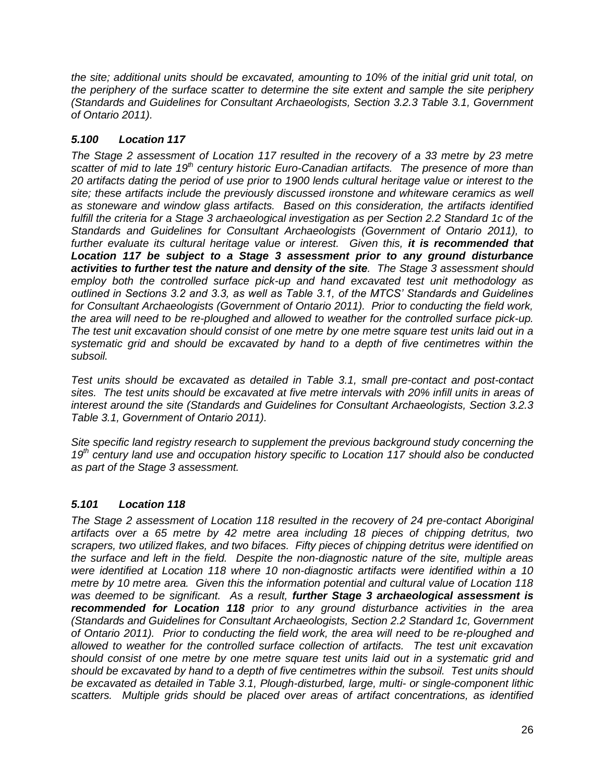*the site; additional units should be excavated, amounting to 10% of the initial grid unit total, on the periphery of the surface scatter to determine the site extent and sample the site periphery (Standards and Guidelines for Consultant Archaeologists, Section 3.2.3 Table 3.1, Government of Ontario 2011).* 

# *5.100 Location 117*

*The Stage 2 assessment of Location 117 resulted in the recovery of a 33 metre by 23 metre scatter of mid to late 19th century historic Euro-Canadian artifacts. The presence of more than 20 artifacts dating the period of use prior to 1900 lends cultural heritage value or interest to the site; these artifacts include the previously discussed ironstone and whiteware ceramics as well as stoneware and window glass artifacts. Based on this consideration, the artifacts identified fulfill the criteria for a Stage 3 archaeological investigation as per Section 2.2 Standard 1c of the Standards and Guidelines for Consultant Archaeologists (Government of Ontario 2011), to*  further evaluate its cultural heritage value or interest. Given this, it is recommended that *Location 117 be subject to a Stage 3 assessment prior to any ground disturbance activities to further test the nature and density of the site. The Stage 3 assessment should employ both the controlled surface pick-up and hand excavated test unit methodology as outlined in Sections 3.2 and 3.3, as well as Table 3.1, of the MTCS' Standards and Guidelines for Consultant Archaeologists (Government of Ontario 2011). Prior to conducting the field work, the area will need to be re-ploughed and allowed to weather for the controlled surface pick-up. The test unit excavation should consist of one metre by one metre square test units laid out in a systematic grid and should be excavated by hand to a depth of five centimetres within the subsoil.* 

*Test units should be excavated as detailed in Table 3.1, small pre-contact and post-contact sites. The test units should be excavated at five metre intervals with 20% infill units in areas of interest around the site (Standards and Guidelines for Consultant Archaeologists, Section 3.2.3 Table 3.1, Government of Ontario 2011).* 

*Site specific land registry research to supplement the previous background study concerning the 19th century land use and occupation history specific to Location 117 should also be conducted as part of the Stage 3 assessment.*

# *5.101 Location 118*

*The Stage 2 assessment of Location 118 resulted in the recovery of 24 pre-contact Aboriginal artifacts over a 65 metre by 42 metre area including 18 pieces of chipping detritus, two scrapers, two utilized flakes, and two bifaces. Fifty pieces of chipping detritus were identified on the surface and left in the field. Despite the non-diagnostic nature of the site, multiple areas were identified at Location 118 where 10 non-diagnostic artifacts were identified within a 10 metre by 10 metre area. Given this the information potential and cultural value of Location 118 was deemed to be significant. As a result, further Stage 3 archaeological assessment is recommended for Location 118 prior to any ground disturbance activities in the area (Standards and Guidelines for Consultant Archaeologists, Section 2.2 Standard 1c, Government of Ontario 2011). Prior to conducting the field work, the area will need to be re-ploughed and allowed to weather for the controlled surface collection of artifacts. The test unit excavation should consist of one metre by one metre square test units laid out in a systematic grid and should be excavated by hand to a depth of five centimetres within the subsoil. Test units should be excavated as detailed in Table 3.1, Plough-disturbed, large, multi- or single-component lithic scatters. Multiple grids should be placed over areas of artifact concentrations, as identified*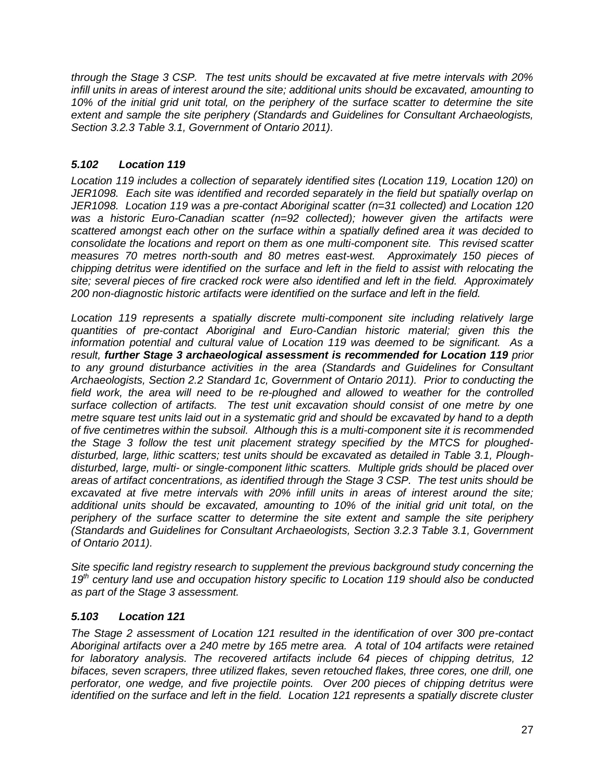*through the Stage 3 CSP. The test units should be excavated at five metre intervals with 20% infill units in areas of interest around the site; additional units should be excavated, amounting to*  10% of the initial grid unit total, on the periphery of the surface scatter to determine the site *extent and sample the site periphery (Standards and Guidelines for Consultant Archaeologists, Section 3.2.3 Table 3.1, Government of Ontario 2011).* 

# *5.102 Location 119*

*Location 119 includes a collection of separately identified sites (Location 119, Location 120) on JER1098. Each site was identified and recorded separately in the field but spatially overlap on JER1098. Location 119 was a pre-contact Aboriginal scatter (n=31 collected) and Location 120 was a historic Euro-Canadian scatter (n=92 collected); however given the artifacts were scattered amongst each other on the surface within a spatially defined area it was decided to consolidate the locations and report on them as one multi-component site. This revised scatter measures 70 metres north-south and 80 metres east-west. Approximately 150 pieces of chipping detritus were identified on the surface and left in the field to assist with relocating the site; several pieces of fire cracked rock were also identified and left in the field. Approximately 200 non-diagnostic historic artifacts were identified on the surface and left in the field.* 

*Location 119 represents a spatially discrete multi-component site including relatively large quantities of pre-contact Aboriginal and Euro-Candian historic material; given this the information potential and cultural value of Location 119 was deemed to be significant. As a result, further Stage 3 archaeological assessment is recommended for Location 119 prior to any ground disturbance activities in the area (Standards and Guidelines for Consultant Archaeologists, Section 2.2 Standard 1c, Government of Ontario 2011). Prior to conducting the field work, the area will need to be re-ploughed and allowed to weather for the controlled surface collection of artifacts. The test unit excavation should consist of one metre by one metre square test units laid out in a systematic grid and should be excavated by hand to a depth of five centimetres within the subsoil. Although this is a multi-component site it is recommended the Stage 3 follow the test unit placement strategy specified by the MTCS for plougheddisturbed, large, lithic scatters; test units should be excavated as detailed in Table 3.1, Ploughdisturbed, large, multi- or single-component lithic scatters. Multiple grids should be placed over areas of artifact concentrations, as identified through the Stage 3 CSP. The test units should be excavated at five metre intervals with 20% infill units in areas of interest around the site; additional units should be excavated, amounting to 10% of the initial grid unit total, on the periphery of the surface scatter to determine the site extent and sample the site periphery (Standards and Guidelines for Consultant Archaeologists, Section 3.2.3 Table 3.1, Government of Ontario 2011).* 

*Site specific land registry research to supplement the previous background study concerning the 19th century land use and occupation history specific to Location 119 should also be conducted as part of the Stage 3 assessment.*

# *5.103 Location 121*

*The Stage 2 assessment of Location 121 resulted in the identification of over 300 pre-contact Aboriginal artifacts over a 240 metre by 165 metre area. A total of 104 artifacts were retained for laboratory analysis. The recovered artifacts include 64 pieces of chipping detritus, 12 bifaces, seven scrapers, three utilized flakes, seven retouched flakes, three cores, one drill, one perforator, one wedge, and five projectile points. Over 200 pieces of chipping detritus were identified on the surface and left in the field. Location 121 represents a spatially discrete cluster*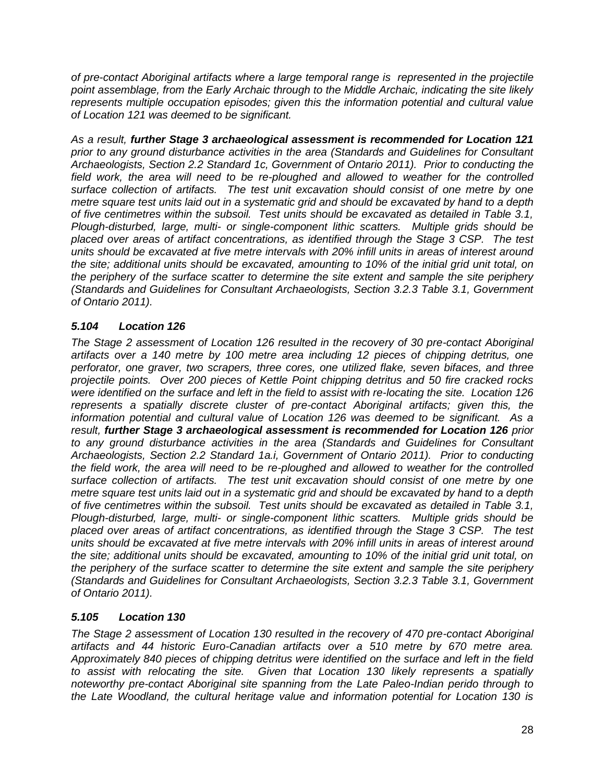*of pre-contact Aboriginal artifacts where a large temporal range is represented in the projectile point assemblage, from the Early Archaic through to the Middle Archaic, indicating the site likely represents multiple occupation episodes; given this the information potential and cultural value of Location 121 was deemed to be significant.* 

*As a result, further Stage 3 archaeological assessment is recommended for Location 121 prior to any ground disturbance activities in the area (Standards and Guidelines for Consultant Archaeologists, Section 2.2 Standard 1c, Government of Ontario 2011). Prior to conducting the field work, the area will need to be re-ploughed and allowed to weather for the controlled surface collection of artifacts. The test unit excavation should consist of one metre by one metre square test units laid out in a systematic grid and should be excavated by hand to a depth of five centimetres within the subsoil. Test units should be excavated as detailed in Table 3.1, Plough-disturbed, large, multi- or single-component lithic scatters. Multiple grids should be placed over areas of artifact concentrations, as identified through the Stage 3 CSP. The test units should be excavated at five metre intervals with 20% infill units in areas of interest around the site; additional units should be excavated, amounting to 10% of the initial grid unit total, on the periphery of the surface scatter to determine the site extent and sample the site periphery (Standards and Guidelines for Consultant Archaeologists, Section 3.2.3 Table 3.1, Government of Ontario 2011).* 

# *5.104 Location 126*

*The Stage 2 assessment of Location 126 resulted in the recovery of 30 pre-contact Aboriginal artifacts over a 140 metre by 100 metre area including 12 pieces of chipping detritus, one perforator, one graver, two scrapers, three cores, one utilized flake, seven bifaces, and three projectile points. Over 200 pieces of Kettle Point chipping detritus and 50 fire cracked rocks were identified on the surface and left in the field to assist with re-locating the site. Location 126 represents a spatially discrete cluster of pre-contact Aboriginal artifacts; given this, the information potential and cultural value of Location 126 was deemed to be significant. As a result, further Stage 3 archaeological assessment is recommended for Location 126 prior to any ground disturbance activities in the area (Standards and Guidelines for Consultant Archaeologists, Section 2.2 Standard 1a.i, Government of Ontario 2011). Prior to conducting the field work, the area will need to be re-ploughed and allowed to weather for the controlled surface collection of artifacts. The test unit excavation should consist of one metre by one metre square test units laid out in a systematic grid and should be excavated by hand to a depth of five centimetres within the subsoil. Test units should be excavated as detailed in Table 3.1, Plough-disturbed, large, multi- or single-component lithic scatters. Multiple grids should be placed over areas of artifact concentrations, as identified through the Stage 3 CSP. The test units should be excavated at five metre intervals with 20% infill units in areas of interest around the site; additional units should be excavated, amounting to 10% of the initial grid unit total, on the periphery of the surface scatter to determine the site extent and sample the site periphery (Standards and Guidelines for Consultant Archaeologists, Section 3.2.3 Table 3.1, Government of Ontario 2011).* 

# *5.105 Location 130*

*The Stage 2 assessment of Location 130 resulted in the recovery of 470 pre-contact Aboriginal artifacts and 44 historic Euro-Canadian artifacts over a 510 metre by 670 metre area. Approximately 840 pieces of chipping detritus were identified on the surface and left in the field to assist with relocating the site. Given that Location 130 likely represents a spatially noteworthy pre-contact Aboriginal site spanning from the Late Paleo-Indian perido through to the Late Woodland, the cultural heritage value and information potential for Location 130 is*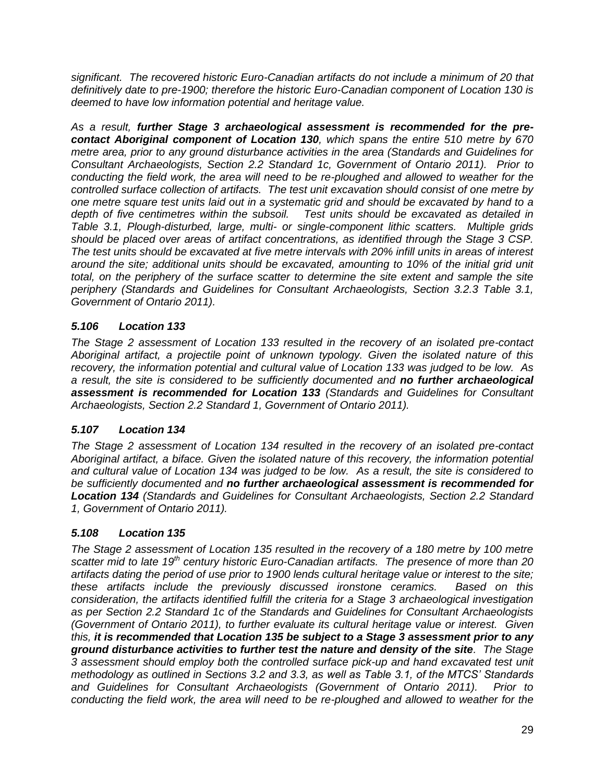*significant. The recovered historic Euro-Canadian artifacts do not include a minimum of 20 that definitively date to pre-1900; therefore the historic Euro-Canadian component of Location 130 is deemed to have low information potential and heritage value.*

*As a result, further Stage 3 archaeological assessment is recommended for the precontact Aboriginal component of Location 130, which spans the entire 510 metre by 670 metre area, prior to any ground disturbance activities in the area (Standards and Guidelines for Consultant Archaeologists, Section 2.2 Standard 1c, Government of Ontario 2011). Prior to conducting the field work, the area will need to be re-ploughed and allowed to weather for the controlled surface collection of artifacts. The test unit excavation should consist of one metre by one metre square test units laid out in a systematic grid and should be excavated by hand to a depth of five centimetres within the subsoil. Test units should be excavated as detailed in Table 3.1, Plough-disturbed, large, multi- or single-component lithic scatters. Multiple grids should be placed over areas of artifact concentrations, as identified through the Stage 3 CSP. The test units should be excavated at five metre intervals with 20% infill units in areas of interest around the site; additional units should be excavated, amounting to 10% of the initial grid unit total, on the periphery of the surface scatter to determine the site extent and sample the site periphery (Standards and Guidelines for Consultant Archaeologists, Section 3.2.3 Table 3.1, Government of Ontario 2011).*

# *5.106 Location 133*

*The Stage 2 assessment of Location 133 resulted in the recovery of an isolated pre-contact Aboriginal artifact, a projectile point of unknown typology. Given the isolated nature of this recovery, the information potential and cultural value of Location 133 was judged to be low. As a result, the site is considered to be sufficiently documented and no further archaeological assessment is recommended for Location 133 (Standards and Guidelines for Consultant Archaeologists, Section 2.2 Standard 1, Government of Ontario 2011).*

# *5.107 Location 134*

*The Stage 2 assessment of Location 134 resulted in the recovery of an isolated pre-contact Aboriginal artifact, a biface. Given the isolated nature of this recovery, the information potential and cultural value of Location 134 was judged to be low. As a result, the site is considered to be sufficiently documented and no further archaeological assessment is recommended for Location 134 (Standards and Guidelines for Consultant Archaeologists, Section 2.2 Standard 1, Government of Ontario 2011).*

# *5.108 Location 135*

*The Stage 2 assessment of Location 135 resulted in the recovery of a 180 metre by 100 metre scatter mid to late 19th century historic Euro-Canadian artifacts. The presence of more than 20 artifacts dating the period of use prior to 1900 lends cultural heritage value or interest to the site; these artifacts include the previously discussed ironstone ceramics. Based on this consideration, the artifacts identified fulfill the criteria for a Stage 3 archaeological investigation as per Section 2.2 Standard 1c of the Standards and Guidelines for Consultant Archaeologists (Government of Ontario 2011), to further evaluate its cultural heritage value or interest. Given this, it is recommended that Location 135 be subject to a Stage 3 assessment prior to any ground disturbance activities to further test the nature and density of the site. The Stage 3 assessment should employ both the controlled surface pick-up and hand excavated test unit methodology as outlined in Sections 3.2 and 3.3, as well as Table 3.1, of the MTCS' Standards and Guidelines for Consultant Archaeologists (Government of Ontario 2011). Prior to conducting the field work, the area will need to be re-ploughed and allowed to weather for the*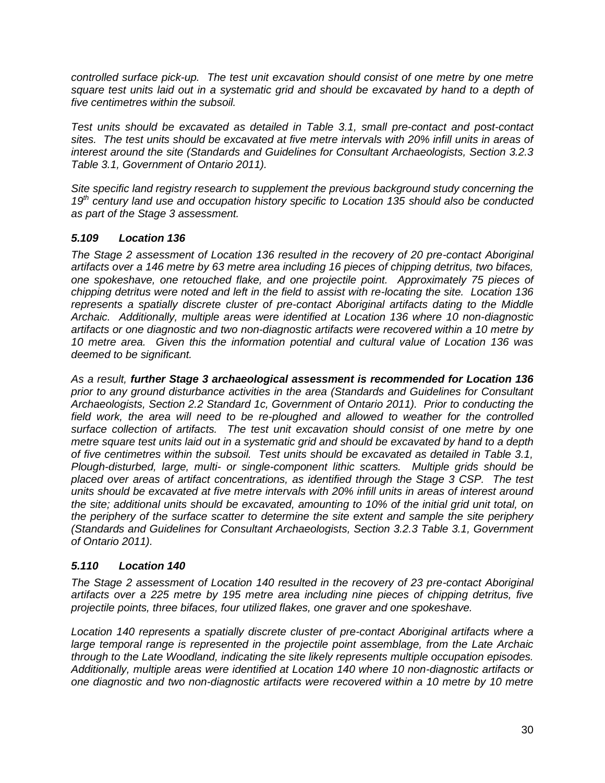*controlled surface pick-up. The test unit excavation should consist of one metre by one metre square test units laid out in a systematic grid and should be excavated by hand to a depth of five centimetres within the subsoil.* 

*Test units should be excavated as detailed in Table 3.1, small pre-contact and post-contact sites. The test units should be excavated at five metre intervals with 20% infill units in areas of interest around the site (Standards and Guidelines for Consultant Archaeologists, Section 3.2.3 Table 3.1, Government of Ontario 2011).* 

*Site specific land registry research to supplement the previous background study concerning the 19th century land use and occupation history specific to Location 135 should also be conducted as part of the Stage 3 assessment.*

### *5.109 Location 136*

*The Stage 2 assessment of Location 136 resulted in the recovery of 20 pre-contact Aboriginal artifacts over a 146 metre by 63 metre area including 16 pieces of chipping detritus, two bifaces, one spokeshave, one retouched flake, and one projectile point. Approximately 75 pieces of chipping detritus were noted and left in the field to assist with re-locating the site. Location 136 represents a spatially discrete cluster of pre-contact Aboriginal artifacts dating to the Middle Archaic. Additionally, multiple areas were identified at Location 136 where 10 non-diagnostic artifacts or one diagnostic and two non-diagnostic artifacts were recovered within a 10 metre by 10 metre area. Given this the information potential and cultural value of Location 136 was deemed to be significant.*

*As a result, further Stage 3 archaeological assessment is recommended for Location 136 prior to any ground disturbance activities in the area (Standards and Guidelines for Consultant Archaeologists, Section 2.2 Standard 1c, Government of Ontario 2011). Prior to conducting the field work, the area will need to be re-ploughed and allowed to weather for the controlled surface collection of artifacts. The test unit excavation should consist of one metre by one metre square test units laid out in a systematic grid and should be excavated by hand to a depth of five centimetres within the subsoil. Test units should be excavated as detailed in Table 3.1, Plough-disturbed, large, multi- or single-component lithic scatters. Multiple grids should be placed over areas of artifact concentrations, as identified through the Stage 3 CSP. The test units should be excavated at five metre intervals with 20% infill units in areas of interest around the site; additional units should be excavated, amounting to 10% of the initial grid unit total, on the periphery of the surface scatter to determine the site extent and sample the site periphery (Standards and Guidelines for Consultant Archaeologists, Section 3.2.3 Table 3.1, Government of Ontario 2011).* 

# *5.110 Location 140*

*The Stage 2 assessment of Location 140 resulted in the recovery of 23 pre-contact Aboriginal artifacts over a 225 metre by 195 metre area including nine pieces of chipping detritus, five projectile points, three bifaces, four utilized flakes, one graver and one spokeshave.* 

*Location 140 represents a spatially discrete cluster of pre-contact Aboriginal artifacts where a large temporal range is represented in the projectile point assemblage, from the Late Archaic through to the Late Woodland, indicating the site likely represents multiple occupation episodes. Additionally, multiple areas were identified at Location 140 where 10 non-diagnostic artifacts or one diagnostic and two non-diagnostic artifacts were recovered within a 10 metre by 10 metre*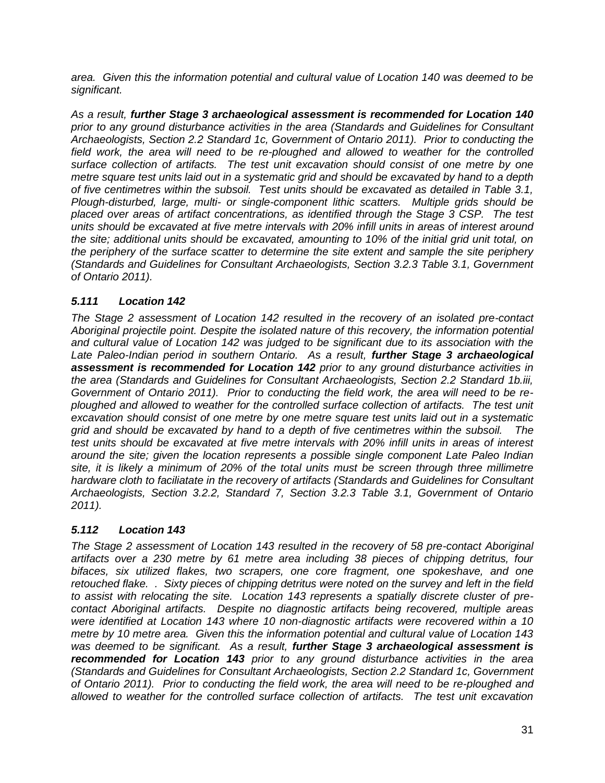*area. Given this the information potential and cultural value of Location 140 was deemed to be significant.*

*As a result, further Stage 3 archaeological assessment is recommended for Location 140 prior to any ground disturbance activities in the area (Standards and Guidelines for Consultant Archaeologists, Section 2.2 Standard 1c, Government of Ontario 2011). Prior to conducting the field work, the area will need to be re-ploughed and allowed to weather for the controlled surface collection of artifacts. The test unit excavation should consist of one metre by one metre square test units laid out in a systematic grid and should be excavated by hand to a depth of five centimetres within the subsoil. Test units should be excavated as detailed in Table 3.1, Plough-disturbed, large, multi- or single-component lithic scatters. Multiple grids should be placed over areas of artifact concentrations, as identified through the Stage 3 CSP. The test units should be excavated at five metre intervals with 20% infill units in areas of interest around the site; additional units should be excavated, amounting to 10% of the initial grid unit total, on the periphery of the surface scatter to determine the site extent and sample the site periphery (Standards and Guidelines for Consultant Archaeologists, Section 3.2.3 Table 3.1, Government of Ontario 2011).* 

# *5.111 Location 142*

*The Stage 2 assessment of Location 142 resulted in the recovery of an isolated pre-contact Aboriginal projectile point. Despite the isolated nature of this recovery, the information potential and cultural value of Location 142 was judged to be significant due to its association with the*  Late Paleo-Indian period in southern Ontario. As a result, *further Stage 3 archaeological assessment is recommended for Location 142 prior to any ground disturbance activities in the area (Standards and Guidelines for Consultant Archaeologists, Section 2.2 Standard 1b.iii, Government of Ontario 2011). Prior to conducting the field work, the area will need to be re*ploughed and allowed to weather for the controlled surface collection of artifacts. The test unit *excavation should consist of one metre by one metre square test units laid out in a systematic grid and should be excavated by hand to a depth of five centimetres within the subsoil. The test units should be excavated at five metre intervals with 20% infill units in areas of interest around the site; given the location represents a possible single component Late Paleo Indian site, it is likely a minimum of 20% of the total units must be screen through three millimetre hardware cloth to faciliatate in the recovery of artifacts (Standards and Guidelines for Consultant Archaeologists, Section 3.2.2, Standard 7, Section 3.2.3 Table 3.1, Government of Ontario 2011).* 

# *5.112 Location 143*

*The Stage 2 assessment of Location 143 resulted in the recovery of 58 pre-contact Aboriginal artifacts over a 230 metre by 61 metre area including 38 pieces of chipping detritus, four bifaces, six utilized flakes, two scrapers, one core fragment, one spokeshave, and one retouched flake. . Sixty pieces of chipping detritus were noted on the survey and left in the field to assist with relocating the site. Location 143 represents a spatially discrete cluster of precontact Aboriginal artifacts. Despite no diagnostic artifacts being recovered, multiple areas were identified at Location 143 where 10 non-diagnostic artifacts were recovered within a 10 metre by 10 metre area. Given this the information potential and cultural value of Location 143 was deemed to be significant. As a result, further Stage 3 archaeological assessment is recommended for Location 143 prior to any ground disturbance activities in the area (Standards and Guidelines for Consultant Archaeologists, Section 2.2 Standard 1c, Government of Ontario 2011). Prior to conducting the field work, the area will need to be re-ploughed and allowed to weather for the controlled surface collection of artifacts. The test unit excavation*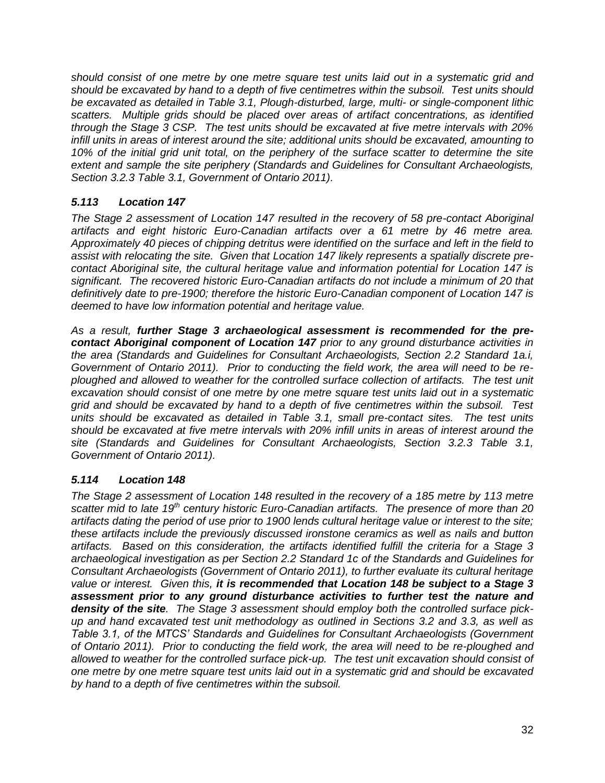*should consist of one metre by one metre square test units laid out in a systematic grid and should be excavated by hand to a depth of five centimetres within the subsoil. Test units should be excavated as detailed in Table 3.1, Plough-disturbed, large, multi- or single-component lithic scatters. Multiple grids should be placed over areas of artifact concentrations, as identified through the Stage 3 CSP. The test units should be excavated at five metre intervals with 20% infill units in areas of interest around the site; additional units should be excavated, amounting to 10% of the initial grid unit total, on the periphery of the surface scatter to determine the site extent and sample the site periphery (Standards and Guidelines for Consultant Archaeologists, Section 3.2.3 Table 3.1, Government of Ontario 2011).* 

# *5.113 Location 147*

*The Stage 2 assessment of Location 147 resulted in the recovery of 58 pre-contact Aboriginal artifacts and eight historic Euro-Canadian artifacts over a 61 metre by 46 metre area. Approximately 40 pieces of chipping detritus were identified on the surface and left in the field to assist with relocating the site. Given that Location 147 likely represents a spatially discrete precontact Aboriginal site, the cultural heritage value and information potential for Location 147 is significant. The recovered historic Euro-Canadian artifacts do not include a minimum of 20 that definitively date to pre-1900; therefore the historic Euro-Canadian component of Location 147 is deemed to have low information potential and heritage value.*

*As a result, further Stage 3 archaeological assessment is recommended for the precontact Aboriginal component of Location 147 prior to any ground disturbance activities in the area (Standards and Guidelines for Consultant Archaeologists, Section 2.2 Standard 1a.i, Government of Ontario 2011). Prior to conducting the field work, the area will need to be reploughed and allowed to weather for the controlled surface collection of artifacts. The test unit excavation should consist of one metre by one metre square test units laid out in a systematic grid and should be excavated by hand to a depth of five centimetres within the subsoil. Test units should be excavated as detailed in Table 3.1, small pre-contact sites. The test units should be excavated at five metre intervals with 20% infill units in areas of interest around the site (Standards and Guidelines for Consultant Archaeologists, Section 3.2.3 Table 3.1, Government of Ontario 2011).* 

# *5.114 Location 148*

*The Stage 2 assessment of Location 148 resulted in the recovery of a 185 metre by 113 metre scatter mid to late 19th century historic Euro-Canadian artifacts. The presence of more than 20 artifacts dating the period of use prior to 1900 lends cultural heritage value or interest to the site; these artifacts include the previously discussed ironstone ceramics as well as nails and button artifacts. Based on this consideration, the artifacts identified fulfill the criteria for a Stage 3 archaeological investigation as per Section 2.2 Standard 1c of the Standards and Guidelines for Consultant Archaeologists (Government of Ontario 2011), to further evaluate its cultural heritage value or interest. Given this, it is recommended that Location 148 be subject to a Stage 3 assessment prior to any ground disturbance activities to further test the nature and density of the site. The Stage 3 assessment should employ both the controlled surface pickup and hand excavated test unit methodology as outlined in Sections 3.2 and 3.3, as well as Table 3.1, of the MTCS' Standards and Guidelines for Consultant Archaeologists (Government of Ontario 2011). Prior to conducting the field work, the area will need to be re-ploughed and allowed to weather for the controlled surface pick-up. The test unit excavation should consist of one metre by one metre square test units laid out in a systematic grid and should be excavated by hand to a depth of five centimetres within the subsoil.*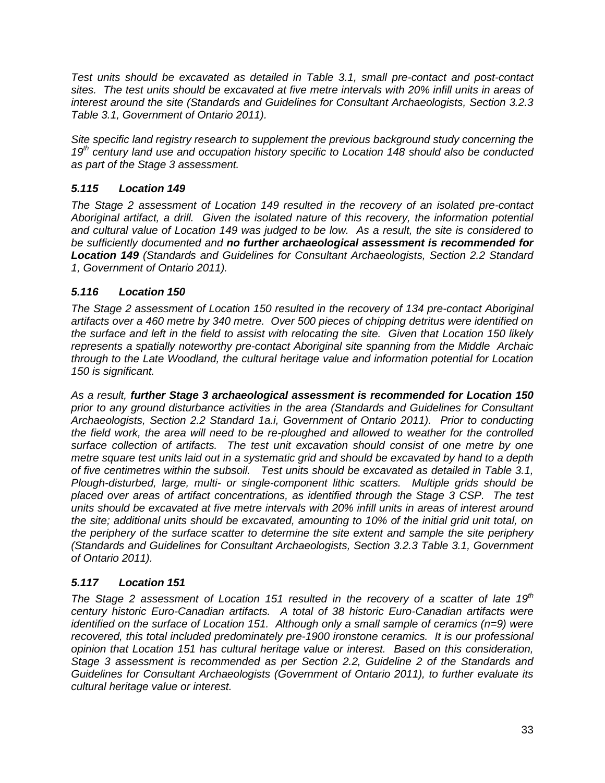*Test units should be excavated as detailed in Table 3.1, small pre-contact and post-contact sites. The test units should be excavated at five metre intervals with 20% infill units in areas of interest around the site (Standards and Guidelines for Consultant Archaeologists, Section 3.2.3 Table 3.1, Government of Ontario 2011).* 

*Site specific land registry research to supplement the previous background study concerning the 19th century land use and occupation history specific to Location 148 should also be conducted as part of the Stage 3 assessment.*

# *5.115 Location 149*

*The Stage 2 assessment of Location 149 resulted in the recovery of an isolated pre-contact Aboriginal artifact, a drill. Given the isolated nature of this recovery, the information potential and cultural value of Location 149 was judged to be low. As a result, the site is considered to be sufficiently documented and no further archaeological assessment is recommended for Location 149 (Standards and Guidelines for Consultant Archaeologists, Section 2.2 Standard 1, Government of Ontario 2011).*

# *5.116 Location 150*

*The Stage 2 assessment of Location 150 resulted in the recovery of 134 pre-contact Aboriginal artifacts over a 460 metre by 340 metre. Over 500 pieces of chipping detritus were identified on the surface and left in the field to assist with relocating the site. Given that Location 150 likely represents a spatially noteworthy pre-contact Aboriginal site spanning from the Middle Archaic through to the Late Woodland, the cultural heritage value and information potential for Location 150 is significant.*

*As a result, further Stage 3 archaeological assessment is recommended for Location 150 prior to any ground disturbance activities in the area (Standards and Guidelines for Consultant Archaeologists, Section 2.2 Standard 1a.i, Government of Ontario 2011). Prior to conducting the field work, the area will need to be re-ploughed and allowed to weather for the controlled surface collection of artifacts. The test unit excavation should consist of one metre by one metre square test units laid out in a systematic grid and should be excavated by hand to a depth of five centimetres within the subsoil. Test units should be excavated as detailed in Table 3.1, Plough-disturbed, large, multi- or single-component lithic scatters. Multiple grids should be placed over areas of artifact concentrations, as identified through the Stage 3 CSP. The test units should be excavated at five metre intervals with 20% infill units in areas of interest around the site; additional units should be excavated, amounting to 10% of the initial grid unit total, on the periphery of the surface scatter to determine the site extent and sample the site periphery (Standards and Guidelines for Consultant Archaeologists, Section 3.2.3 Table 3.1, Government of Ontario 2011).* 

# *5.117 Location 151*

*The Stage 2 assessment of Location 151 resulted in the recovery of a scatter of late 19th century historic Euro-Canadian artifacts. A total of 38 historic Euro-Canadian artifacts were identified on the surface of Location 151. Although only a small sample of ceramics (n=9) were recovered, this total included predominately pre-1900 ironstone ceramics. It is our professional opinion that Location 151 has cultural heritage value or interest. Based on this consideration, Stage 3 assessment is recommended as per Section 2.2, Guideline 2 of the Standards and Guidelines for Consultant Archaeologists (Government of Ontario 2011), to further evaluate its cultural heritage value or interest.*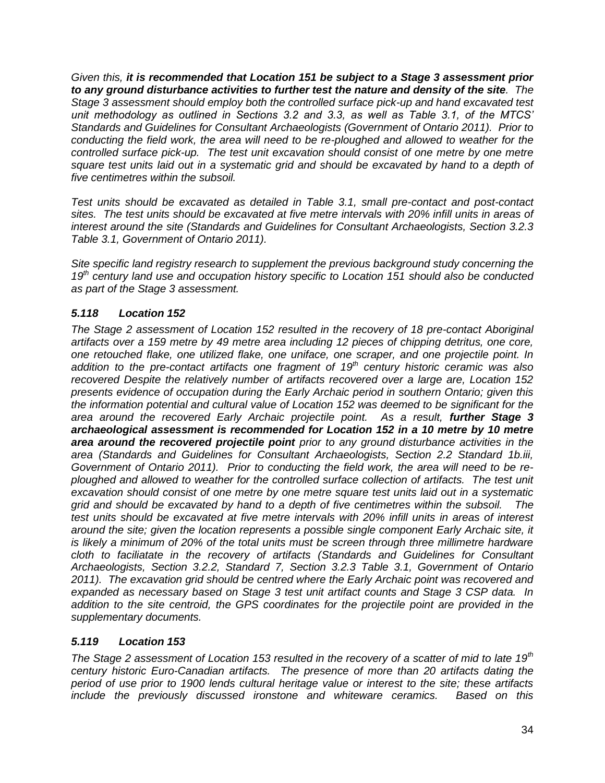*Given this, it is recommended that Location 151 be subject to a Stage 3 assessment prior to any ground disturbance activities to further test the nature and density of the site. The Stage 3 assessment should employ both the controlled surface pick-up and hand excavated test unit methodology as outlined in Sections 3.2 and 3.3, as well as Table 3.1, of the MTCS' Standards and Guidelines for Consultant Archaeologists (Government of Ontario 2011). Prior to conducting the field work, the area will need to be re-ploughed and allowed to weather for the controlled surface pick-up. The test unit excavation should consist of one metre by one metre square test units laid out in a systematic grid and should be excavated by hand to a depth of five centimetres within the subsoil.* 

*Test units should be excavated as detailed in Table 3.1, small pre-contact and post-contact sites. The test units should be excavated at five metre intervals with 20% infill units in areas of interest around the site (Standards and Guidelines for Consultant Archaeologists, Section 3.2.3 Table 3.1, Government of Ontario 2011).* 

*Site specific land registry research to supplement the previous background study concerning the 19th century land use and occupation history specific to Location 151 should also be conducted as part of the Stage 3 assessment.*

# *5.118 Location 152*

*The Stage 2 assessment of Location 152 resulted in the recovery of 18 pre-contact Aboriginal artifacts over a 159 metre by 49 metre area including 12 pieces of chipping detritus, one core, one retouched flake, one utilized flake, one uniface, one scraper, and one projectile point. In addition to the pre-contact artifacts one fragment of 19th century historic ceramic was also recovered Despite the relatively number of artifacts recovered over a large are, Location 152 presents evidence of occupation during the Early Archaic period in southern Ontario; given this the information potential and cultural value of Location 152 was deemed to be significant for the area around the recovered Early Archaic projectile point. As a result, further Stage 3 archaeological assessment is recommended for Location 152 in a 10 metre by 10 metre area around the recovered projectile point prior to any ground disturbance activities in the area (Standards and Guidelines for Consultant Archaeologists, Section 2.2 Standard 1b.iii, Government of Ontario 2011). Prior to conducting the field work, the area will need to be reploughed and allowed to weather for the controlled surface collection of artifacts. The test unit excavation should consist of one metre by one metre square test units laid out in a systematic grid and should be excavated by hand to a depth of five centimetres within the subsoil. The test units should be excavated at five metre intervals with 20% infill units in areas of interest around the site; given the location represents a possible single component Early Archaic site, it is likely a minimum of 20% of the total units must be screen through three millimetre hardware cloth to faciliatate in the recovery of artifacts (Standards and Guidelines for Consultant Archaeologists, Section 3.2.2, Standard 7, Section 3.2.3 Table 3.1, Government of Ontario 2011). The excavation grid should be centred where the Early Archaic point was recovered and expanded as necessary based on Stage 3 test unit artifact counts and Stage 3 CSP data. In addition to the site centroid, the GPS coordinates for the projectile point are provided in the supplementary documents.* 

# *5.119 Location 153*

*The Stage 2 assessment of Location 153 resulted in the recovery of a scatter of mid to late 19th century historic Euro-Canadian artifacts. The presence of more than 20 artifacts dating the period of use prior to 1900 lends cultural heritage value or interest to the site; these artifacts include the previously discussed ironstone and whiteware ceramics. Based on this*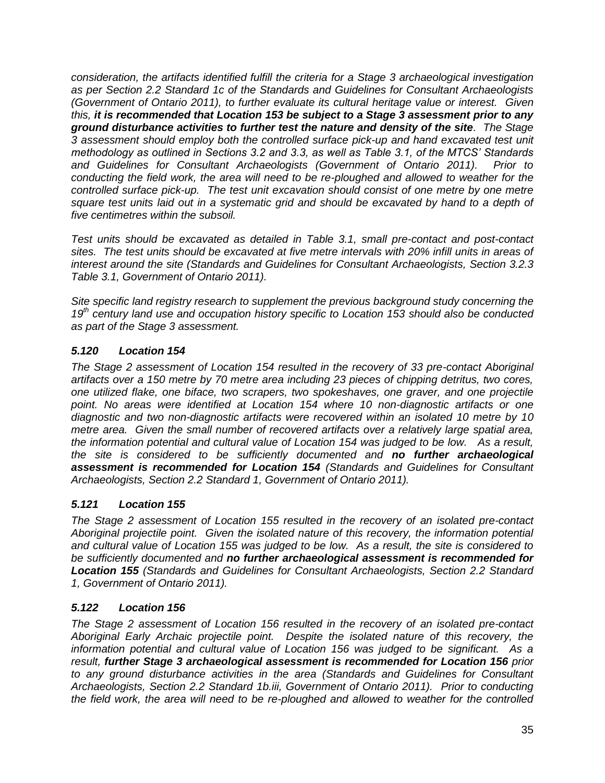*consideration, the artifacts identified fulfill the criteria for a Stage 3 archaeological investigation as per Section 2.2 Standard 1c of the Standards and Guidelines for Consultant Archaeologists (Government of Ontario 2011), to further evaluate its cultural heritage value or interest. Given this, it is recommended that Location 153 be subject to a Stage 3 assessment prior to any ground disturbance activities to further test the nature and density of the site. The Stage 3 assessment should employ both the controlled surface pick-up and hand excavated test unit methodology as outlined in Sections 3.2 and 3.3, as well as Table 3.1, of the MTCS' Standards and Guidelines for Consultant Archaeologists (Government of Ontario 2011). Prior to conducting the field work, the area will need to be re-ploughed and allowed to weather for the controlled surface pick-up. The test unit excavation should consist of one metre by one metre square test units laid out in a systematic grid and should be excavated by hand to a depth of five centimetres within the subsoil.* 

*Test units should be excavated as detailed in Table 3.1, small pre-contact and post-contact sites. The test units should be excavated at five metre intervals with 20% infill units in areas of interest around the site (Standards and Guidelines for Consultant Archaeologists, Section 3.2.3 Table 3.1, Government of Ontario 2011).* 

*Site specific land registry research to supplement the previous background study concerning the 19th century land use and occupation history specific to Location 153 should also be conducted as part of the Stage 3 assessment.*

# *5.120 Location 154*

*The Stage 2 assessment of Location 154 resulted in the recovery of 33 pre-contact Aboriginal artifacts over a 150 metre by 70 metre area including 23 pieces of chipping detritus, two cores, one utilized flake, one biface, two scrapers, two spokeshaves, one graver, and one projectile point. No areas were identified at Location 154 where 10 non-diagnostic artifacts or one diagnostic and two non-diagnostic artifacts were recovered within an isolated 10 metre by 10 metre area. Given the small number of recovered artifacts over a relatively large spatial area, the information potential and cultural value of Location 154 was judged to be low. As a result, the site is considered to be sufficiently documented and no further archaeological assessment is recommended for Location 154 (Standards and Guidelines for Consultant Archaeologists, Section 2.2 Standard 1, Government of Ontario 2011).*

# *5.121 Location 155*

*The Stage 2 assessment of Location 155 resulted in the recovery of an isolated pre-contact Aboriginal projectile point. Given the isolated nature of this recovery, the information potential and cultural value of Location 155 was judged to be low. As a result, the site is considered to be sufficiently documented and no further archaeological assessment is recommended for Location 155 (Standards and Guidelines for Consultant Archaeologists, Section 2.2 Standard 1, Government of Ontario 2011).*

# *5.122 Location 156*

*The Stage 2 assessment of Location 156 resulted in the recovery of an isolated pre-contact Aboriginal Early Archaic projectile point. Despite the isolated nature of this recovery, the information potential and cultural value of Location 156 was judged to be significant. As a result, further Stage 3 archaeological assessment is recommended for Location 156 prior to any ground disturbance activities in the area (Standards and Guidelines for Consultant Archaeologists, Section 2.2 Standard 1b.iii, Government of Ontario 2011). Prior to conducting the field work, the area will need to be re-ploughed and allowed to weather for the controlled*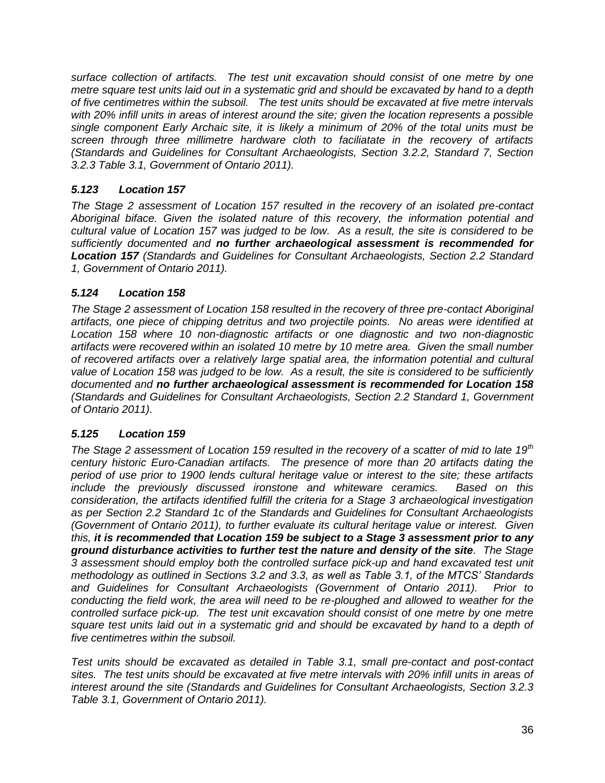*surface collection of artifacts. The test unit excavation should consist of one metre by one metre square test units laid out in a systematic grid and should be excavated by hand to a depth of five centimetres within the subsoil. The test units should be excavated at five metre intervals with 20% infill units in areas of interest around the site; given the location represents a possible single component Early Archaic site, it is likely a minimum of 20% of the total units must be screen through three millimetre hardware cloth to faciliatate in the recovery of artifacts (Standards and Guidelines for Consultant Archaeologists, Section 3.2.2, Standard 7, Section 3.2.3 Table 3.1, Government of Ontario 2011).* 

# *5.123 Location 157*

*The Stage 2 assessment of Location 157 resulted in the recovery of an isolated pre-contact Aboriginal biface. Given the isolated nature of this recovery, the information potential and cultural value of Location 157 was judged to be low. As a result, the site is considered to be sufficiently documented and no further archaeological assessment is recommended for Location 157 (Standards and Guidelines for Consultant Archaeologists, Section 2.2 Standard 1, Government of Ontario 2011).*

# *5.124 Location 158*

*The Stage 2 assessment of Location 158 resulted in the recovery of three pre-contact Aboriginal artifacts, one piece of chipping detritus and two projectile points. No areas were identified at Location 158 where 10 non-diagnostic artifacts or one diagnostic and two non-diagnostic artifacts were recovered within an isolated 10 metre by 10 metre area. Given the small number of recovered artifacts over a relatively large spatial area, the information potential and cultural value of Location 158 was judged to be low. As a result, the site is considered to be sufficiently documented and no further archaeological assessment is recommended for Location 158 (Standards and Guidelines for Consultant Archaeologists, Section 2.2 Standard 1, Government of Ontario 2011).*

# *5.125 Location 159*

*The Stage 2 assessment of Location 159 resulted in the recovery of a scatter of mid to late 19th century historic Euro-Canadian artifacts. The presence of more than 20 artifacts dating the period of use prior to 1900 lends cultural heritage value or interest to the site; these artifacts include the previously discussed ironstone and whiteware ceramics. Based on this consideration, the artifacts identified fulfill the criteria for a Stage 3 archaeological investigation as per Section 2.2 Standard 1c of the Standards and Guidelines for Consultant Archaeologists (Government of Ontario 2011), to further evaluate its cultural heritage value or interest. Given this, it is recommended that Location 159 be subject to a Stage 3 assessment prior to any ground disturbance activities to further test the nature and density of the site. The Stage 3 assessment should employ both the controlled surface pick-up and hand excavated test unit methodology as outlined in Sections 3.2 and 3.3, as well as Table 3.1, of the MTCS' Standards and Guidelines for Consultant Archaeologists (Government of Ontario 2011). Prior to conducting the field work, the area will need to be re-ploughed and allowed to weather for the controlled surface pick-up. The test unit excavation should consist of one metre by one metre square test units laid out in a systematic grid and should be excavated by hand to a depth of five centimetres within the subsoil.* 

*Test units should be excavated as detailed in Table 3.1, small pre-contact and post-contact sites. The test units should be excavated at five metre intervals with 20% infill units in areas of interest around the site (Standards and Guidelines for Consultant Archaeologists, Section 3.2.3 Table 3.1, Government of Ontario 2011).*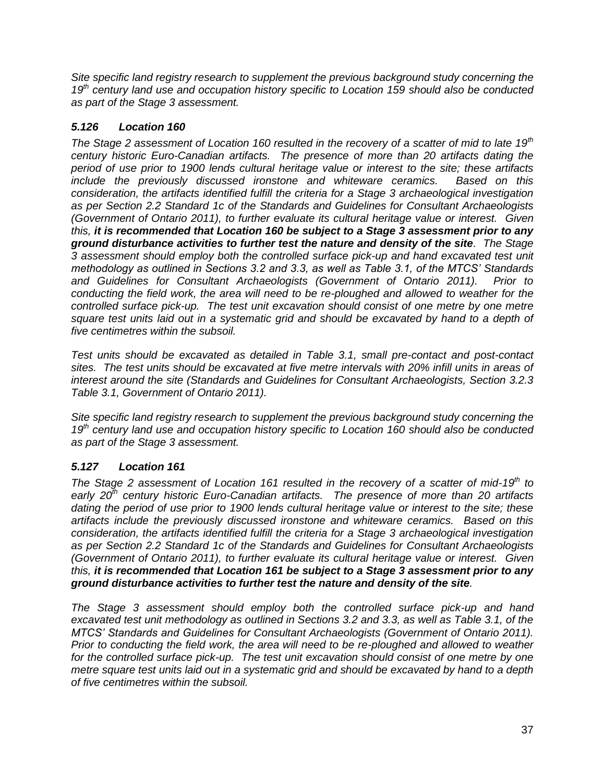*Site specific land registry research to supplement the previous background study concerning the 19th century land use and occupation history specific to Location 159 should also be conducted as part of the Stage 3 assessment.*

## *5.126 Location 160*

*The Stage 2 assessment of Location 160 resulted in the recovery of a scatter of mid to late 19th century historic Euro-Canadian artifacts. The presence of more than 20 artifacts dating the period of use prior to 1900 lends cultural heritage value or interest to the site; these artifacts include the previously discussed ironstone and whiteware ceramics. Based on this consideration, the artifacts identified fulfill the criteria for a Stage 3 archaeological investigation as per Section 2.2 Standard 1c of the Standards and Guidelines for Consultant Archaeologists (Government of Ontario 2011), to further evaluate its cultural heritage value or interest. Given this, it is recommended that Location 160 be subject to a Stage 3 assessment prior to any ground disturbance activities to further test the nature and density of the site. The Stage 3 assessment should employ both the controlled surface pick-up and hand excavated test unit methodology as outlined in Sections 3.2 and 3.3, as well as Table 3.1, of the MTCS' Standards and Guidelines for Consultant Archaeologists (Government of Ontario 2011). Prior to conducting the field work, the area will need to be re-ploughed and allowed to weather for the controlled surface pick-up. The test unit excavation should consist of one metre by one metre square test units laid out in a systematic grid and should be excavated by hand to a depth of five centimetres within the subsoil.* 

*Test units should be excavated as detailed in Table 3.1, small pre-contact and post-contact sites. The test units should be excavated at five metre intervals with 20% infill units in areas of interest around the site (Standards and Guidelines for Consultant Archaeologists, Section 3.2.3 Table 3.1, Government of Ontario 2011).* 

*Site specific land registry research to supplement the previous background study concerning the 19th century land use and occupation history specific to Location 160 should also be conducted as part of the Stage 3 assessment.*

# *5.127 Location 161*

*The Stage 2 assessment of Location 161 resulted in the recovery of a scatter of mid-19th to early 20th century historic Euro-Canadian artifacts. The presence of more than 20 artifacts dating the period of use prior to 1900 lends cultural heritage value or interest to the site; these artifacts include the previously discussed ironstone and whiteware ceramics. Based on this consideration, the artifacts identified fulfill the criteria for a Stage 3 archaeological investigation as per Section 2.2 Standard 1c of the Standards and Guidelines for Consultant Archaeologists (Government of Ontario 2011), to further evaluate its cultural heritage value or interest. Given this, it is recommended that Location 161 be subject to a Stage 3 assessment prior to any ground disturbance activities to further test the nature and density of the site.* 

*The Stage 3 assessment should employ both the controlled surface pick-up and hand excavated test unit methodology as outlined in Sections 3.2 and 3.3, as well as Table 3.1, of the MTCS' Standards and Guidelines for Consultant Archaeologists (Government of Ontario 2011). Prior to conducting the field work, the area will need to be re-ploughed and allowed to weather*  for the controlled surface pick-up. The test unit excavation should consist of one metre by one *metre square test units laid out in a systematic grid and should be excavated by hand to a depth of five centimetres within the subsoil.*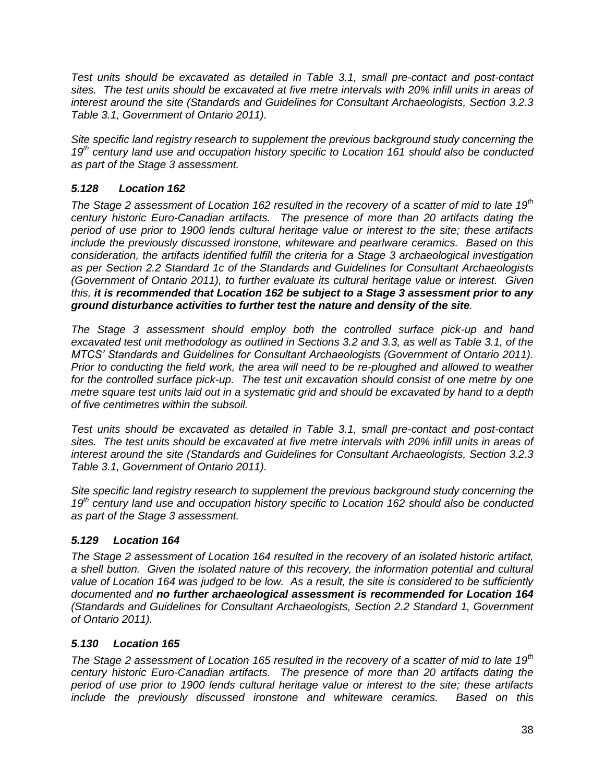*Test units should be excavated as detailed in Table 3.1, small pre-contact and post-contact sites. The test units should be excavated at five metre intervals with 20% infill units in areas of interest around the site (Standards and Guidelines for Consultant Archaeologists, Section 3.2.3 Table 3.1, Government of Ontario 2011).* 

*Site specific land registry research to supplement the previous background study concerning the 19th century land use and occupation history specific to Location 161 should also be conducted as part of the Stage 3 assessment.*

# *5.128 Location 162*

*The Stage 2 assessment of Location 162 resulted in the recovery of a scatter of mid to late 19th century historic Euro-Canadian artifacts. The presence of more than 20 artifacts dating the period of use prior to 1900 lends cultural heritage value or interest to the site; these artifacts include the previously discussed ironstone, whiteware and pearlware ceramics. Based on this consideration, the artifacts identified fulfill the criteria for a Stage 3 archaeological investigation as per Section 2.2 Standard 1c of the Standards and Guidelines for Consultant Archaeologists (Government of Ontario 2011), to further evaluate its cultural heritage value or interest. Given this, it is recommended that Location 162 be subject to a Stage 3 assessment prior to any ground disturbance activities to further test the nature and density of the site.* 

*The Stage 3 assessment should employ both the controlled surface pick-up and hand excavated test unit methodology as outlined in Sections 3.2 and 3.3, as well as Table 3.1, of the MTCS' Standards and Guidelines for Consultant Archaeologists (Government of Ontario 2011). Prior to conducting the field work, the area will need to be re-ploughed and allowed to weather*  for the controlled surface pick-up. The test unit excavation should consist of one metre by one *metre square test units laid out in a systematic grid and should be excavated by hand to a depth of five centimetres within the subsoil.* 

*Test units should be excavated as detailed in Table 3.1, small pre-contact and post-contact sites. The test units should be excavated at five metre intervals with 20% infill units in areas of interest around the site (Standards and Guidelines for Consultant Archaeologists, Section 3.2.3 Table 3.1, Government of Ontario 2011).* 

*Site specific land registry research to supplement the previous background study concerning the 19th century land use and occupation history specific to Location 162 should also be conducted as part of the Stage 3 assessment.*

## *5.129 Location 164*

*The Stage 2 assessment of Location 164 resulted in the recovery of an isolated historic artifact, a shell button. Given the isolated nature of this recovery, the information potential and cultural value of Location 164 was judged to be low. As a result, the site is considered to be sufficiently documented and no further archaeological assessment is recommended for Location 164 (Standards and Guidelines for Consultant Archaeologists, Section 2.2 Standard 1, Government of Ontario 2011).*

## *5.130 Location 165*

*The Stage 2 assessment of Location 165 resulted in the recovery of a scatter of mid to late 19th century historic Euro-Canadian artifacts. The presence of more than 20 artifacts dating the period of use prior to 1900 lends cultural heritage value or interest to the site; these artifacts include the previously discussed ironstone and whiteware ceramics. Based on this*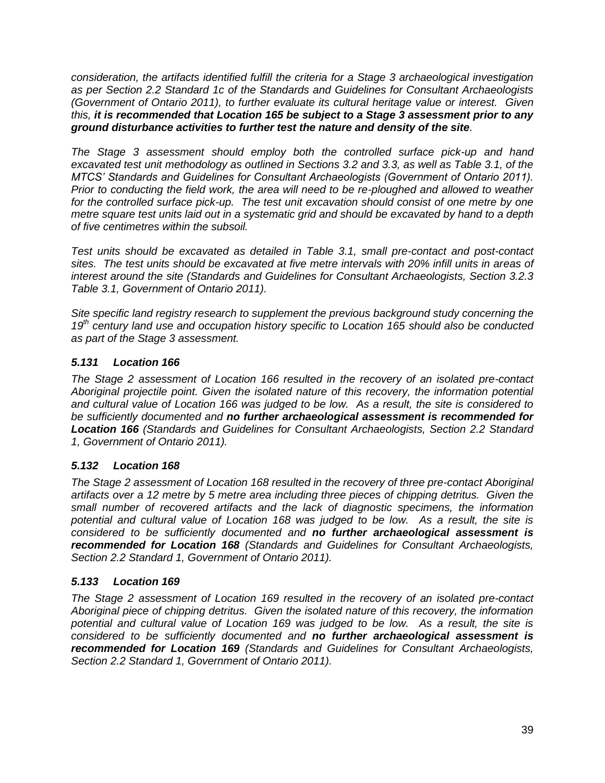*consideration, the artifacts identified fulfill the criteria for a Stage 3 archaeological investigation as per Section 2.2 Standard 1c of the Standards and Guidelines for Consultant Archaeologists (Government of Ontario 2011), to further evaluate its cultural heritage value or interest. Given this, it is recommended that Location 165 be subject to a Stage 3 assessment prior to any ground disturbance activities to further test the nature and density of the site.* 

*The Stage 3 assessment should employ both the controlled surface pick-up and hand excavated test unit methodology as outlined in Sections 3.2 and 3.3, as well as Table 3.1, of the MTCS' Standards and Guidelines for Consultant Archaeologists (Government of Ontario 2011). Prior to conducting the field work, the area will need to be re-ploughed and allowed to weather* for the controlled surface pick-up. The test unit excavation should consist of one metre by one *metre square test units laid out in a systematic grid and should be excavated by hand to a depth of five centimetres within the subsoil.* 

*Test units should be excavated as detailed in Table 3.1, small pre-contact and post-contact sites. The test units should be excavated at five metre intervals with 20% infill units in areas of interest around the site (Standards and Guidelines for Consultant Archaeologists, Section 3.2.3 Table 3.1, Government of Ontario 2011).* 

*Site specific land registry research to supplement the previous background study concerning the 19th century land use and occupation history specific to Location 165 should also be conducted as part of the Stage 3 assessment.*

# *5.131 Location 166*

*The Stage 2 assessment of Location 166 resulted in the recovery of an isolated pre-contact Aboriginal projectile point. Given the isolated nature of this recovery, the information potential and cultural value of Location 166 was judged to be low. As a result, the site is considered to be sufficiently documented and no further archaeological assessment is recommended for Location 166 (Standards and Guidelines for Consultant Archaeologists, Section 2.2 Standard 1, Government of Ontario 2011).*

## *5.132 Location 168*

*The Stage 2 assessment of Location 168 resulted in the recovery of three pre-contact Aboriginal artifacts over a 12 metre by 5 metre area including three pieces of chipping detritus. Given the small number of recovered artifacts and the lack of diagnostic specimens, the information potential and cultural value of Location 168 was judged to be low. As a result, the site is considered to be sufficiently documented and no further archaeological assessment is recommended for Location 168 (Standards and Guidelines for Consultant Archaeologists, Section 2.2 Standard 1, Government of Ontario 2011).*

## *5.133 Location 169*

*The Stage 2 assessment of Location 169 resulted in the recovery of an isolated pre-contact Aboriginal piece of chipping detritus. Given the isolated nature of this recovery, the information potential and cultural value of Location 169 was judged to be low. As a result, the site is considered to be sufficiently documented and no further archaeological assessment is recommended for Location 169 (Standards and Guidelines for Consultant Archaeologists, Section 2.2 Standard 1, Government of Ontario 2011).*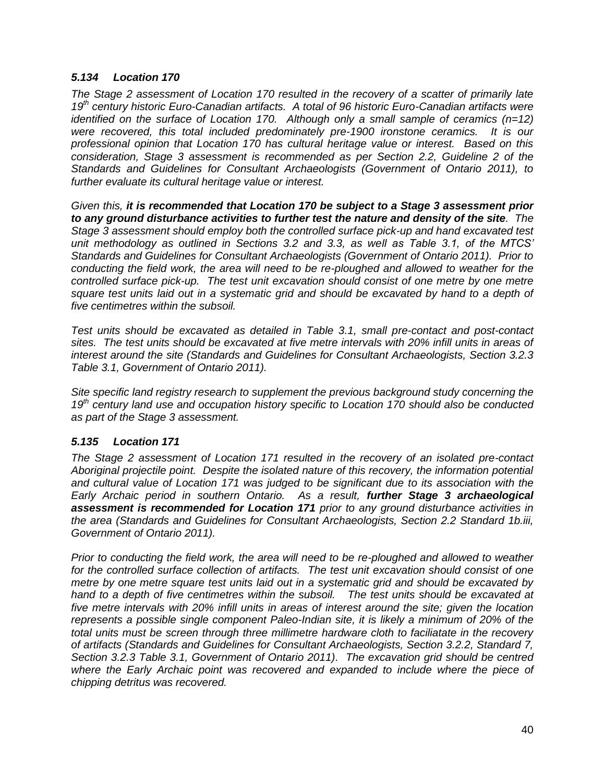#### *5.134 Location 170*

*The Stage 2 assessment of Location 170 resulted in the recovery of a scatter of primarily late 19th century historic Euro-Canadian artifacts. A total of 96 historic Euro-Canadian artifacts were identified on the surface of Location 170. Although only a small sample of ceramics (n=12) were recovered, this total included predominately pre-1900 ironstone ceramics. It is our professional opinion that Location 170 has cultural heritage value or interest. Based on this consideration, Stage 3 assessment is recommended as per Section 2.2, Guideline 2 of the Standards and Guidelines for Consultant Archaeologists (Government of Ontario 2011), to further evaluate its cultural heritage value or interest.* 

*Given this, it is recommended that Location 170 be subject to a Stage 3 assessment prior to any ground disturbance activities to further test the nature and density of the site. The Stage 3 assessment should employ both the controlled surface pick-up and hand excavated test unit methodology as outlined in Sections 3.2 and 3.3, as well as Table 3.1, of the MTCS' Standards and Guidelines for Consultant Archaeologists (Government of Ontario 2011). Prior to conducting the field work, the area will need to be re-ploughed and allowed to weather for the controlled surface pick-up. The test unit excavation should consist of one metre by one metre square test units laid out in a systematic grid and should be excavated by hand to a depth of five centimetres within the subsoil.* 

*Test units should be excavated as detailed in Table 3.1, small pre-contact and post-contact sites. The test units should be excavated at five metre intervals with 20% infill units in areas of interest around the site (Standards and Guidelines for Consultant Archaeologists, Section 3.2.3 Table 3.1, Government of Ontario 2011).* 

*Site specific land registry research to supplement the previous background study concerning the 19th century land use and occupation history specific to Location 170 should also be conducted as part of the Stage 3 assessment.*

### *5.135 Location 171*

*The Stage 2 assessment of Location 171 resulted in the recovery of an isolated pre-contact Aboriginal projectile point. Despite the isolated nature of this recovery, the information potential and cultural value of Location 171 was judged to be significant due to its association with the Early Archaic period in southern Ontario. As a result, further Stage 3 archaeological assessment is recommended for Location 171 prior to any ground disturbance activities in the area (Standards and Guidelines for Consultant Archaeologists, Section 2.2 Standard 1b.iii, Government of Ontario 2011).* 

*Prior to conducting the field work, the area will need to be re-ploughed and allowed to weather for the controlled surface collection of artifacts. The test unit excavation should consist of one metre by one metre square test units laid out in a systematic grid and should be excavated by hand to a depth of five centimetres within the subsoil. The test units should be excavated at five metre intervals with 20% infill units in areas of interest around the site; given the location represents a possible single component Paleo-Indian site, it is likely a minimum of 20% of the total units must be screen through three millimetre hardware cloth to faciliatate in the recovery of artifacts (Standards and Guidelines for Consultant Archaeologists, Section 3.2.2, Standard 7, Section 3.2.3 Table 3.1, Government of Ontario 2011). The excavation grid should be centred where the Early Archaic point was recovered and expanded to include where the piece of chipping detritus was recovered.*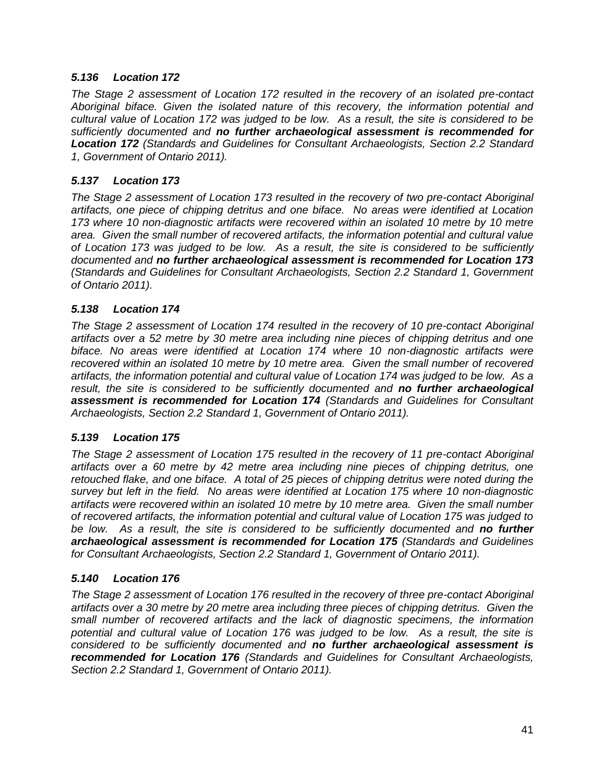### *5.136 Location 172*

*The Stage 2 assessment of Location 172 resulted in the recovery of an isolated pre-contact Aboriginal biface. Given the isolated nature of this recovery, the information potential and cultural value of Location 172 was judged to be low. As a result, the site is considered to be sufficiently documented and no further archaeological assessment is recommended for Location 172 (Standards and Guidelines for Consultant Archaeologists, Section 2.2 Standard 1, Government of Ontario 2011).*

### *5.137 Location 173*

*The Stage 2 assessment of Location 173 resulted in the recovery of two pre-contact Aboriginal artifacts, one piece of chipping detritus and one biface. No areas were identified at Location*  173 where 10 non-diagnostic artifacts were recovered within an isolated 10 metre by 10 metre *area. Given the small number of recovered artifacts, the information potential and cultural value of Location 173 was judged to be low. As a result, the site is considered to be sufficiently documented and no further archaeological assessment is recommended for Location 173 (Standards and Guidelines for Consultant Archaeologists, Section 2.2 Standard 1, Government of Ontario 2011).*

### *5.138 Location 174*

*The Stage 2 assessment of Location 174 resulted in the recovery of 10 pre-contact Aboriginal artifacts over a 52 metre by 30 metre area including nine pieces of chipping detritus and one biface. No areas were identified at Location 174 where 10 non-diagnostic artifacts were recovered within an isolated 10 metre by 10 metre area. Given the small number of recovered artifacts, the information potential and cultural value of Location 174 was judged to be low. As a result, the site is considered to be sufficiently documented and no further archaeological assessment is recommended for Location 174 (Standards and Guidelines for Consultant Archaeologists, Section 2.2 Standard 1, Government of Ontario 2011).*

### *5.139 Location 175*

*The Stage 2 assessment of Location 175 resulted in the recovery of 11 pre-contact Aboriginal artifacts over a 60 metre by 42 metre area including nine pieces of chipping detritus, one retouched flake, and one biface. A total of 25 pieces of chipping detritus were noted during the survey but left in the field. No areas were identified at Location 175 where 10 non-diagnostic artifacts were recovered within an isolated 10 metre by 10 metre area. Given the small number of recovered artifacts, the information potential and cultural value of Location 175 was judged to be low. As a result, the site is considered to be sufficiently documented and no further archaeological assessment is recommended for Location 175 (Standards and Guidelines for Consultant Archaeologists, Section 2.2 Standard 1, Government of Ontario 2011).*

### *5.140 Location 176*

*The Stage 2 assessment of Location 176 resulted in the recovery of three pre-contact Aboriginal artifacts over a 30 metre by 20 metre area including three pieces of chipping detritus. Given the small number of recovered artifacts and the lack of diagnostic specimens, the information potential and cultural value of Location 176 was judged to be low. As a result, the site is considered to be sufficiently documented and no further archaeological assessment is recommended for Location 176 (Standards and Guidelines for Consultant Archaeologists, Section 2.2 Standard 1, Government of Ontario 2011).*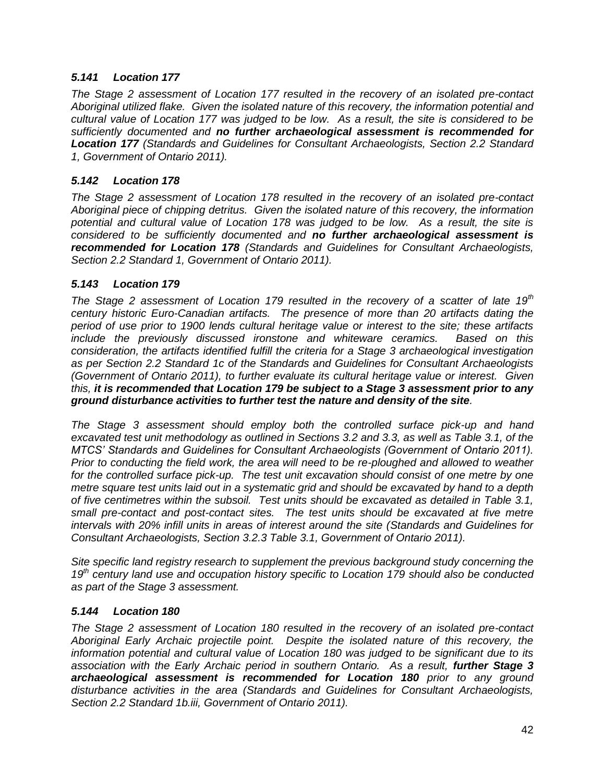### *5.141 Location 177*

*The Stage 2 assessment of Location 177 resulted in the recovery of an isolated pre-contact Aboriginal utilized flake. Given the isolated nature of this recovery, the information potential and cultural value of Location 177 was judged to be low. As a result, the site is considered to be sufficiently documented and no further archaeological assessment is recommended for Location 177 (Standards and Guidelines for Consultant Archaeologists, Section 2.2 Standard 1, Government of Ontario 2011).*

### *5.142 Location 178*

*The Stage 2 assessment of Location 178 resulted in the recovery of an isolated pre-contact Aboriginal piece of chipping detritus. Given the isolated nature of this recovery, the information potential and cultural value of Location 178 was judged to be low. As a result, the site is considered to be sufficiently documented and no further archaeological assessment is recommended for Location 178 (Standards and Guidelines for Consultant Archaeologists, Section 2.2 Standard 1, Government of Ontario 2011).*

### *5.143 Location 179*

*The Stage 2 assessment of Location 179 resulted in the recovery of a scatter of late 19th century historic Euro-Canadian artifacts. The presence of more than 20 artifacts dating the period of use prior to 1900 lends cultural heritage value or interest to the site; these artifacts include the previously discussed ironstone and whiteware ceramics. consideration, the artifacts identified fulfill the criteria for a Stage 3 archaeological investigation as per Section 2.2 Standard 1c of the Standards and Guidelines for Consultant Archaeologists (Government of Ontario 2011), to further evaluate its cultural heritage value or interest. Given this, it is recommended that Location 179 be subject to a Stage 3 assessment prior to any ground disturbance activities to further test the nature and density of the site.* 

*The Stage 3 assessment should employ both the controlled surface pick-up and hand excavated test unit methodology as outlined in Sections 3.2 and 3.3, as well as Table 3.1, of the MTCS' Standards and Guidelines for Consultant Archaeologists (Government of Ontario 2011). Prior to conducting the field work, the area will need to be re-ploughed and allowed to weather*  for the controlled surface pick-up. The test unit excavation should consist of one metre by one *metre square test units laid out in a systematic grid and should be excavated by hand to a depth of five centimetres within the subsoil. Test units should be excavated as detailed in Table 3.1, small pre-contact and post-contact sites. The test units should be excavated at five metre intervals with 20% infill units in areas of interest around the site (Standards and Guidelines for Consultant Archaeologists, Section 3.2.3 Table 3.1, Government of Ontario 2011).* 

*Site specific land registry research to supplement the previous background study concerning the 19th century land use and occupation history specific to Location 179 should also be conducted as part of the Stage 3 assessment.*

### *5.144 Location 180*

*The Stage 2 assessment of Location 180 resulted in the recovery of an isolated pre-contact Aboriginal Early Archaic projectile point. Despite the isolated nature of this recovery, the information potential and cultural value of Location 180 was judged to be significant due to its association with the Early Archaic period in southern Ontario. As a result, further Stage 3 archaeological assessment is recommended for Location 180 prior to any ground disturbance activities in the area (Standards and Guidelines for Consultant Archaeologists, Section 2.2 Standard 1b.iii, Government of Ontario 2011).*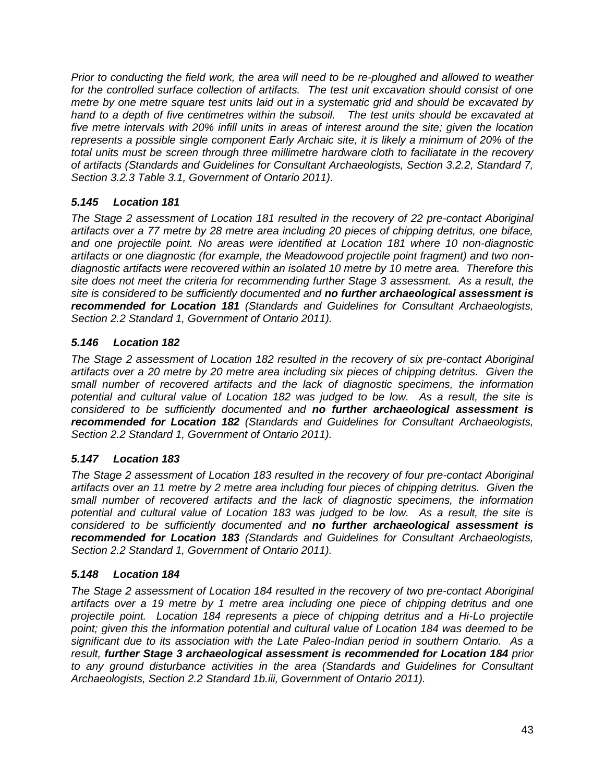*Prior to conducting the field work, the area will need to be re-ploughed and allowed to weather for the controlled surface collection of artifacts. The test unit excavation should consist of one metre by one metre square test units laid out in a systematic grid and should be excavated by hand to a depth of five centimetres within the subsoil. The test units should be excavated at five metre intervals with 20% infill units in areas of interest around the site; given the location represents a possible single component Early Archaic site, it is likely a minimum of 20% of the total units must be screen through three millimetre hardware cloth to faciliatate in the recovery of artifacts (Standards and Guidelines for Consultant Archaeologists, Section 3.2.2, Standard 7, Section 3.2.3 Table 3.1, Government of Ontario 2011).* 

## *5.145 Location 181*

*The Stage 2 assessment of Location 181 resulted in the recovery of 22 pre-contact Aboriginal artifacts over a 77 metre by 28 metre area including 20 pieces of chipping detritus, one biface, and one projectile point. No areas were identified at Location 181 where 10 non-diagnostic artifacts or one diagnostic (for example, the Meadowood projectile point fragment) and two nondiagnostic artifacts were recovered within an isolated 10 metre by 10 metre area. Therefore this site does not meet the criteria for recommending further Stage 3 assessment. As a result, the site is considered to be sufficiently documented and no further archaeological assessment is recommended for Location 181 (Standards and Guidelines for Consultant Archaeologists, Section 2.2 Standard 1, Government of Ontario 2011).*

## *5.146 Location 182*

*The Stage 2 assessment of Location 182 resulted in the recovery of six pre-contact Aboriginal artifacts over a 20 metre by 20 metre area including six pieces of chipping detritus. Given the small number of recovered artifacts and the lack of diagnostic specimens, the information potential and cultural value of Location 182 was judged to be low. As a result, the site is considered to be sufficiently documented and no further archaeological assessment is recommended for Location 182 (Standards and Guidelines for Consultant Archaeologists, Section 2.2 Standard 1, Government of Ontario 2011).*

## *5.147 Location 183*

*The Stage 2 assessment of Location 183 resulted in the recovery of four pre-contact Aboriginal artifacts over an 11 metre by 2 metre area including four pieces of chipping detritus. Given the small number of recovered artifacts and the lack of diagnostic specimens, the information potential and cultural value of Location 183 was judged to be low. As a result, the site is considered to be sufficiently documented and no further archaeological assessment is recommended for Location 183 (Standards and Guidelines for Consultant Archaeologists, Section 2.2 Standard 1, Government of Ontario 2011).*

## *5.148 Location 184*

*The Stage 2 assessment of Location 184 resulted in the recovery of two pre-contact Aboriginal artifacts over a 19 metre by 1 metre area including one piece of chipping detritus and one projectile point. Location 184 represents a piece of chipping detritus and a Hi-Lo projectile point; given this the information potential and cultural value of Location 184 was deemed to be significant due to its association with the Late Paleo-Indian period in southern Ontario. As a result, further Stage 3 archaeological assessment is recommended for Location 184 prior to any ground disturbance activities in the area (Standards and Guidelines for Consultant Archaeologists, Section 2.2 Standard 1b.iii, Government of Ontario 2011).*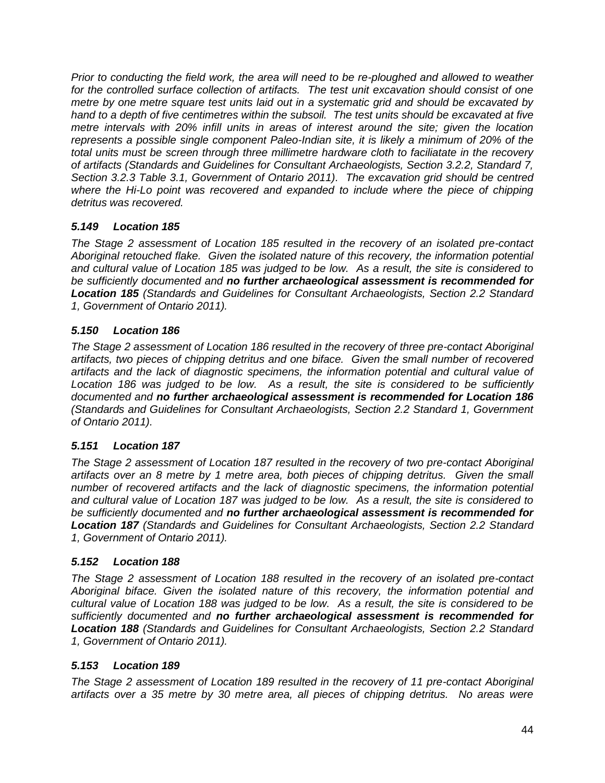*Prior to conducting the field work, the area will need to be re-ploughed and allowed to weather for the controlled surface collection of artifacts. The test unit excavation should consist of one metre by one metre square test units laid out in a systematic grid and should be excavated by hand to a depth of five centimetres within the subsoil. The test units should be excavated at five metre intervals with 20% infill units in areas of interest around the site; given the location represents a possible single component Paleo-Indian site, it is likely a minimum of 20% of the total units must be screen through three millimetre hardware cloth to faciliatate in the recovery of artifacts (Standards and Guidelines for Consultant Archaeologists, Section 3.2.2, Standard 7, Section 3.2.3 Table 3.1, Government of Ontario 2011). The excavation grid should be centred where the Hi-Lo point was recovered and expanded to include where the piece of chipping detritus was recovered.* 

## *5.149 Location 185*

*The Stage 2 assessment of Location 185 resulted in the recovery of an isolated pre-contact Aboriginal retouched flake. Given the isolated nature of this recovery, the information potential and cultural value of Location 185 was judged to be low. As a result, the site is considered to be sufficiently documented and no further archaeological assessment is recommended for Location 185 (Standards and Guidelines for Consultant Archaeologists, Section 2.2 Standard 1, Government of Ontario 2011).*

## *5.150 Location 186*

*The Stage 2 assessment of Location 186 resulted in the recovery of three pre-contact Aboriginal artifacts, two pieces of chipping detritus and one biface. Given the small number of recovered artifacts and the lack of diagnostic specimens, the information potential and cultural value of*  Location 186 was judged to be low. As a result, the site is considered to be sufficiently *documented and no further archaeological assessment is recommended for Location 186 (Standards and Guidelines for Consultant Archaeologists, Section 2.2 Standard 1, Government of Ontario 2011).*

## *5.151 Location 187*

*The Stage 2 assessment of Location 187 resulted in the recovery of two pre-contact Aboriginal artifacts over an 8 metre by 1 metre area, both pieces of chipping detritus. Given the small number of recovered artifacts and the lack of diagnostic specimens, the information potential and cultural value of Location 187 was judged to be low. As a result, the site is considered to be sufficiently documented and no further archaeological assessment is recommended for Location 187 (Standards and Guidelines for Consultant Archaeologists, Section 2.2 Standard 1, Government of Ontario 2011).*

## *5.152 Location 188*

*The Stage 2 assessment of Location 188 resulted in the recovery of an isolated pre-contact Aboriginal biface. Given the isolated nature of this recovery, the information potential and cultural value of Location 188 was judged to be low. As a result, the site is considered to be sufficiently documented and no further archaeological assessment is recommended for Location 188 (Standards and Guidelines for Consultant Archaeologists, Section 2.2 Standard 1, Government of Ontario 2011).*

## *5.153 Location 189*

*The Stage 2 assessment of Location 189 resulted in the recovery of 11 pre-contact Aboriginal artifacts over a 35 metre by 30 metre area, all pieces of chipping detritus. No areas were*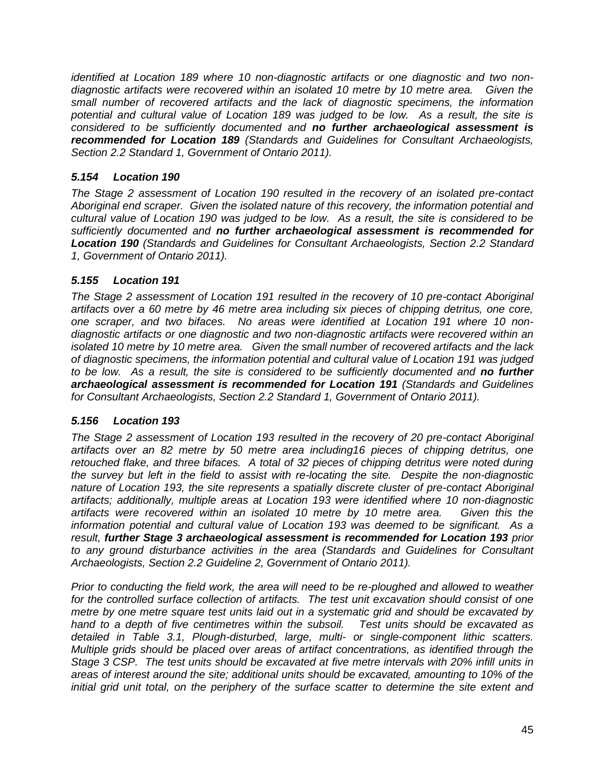*identified at Location 189 where 10 non-diagnostic artifacts or one diagnostic and two nondiagnostic artifacts were recovered within an isolated 10 metre by 10 metre area. Given the small number of recovered artifacts and the lack of diagnostic specimens, the information potential and cultural value of Location 189 was judged to be low. As a result, the site is considered to be sufficiently documented and no further archaeological assessment is recommended for Location 189 (Standards and Guidelines for Consultant Archaeologists, Section 2.2 Standard 1, Government of Ontario 2011).*

### *5.154 Location 190*

*The Stage 2 assessment of Location 190 resulted in the recovery of an isolated pre-contact Aboriginal end scraper. Given the isolated nature of this recovery, the information potential and cultural value of Location 190 was judged to be low. As a result, the site is considered to be sufficiently documented and no further archaeological assessment is recommended for Location 190 (Standards and Guidelines for Consultant Archaeologists, Section 2.2 Standard 1, Government of Ontario 2011).*

### *5.155 Location 191*

*The Stage 2 assessment of Location 191 resulted in the recovery of 10 pre-contact Aboriginal artifacts over a 60 metre by 46 metre area including six pieces of chipping detritus, one core, one scraper, and two bifaces. No areas were identified at Location 191 where 10 nondiagnostic artifacts or one diagnostic and two non-diagnostic artifacts were recovered within an isolated 10 metre by 10 metre area. Given the small number of recovered artifacts and the lack of diagnostic specimens, the information potential and cultural value of Location 191 was judged to be low. As a result, the site is considered to be sufficiently documented and no further archaeological assessment is recommended for Location 191 (Standards and Guidelines for Consultant Archaeologists, Section 2.2 Standard 1, Government of Ontario 2011).*

### *5.156 Location 193*

*The Stage 2 assessment of Location 193 resulted in the recovery of 20 pre-contact Aboriginal artifacts over an 82 metre by 50 metre area including16 pieces of chipping detritus, one retouched flake, and three bifaces. A total of 32 pieces of chipping detritus were noted during the survey but left in the field to assist with re-locating the site. Despite the non-diagnostic nature of Location 193, the site represents a spatially discrete cluster of pre-contact Aboriginal artifacts; additionally, multiple areas at Location 193 were identified where 10 non-diagnostic artifacts were recovered within an isolated 10 metre by 10 metre area. Given this the information potential and cultural value of Location 193 was deemed to be significant. As a result, further Stage 3 archaeological assessment is recommended for Location 193 prior to any ground disturbance activities in the area (Standards and Guidelines for Consultant Archaeologists, Section 2.2 Guideline 2, Government of Ontario 2011).* 

*Prior to conducting the field work, the area will need to be re-ploughed and allowed to weather for the controlled surface collection of artifacts. The test unit excavation should consist of one metre by one metre square test units laid out in a systematic grid and should be excavated by hand to a depth of five centimetres within the subsoil. Test units should be excavated as detailed in Table 3.1, Plough-disturbed, large, multi- or single-component lithic scatters. Multiple grids should be placed over areas of artifact concentrations, as identified through the Stage 3 CSP. The test units should be excavated at five metre intervals with 20% infill units in areas of interest around the site; additional units should be excavated, amounting to 10% of the initial grid unit total, on the periphery of the surface scatter to determine the site extent and*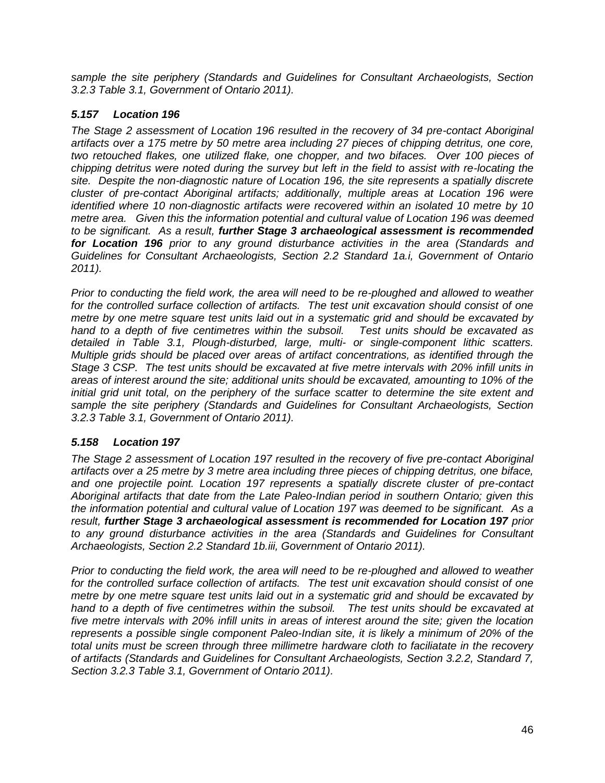*sample the site periphery (Standards and Guidelines for Consultant Archaeologists, Section 3.2.3 Table 3.1, Government of Ontario 2011).* 

## *5.157 Location 196*

*The Stage 2 assessment of Location 196 resulted in the recovery of 34 pre-contact Aboriginal artifacts over a 175 metre by 50 metre area including 27 pieces of chipping detritus, one core, two retouched flakes, one utilized flake, one chopper, and two bifaces. Over 100 pieces of chipping detritus were noted during the survey but left in the field to assist with re-locating the site. Despite the non-diagnostic nature of Location 196, the site represents a spatially discrete cluster of pre-contact Aboriginal artifacts; additionally, multiple areas at Location 196 were identified where 10 non-diagnostic artifacts were recovered within an isolated 10 metre by 10 metre area. Given this the information potential and cultural value of Location 196 was deemed to be significant. As a result, further Stage 3 archaeological assessment is recommended for Location 196 prior to any ground disturbance activities in the area (Standards and Guidelines for Consultant Archaeologists, Section 2.2 Standard 1a.i, Government of Ontario 2011).* 

*Prior to conducting the field work, the area will need to be re-ploughed and allowed to weather for the controlled surface collection of artifacts. The test unit excavation should consist of one metre by one metre square test units laid out in a systematic grid and should be excavated by hand to a depth of five centimetres within the subsoil. Test units should be excavated as detailed in Table 3.1, Plough-disturbed, large, multi- or single-component lithic scatters. Multiple grids should be placed over areas of artifact concentrations, as identified through the Stage 3 CSP. The test units should be excavated at five metre intervals with 20% infill units in areas of interest around the site; additional units should be excavated, amounting to 10% of the initial grid unit total, on the periphery of the surface scatter to determine the site extent and sample the site periphery (Standards and Guidelines for Consultant Archaeologists, Section 3.2.3 Table 3.1, Government of Ontario 2011).* 

## *5.158 Location 197*

*The Stage 2 assessment of Location 197 resulted in the recovery of five pre-contact Aboriginal artifacts over a 25 metre by 3 metre area including three pieces of chipping detritus, one biface, and one projectile point. Location 197 represents a spatially discrete cluster of pre-contact Aboriginal artifacts that date from the Late Paleo-Indian period in southern Ontario; given this the information potential and cultural value of Location 197 was deemed to be significant. As a result, further Stage 3 archaeological assessment is recommended for Location 197 prior to any ground disturbance activities in the area (Standards and Guidelines for Consultant Archaeologists, Section 2.2 Standard 1b.iii, Government of Ontario 2011).* 

*Prior to conducting the field work, the area will need to be re-ploughed and allowed to weather for the controlled surface collection of artifacts. The test unit excavation should consist of one metre by one metre square test units laid out in a systematic grid and should be excavated by hand to a depth of five centimetres within the subsoil. The test units should be excavated at five metre intervals with 20% infill units in areas of interest around the site; given the location represents a possible single component Paleo-Indian site, it is likely a minimum of 20% of the total units must be screen through three millimetre hardware cloth to faciliatate in the recovery of artifacts (Standards and Guidelines for Consultant Archaeologists, Section 3.2.2, Standard 7, Section 3.2.3 Table 3.1, Government of Ontario 2011).*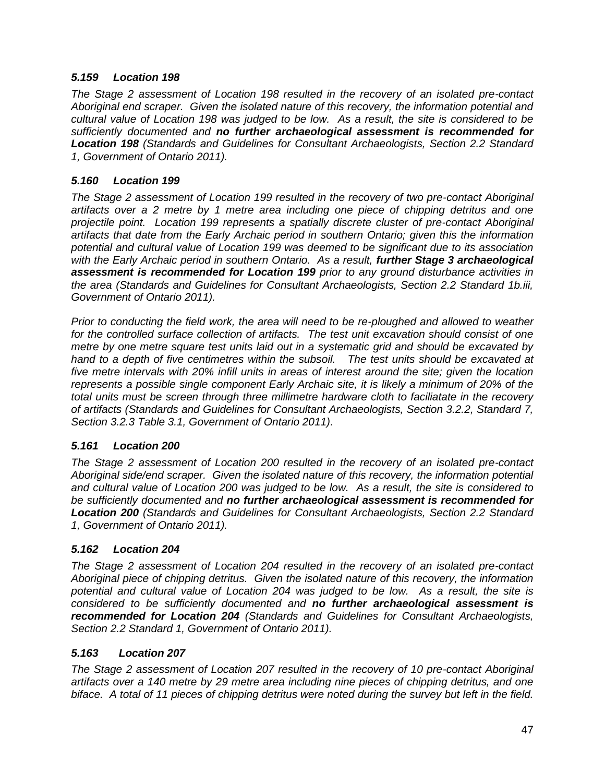### *5.159 Location 198*

*The Stage 2 assessment of Location 198 resulted in the recovery of an isolated pre-contact Aboriginal end scraper. Given the isolated nature of this recovery, the information potential and cultural value of Location 198 was judged to be low. As a result, the site is considered to be sufficiently documented and no further archaeological assessment is recommended for Location 198 (Standards and Guidelines for Consultant Archaeologists, Section 2.2 Standard 1, Government of Ontario 2011).*

### *5.160 Location 199*

*The Stage 2 assessment of Location 199 resulted in the recovery of two pre-contact Aboriginal artifacts over a 2 metre by 1 metre area including one piece of chipping detritus and one projectile point. Location 199 represents a spatially discrete cluster of pre-contact Aboriginal artifacts that date from the Early Archaic period in southern Ontario; given this the information potential and cultural value of Location 199 was deemed to be significant due to its association*  with the Early Archaic period in southern Ontario. As a result, **further Stage 3 archaeological** *assessment is recommended for Location 199 prior to any ground disturbance activities in the area (Standards and Guidelines for Consultant Archaeologists, Section 2.2 Standard 1b.iii, Government of Ontario 2011).* 

*Prior to conducting the field work, the area will need to be re-ploughed and allowed to weather for the controlled surface collection of artifacts. The test unit excavation should consist of one metre by one metre square test units laid out in a systematic grid and should be excavated by hand to a depth of five centimetres within the subsoil. The test units should be excavated at five metre intervals with 20% infill units in areas of interest around the site; given the location represents a possible single component Early Archaic site, it is likely a minimum of 20% of the total units must be screen through three millimetre hardware cloth to faciliatate in the recovery of artifacts (Standards and Guidelines for Consultant Archaeologists, Section 3.2.2, Standard 7, Section 3.2.3 Table 3.1, Government of Ontario 2011).* 

### *5.161 Location 200*

*The Stage 2 assessment of Location 200 resulted in the recovery of an isolated pre-contact Aboriginal side/end scraper. Given the isolated nature of this recovery, the information potential and cultural value of Location 200 was judged to be low. As a result, the site is considered to be sufficiently documented and no further archaeological assessment is recommended for Location 200 (Standards and Guidelines for Consultant Archaeologists, Section 2.2 Standard 1, Government of Ontario 2011).*

### *5.162 Location 204*

*The Stage 2 assessment of Location 204 resulted in the recovery of an isolated pre-contact Aboriginal piece of chipping detritus. Given the isolated nature of this recovery, the information potential and cultural value of Location 204 was judged to be low. As a result, the site is considered to be sufficiently documented and no further archaeological assessment is recommended for Location 204 (Standards and Guidelines for Consultant Archaeologists, Section 2.2 Standard 1, Government of Ontario 2011).*

### *5.163 Location 207*

*The Stage 2 assessment of Location 207 resulted in the recovery of 10 pre-contact Aboriginal artifacts over a 140 metre by 29 metre area including nine pieces of chipping detritus, and one biface. A total of 11 pieces of chipping detritus were noted during the survey but left in the field.*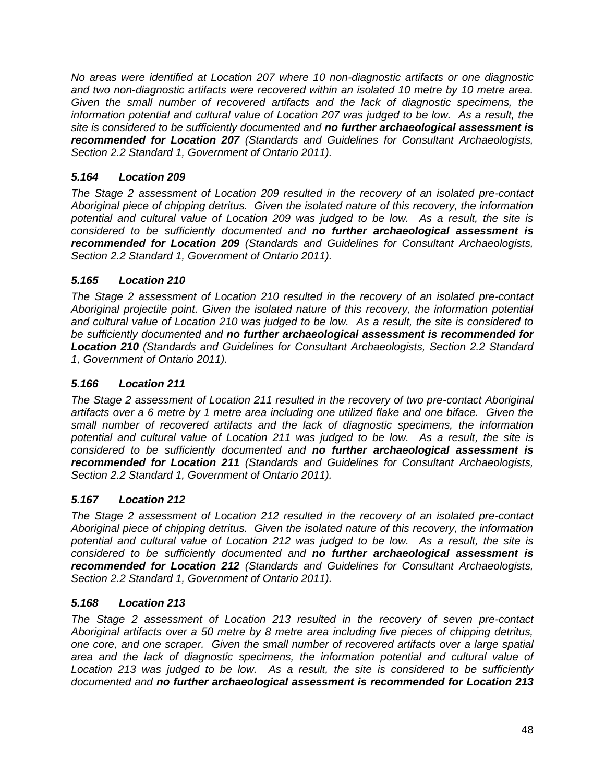*No areas were identified at Location 207 where 10 non-diagnostic artifacts or one diagnostic and two non-diagnostic artifacts were recovered within an isolated 10 metre by 10 metre area. Given the small number of recovered artifacts and the lack of diagnostic specimens, the information potential and cultural value of Location 207 was judged to be low. As a result, the site is considered to be sufficiently documented and no further archaeological assessment is recommended for Location 207 (Standards and Guidelines for Consultant Archaeologists, Section 2.2 Standard 1, Government of Ontario 2011).*

# *5.164 Location 209*

*The Stage 2 assessment of Location 209 resulted in the recovery of an isolated pre-contact Aboriginal piece of chipping detritus. Given the isolated nature of this recovery, the information potential and cultural value of Location 209 was judged to be low. As a result, the site is considered to be sufficiently documented and no further archaeological assessment is recommended for Location 209 (Standards and Guidelines for Consultant Archaeologists, Section 2.2 Standard 1, Government of Ontario 2011).*

# *5.165 Location 210*

*The Stage 2 assessment of Location 210 resulted in the recovery of an isolated pre-contact Aboriginal projectile point. Given the isolated nature of this recovery, the information potential and cultural value of Location 210 was judged to be low. As a result, the site is considered to be sufficiently documented and no further archaeological assessment is recommended for Location 210 (Standards and Guidelines for Consultant Archaeologists, Section 2.2 Standard 1, Government of Ontario 2011).*

## *5.166 Location 211*

*The Stage 2 assessment of Location 211 resulted in the recovery of two pre-contact Aboriginal artifacts over a 6 metre by 1 metre area including one utilized flake and one biface. Given the small number of recovered artifacts and the lack of diagnostic specimens, the information potential and cultural value of Location 211 was judged to be low. As a result, the site is considered to be sufficiently documented and no further archaeological assessment is recommended for Location 211 (Standards and Guidelines for Consultant Archaeologists, Section 2.2 Standard 1, Government of Ontario 2011).*

## *5.167 Location 212*

*The Stage 2 assessment of Location 212 resulted in the recovery of an isolated pre-contact Aboriginal piece of chipping detritus. Given the isolated nature of this recovery, the information potential and cultural value of Location 212 was judged to be low. As a result, the site is considered to be sufficiently documented and no further archaeological assessment is recommended for Location 212 (Standards and Guidelines for Consultant Archaeologists, Section 2.2 Standard 1, Government of Ontario 2011).*

## *5.168 Location 213*

*The Stage 2 assessment of Location 213 resulted in the recovery of seven pre-contact Aboriginal artifacts over a 50 metre by 8 metre area including five pieces of chipping detritus, one core, and one scraper. Given the small number of recovered artifacts over a large spatial area and the lack of diagnostic specimens, the information potential and cultural value of Location 213 was judged to be low. As a result, the site is considered to be sufficiently documented and no further archaeological assessment is recommended for Location 213*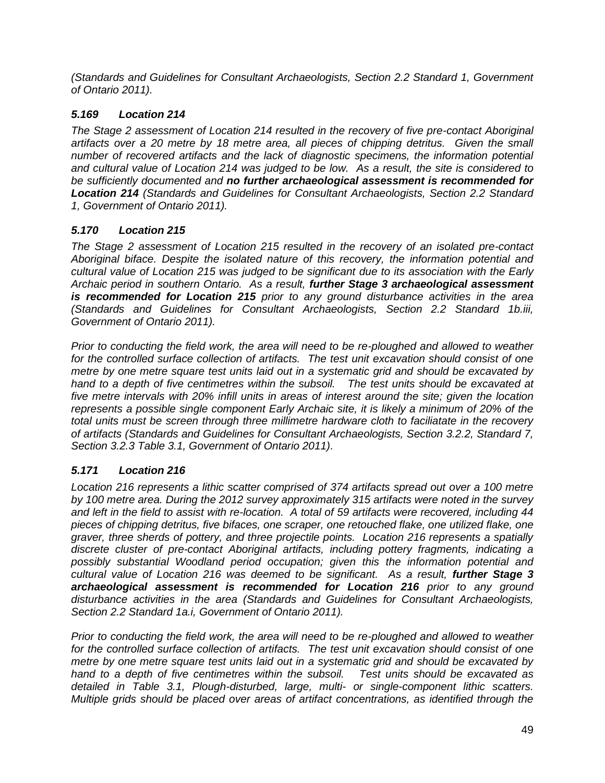*(Standards and Guidelines for Consultant Archaeologists, Section 2.2 Standard 1, Government of Ontario 2011).*

# *5.169 Location 214*

*The Stage 2 assessment of Location 214 resulted in the recovery of five pre-contact Aboriginal artifacts over a 20 metre by 18 metre area, all pieces of chipping detritus. Given the small number of recovered artifacts and the lack of diagnostic specimens, the information potential and cultural value of Location 214 was judged to be low. As a result, the site is considered to be sufficiently documented and no further archaeological assessment is recommended for Location 214 (Standards and Guidelines for Consultant Archaeologists, Section 2.2 Standard 1, Government of Ontario 2011).*

# *5.170 Location 215*

*The Stage 2 assessment of Location 215 resulted in the recovery of an isolated pre-contact Aboriginal biface. Despite the isolated nature of this recovery, the information potential and cultural value of Location 215 was judged to be significant due to its association with the Early Archaic period in southern Ontario. As a result, further Stage 3 archaeological assessment is recommended for Location 215 prior to any ground disturbance activities in the area (Standards and Guidelines for Consultant Archaeologists, Section 2.2 Standard 1b.iii, Government of Ontario 2011).* 

*Prior to conducting the field work, the area will need to be re-ploughed and allowed to weather for the controlled surface collection of artifacts. The test unit excavation should consist of one metre by one metre square test units laid out in a systematic grid and should be excavated by hand to a depth of five centimetres within the subsoil. The test units should be excavated at five metre intervals with 20% infill units in areas of interest around the site; given the location represents a possible single component Early Archaic site, it is likely a minimum of 20% of the total units must be screen through three millimetre hardware cloth to faciliatate in the recovery of artifacts (Standards and Guidelines for Consultant Archaeologists, Section 3.2.2, Standard 7, Section 3.2.3 Table 3.1, Government of Ontario 2011).* 

# *5.171 Location 216*

*Location 216 represents a lithic scatter comprised of 374 artifacts spread out over a 100 metre by 100 metre area. During the 2012 survey approximately 315 artifacts were noted in the survey and left in the field to assist with re-location. A total of 59 artifacts were recovered, including 44 pieces of chipping detritus, five bifaces, one scraper, one retouched flake, one utilized flake, one graver, three sherds of pottery, and three projectile points. Location 216 represents a spatially discrete cluster of pre-contact Aboriginal artifacts, including pottery fragments, indicating a possibly substantial Woodland period occupation; given this the information potential and cultural value of Location 216 was deemed to be significant. As a result, further Stage 3 archaeological assessment is recommended for Location 216 prior to any ground disturbance activities in the area (Standards and Guidelines for Consultant Archaeologists, Section 2.2 Standard 1a.i, Government of Ontario 2011).* 

*Prior to conducting the field work, the area will need to be re-ploughed and allowed to weather for the controlled surface collection of artifacts. The test unit excavation should consist of one metre by one metre square test units laid out in a systematic grid and should be excavated by hand to a depth of five centimetres within the subsoil. Test units should be excavated as detailed in Table 3.1, Plough-disturbed, large, multi- or single-component lithic scatters. Multiple grids should be placed over areas of artifact concentrations, as identified through the*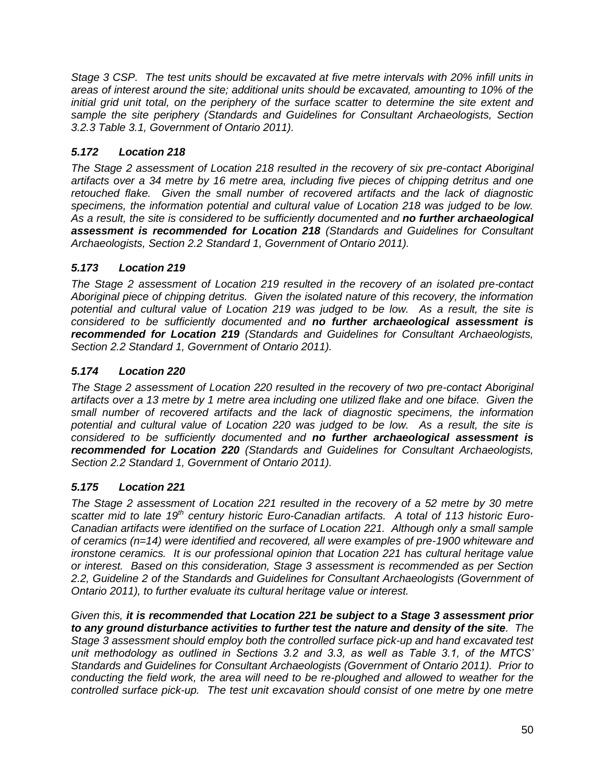*Stage 3 CSP. The test units should be excavated at five metre intervals with 20% infill units in areas of interest around the site; additional units should be excavated, amounting to 10% of the initial grid unit total, on the periphery of the surface scatter to determine the site extent and sample the site periphery (Standards and Guidelines for Consultant Archaeologists, Section 3.2.3 Table 3.1, Government of Ontario 2011).* 

# *5.172 Location 218*

*The Stage 2 assessment of Location 218 resulted in the recovery of six pre-contact Aboriginal artifacts over a 34 metre by 16 metre area, including five pieces of chipping detritus and one retouched flake. Given the small number of recovered artifacts and the lack of diagnostic specimens, the information potential and cultural value of Location 218 was judged to be low. As a result, the site is considered to be sufficiently documented and no further archaeological assessment is recommended for Location 218 (Standards and Guidelines for Consultant Archaeologists, Section 2.2 Standard 1, Government of Ontario 2011).*

# *5.173 Location 219*

*The Stage 2 assessment of Location 219 resulted in the recovery of an isolated pre-contact Aboriginal piece of chipping detritus. Given the isolated nature of this recovery, the information potential and cultural value of Location 219 was judged to be low. As a result, the site is considered to be sufficiently documented and no further archaeological assessment is recommended for Location 219 (Standards and Guidelines for Consultant Archaeologists, Section 2.2 Standard 1, Government of Ontario 2011).*

# *5.174 Location 220*

*The Stage 2 assessment of Location 220 resulted in the recovery of two pre-contact Aboriginal artifacts over a 13 metre by 1 metre area including one utilized flake and one biface. Given the small number of recovered artifacts and the lack of diagnostic specimens, the information potential and cultural value of Location 220 was judged to be low. As a result, the site is considered to be sufficiently documented and no further archaeological assessment is recommended for Location 220 (Standards and Guidelines for Consultant Archaeologists, Section 2.2 Standard 1, Government of Ontario 2011).*

# *5.175 Location 221*

*The Stage 2 assessment of Location 221 resulted in the recovery of a 52 metre by 30 metre scatter mid to late 19th century historic Euro-Canadian artifacts. A total of 113 historic Euro-Canadian artifacts were identified on the surface of Location 221. Although only a small sample of ceramics (n=14) were identified and recovered, all were examples of pre-1900 whiteware and ironstone ceramics. It is our professional opinion that Location 221 has cultural heritage value or interest. Based on this consideration, Stage 3 assessment is recommended as per Section 2.2, Guideline 2 of the Standards and Guidelines for Consultant Archaeologists (Government of Ontario 2011), to further evaluate its cultural heritage value or interest.* 

*Given this, it is recommended that Location 221 be subject to a Stage 3 assessment prior to any ground disturbance activities to further test the nature and density of the site. The Stage 3 assessment should employ both the controlled surface pick-up and hand excavated test unit methodology as outlined in Sections 3.2 and 3.3, as well as Table 3.1, of the MTCS' Standards and Guidelines for Consultant Archaeologists (Government of Ontario 2011). Prior to conducting the field work, the area will need to be re-ploughed and allowed to weather for the controlled surface pick-up. The test unit excavation should consist of one metre by one metre*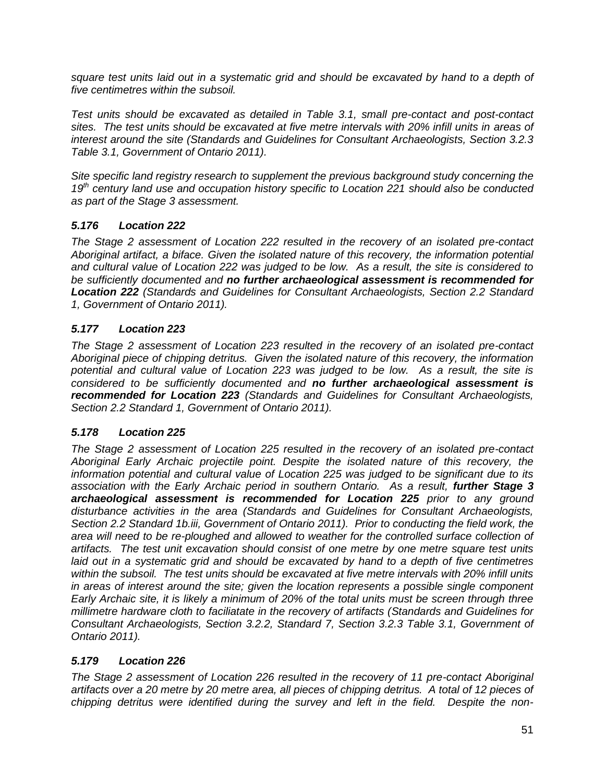*square test units laid out in a systematic grid and should be excavated by hand to a depth of five centimetres within the subsoil.* 

*Test units should be excavated as detailed in Table 3.1, small pre-contact and post-contact sites. The test units should be excavated at five metre intervals with 20% infill units in areas of interest around the site (Standards and Guidelines for Consultant Archaeologists, Section 3.2.3 Table 3.1, Government of Ontario 2011).* 

*Site specific land registry research to supplement the previous background study concerning the 19th century land use and occupation history specific to Location 221 should also be conducted as part of the Stage 3 assessment.*

# *5.176 Location 222*

*The Stage 2 assessment of Location 222 resulted in the recovery of an isolated pre-contact Aboriginal artifact, a biface. Given the isolated nature of this recovery, the information potential and cultural value of Location 222 was judged to be low. As a result, the site is considered to be sufficiently documented and no further archaeological assessment is recommended for Location 222 (Standards and Guidelines for Consultant Archaeologists, Section 2.2 Standard 1, Government of Ontario 2011).*

# *5.177 Location 223*

*The Stage 2 assessment of Location 223 resulted in the recovery of an isolated pre-contact Aboriginal piece of chipping detritus. Given the isolated nature of this recovery, the information potential and cultural value of Location 223 was judged to be low. As a result, the site is considered to be sufficiently documented and no further archaeological assessment is recommended for Location 223 (Standards and Guidelines for Consultant Archaeologists, Section 2.2 Standard 1, Government of Ontario 2011).*

## *5.178 Location 225*

*The Stage 2 assessment of Location 225 resulted in the recovery of an isolated pre-contact Aboriginal Early Archaic projectile point. Despite the isolated nature of this recovery, the information potential and cultural value of Location 225 was judged to be significant due to its association with the Early Archaic period in southern Ontario. As a result, further Stage 3 archaeological assessment is recommended for Location 225 prior to any ground disturbance activities in the area (Standards and Guidelines for Consultant Archaeologists, Section 2.2 Standard 1b.iii, Government of Ontario 2011). Prior to conducting the field work, the area will need to be re-ploughed and allowed to weather for the controlled surface collection of artifacts. The test unit excavation should consist of one metre by one metre square test units laid out in a systematic grid and should be excavated by hand to a depth of five centimetres within the subsoil. The test units should be excavated at five metre intervals with 20% infill units in areas of interest around the site; given the location represents a possible single component Early Archaic site, it is likely a minimum of 20% of the total units must be screen through three millimetre hardware cloth to faciliatate in the recovery of artifacts (Standards and Guidelines for Consultant Archaeologists, Section 3.2.2, Standard 7, Section 3.2.3 Table 3.1, Government of Ontario 2011).* 

# *5.179 Location 226*

*The Stage 2 assessment of Location 226 resulted in the recovery of 11 pre-contact Aboriginal artifacts over a 20 metre by 20 metre area, all pieces of chipping detritus. A total of 12 pieces of chipping detritus were identified during the survey and left in the field. Despite the non-*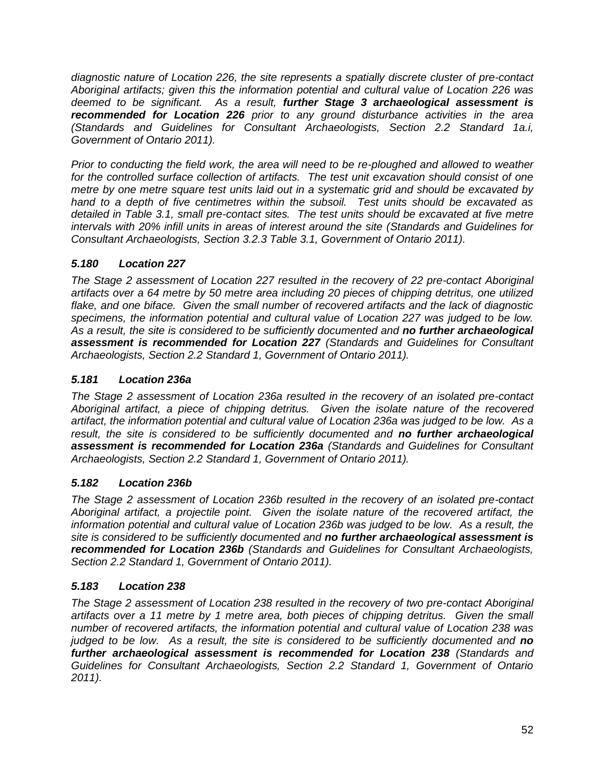*diagnostic nature of Location 226, the site represents a spatially discrete cluster of pre-contact Aboriginal artifacts; given this the information potential and cultural value of Location 226 was deemed to be significant. As a result, further Stage 3 archaeological assessment is recommended for Location 226 prior to any ground disturbance activities in the area (Standards and Guidelines for Consultant Archaeologists, Section 2.2 Standard 1a.i, Government of Ontario 2011).* 

*Prior to conducting the field work, the area will need to be re-ploughed and allowed to weather for the controlled surface collection of artifacts. The test unit excavation should consist of one metre by one metre square test units laid out in a systematic grid and should be excavated by hand to a depth of five centimetres within the subsoil. Test units should be excavated as detailed in Table 3.1, small pre-contact sites. The test units should be excavated at five metre intervals with 20% infill units in areas of interest around the site (Standards and Guidelines for Consultant Archaeologists, Section 3.2.3 Table 3.1, Government of Ontario 2011).* 

# *5.180 Location 227*

*The Stage 2 assessment of Location 227 resulted in the recovery of 22 pre-contact Aboriginal artifacts over a 64 metre by 50 metre area including 20 pieces of chipping detritus, one utilized flake, and one biface. Given the small number of recovered artifacts and the lack of diagnostic specimens, the information potential and cultural value of Location 227 was judged to be low. As a result, the site is considered to be sufficiently documented and no further archaeological assessment is recommended for Location 227 (Standards and Guidelines for Consultant Archaeologists, Section 2.2 Standard 1, Government of Ontario 2011).* 

# *5.181 Location 236a*

*The Stage 2 assessment of Location 236a resulted in the recovery of an isolated pre-contact Aboriginal artifact, a piece of chipping detritus. Given the isolate nature of the recovered artifact, the information potential and cultural value of Location 236a was judged to be low. As a result, the site is considered to be sufficiently documented and no further archaeological assessment is recommended for Location 236a (Standards and Guidelines for Consultant Archaeologists, Section 2.2 Standard 1, Government of Ontario 2011).*

## *5.182 Location 236b*

*The Stage 2 assessment of Location 236b resulted in the recovery of an isolated pre-contact Aboriginal artifact, a projectile point. Given the isolate nature of the recovered artifact, the information potential and cultural value of Location 236b was judged to be low. As a result, the site is considered to be sufficiently documented and no further archaeological assessment is recommended for Location 236b (Standards and Guidelines for Consultant Archaeologists, Section 2.2 Standard 1, Government of Ontario 2011).*

## *5.183 Location 238*

*The Stage 2 assessment of Location 238 resulted in the recovery of two pre-contact Aboriginal artifacts over a 11 metre by 1 metre area, both pieces of chipping detritus. Given the small number of recovered artifacts, the information potential and cultural value of Location 238 was judged to be low. As a result, the site is considered to be sufficiently documented and no further archaeological assessment is recommended for Location 238 (Standards and Guidelines for Consultant Archaeologists, Section 2.2 Standard 1, Government of Ontario 2011).*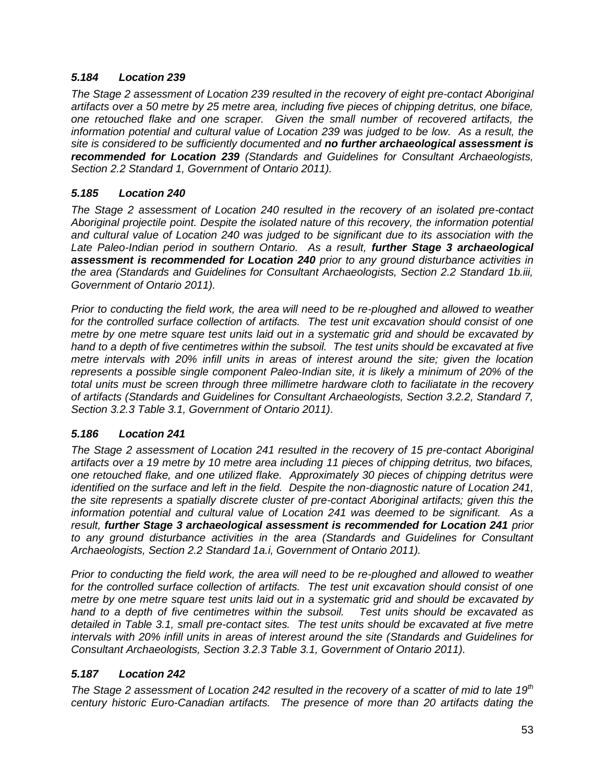### *5.184 Location 239*

*The Stage 2 assessment of Location 239 resulted in the recovery of eight pre-contact Aboriginal artifacts over a 50 metre by 25 metre area, including five pieces of chipping detritus, one biface, one retouched flake and one scraper. Given the small number of recovered artifacts, the information potential and cultural value of Location 239 was judged to be low. As a result, the site is considered to be sufficiently documented and no further archaeological assessment is recommended for Location 239 (Standards and Guidelines for Consultant Archaeologists, Section 2.2 Standard 1, Government of Ontario 2011).*

### *5.185 Location 240*

*The Stage 2 assessment of Location 240 resulted in the recovery of an isolated pre-contact Aboriginal projectile point. Despite the isolated nature of this recovery, the information potential and cultural value of Location 240 was judged to be significant due to its association with the*  Late Paleo-Indian period in southern Ontario. As a result, **further Stage 3 archaeological** *assessment is recommended for Location 240 prior to any ground disturbance activities in the area (Standards and Guidelines for Consultant Archaeologists, Section 2.2 Standard 1b.iii, Government of Ontario 2011).* 

*Prior to conducting the field work, the area will need to be re-ploughed and allowed to weather for the controlled surface collection of artifacts. The test unit excavation should consist of one metre by one metre square test units laid out in a systematic grid and should be excavated by hand to a depth of five centimetres within the subsoil. The test units should be excavated at five metre intervals with 20% infill units in areas of interest around the site; given the location represents a possible single component Paleo-Indian site, it is likely a minimum of 20% of the total units must be screen through three millimetre hardware cloth to faciliatate in the recovery of artifacts (Standards and Guidelines for Consultant Archaeologists, Section 3.2.2, Standard 7, Section 3.2.3 Table 3.1, Government of Ontario 2011).* 

### *5.186 Location 241*

*The Stage 2 assessment of Location 241 resulted in the recovery of 15 pre-contact Aboriginal artifacts over a 19 metre by 10 metre area including 11 pieces of chipping detritus, two bifaces, one retouched flake, and one utilized flake. Approximately 30 pieces of chipping detritus were identified on the surface and left in the field. Despite the non-diagnostic nature of Location 241, the site represents a spatially discrete cluster of pre-contact Aboriginal artifacts; given this the information potential and cultural value of Location 241 was deemed to be significant. As a result, further Stage 3 archaeological assessment is recommended for Location 241 prior to any ground disturbance activities in the area (Standards and Guidelines for Consultant Archaeologists, Section 2.2 Standard 1a.i, Government of Ontario 2011).* 

*Prior to conducting the field work, the area will need to be re-ploughed and allowed to weather for the controlled surface collection of artifacts. The test unit excavation should consist of one metre by one metre square test units laid out in a systematic grid and should be excavated by hand to a depth of five centimetres within the subsoil. Test units should be excavated as detailed in Table 3.1, small pre-contact sites. The test units should be excavated at five metre intervals with 20% infill units in areas of interest around the site (Standards and Guidelines for Consultant Archaeologists, Section 3.2.3 Table 3.1, Government of Ontario 2011).* 

## *5.187 Location 242*

*The Stage 2 assessment of Location 242 resulted in the recovery of a scatter of mid to late 19th century historic Euro-Canadian artifacts. The presence of more than 20 artifacts dating the*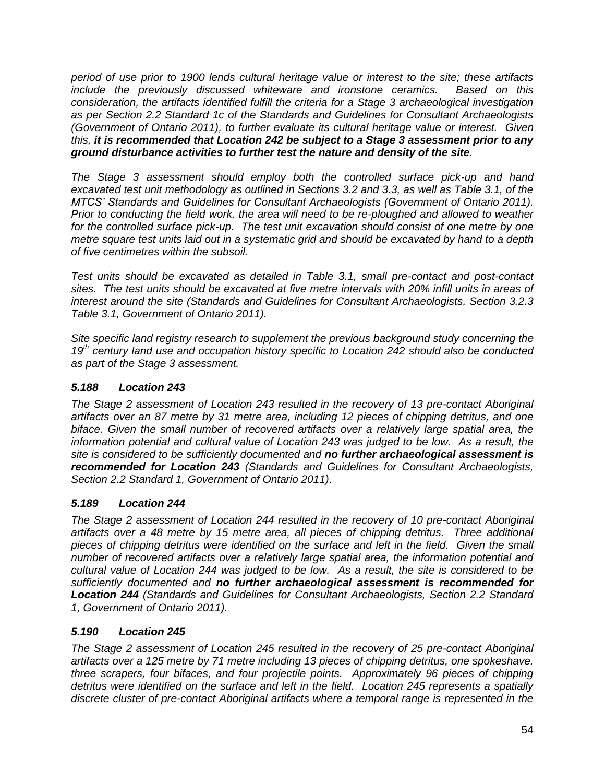*period of use prior to 1900 lends cultural heritage value or interest to the site; these artifacts include the previously discussed whiteware and ironstone ceramics. Based on this consideration, the artifacts identified fulfill the criteria for a Stage 3 archaeological investigation as per Section 2.2 Standard 1c of the Standards and Guidelines for Consultant Archaeologists (Government of Ontario 2011), to further evaluate its cultural heritage value or interest. Given this, it is recommended that Location 242 be subject to a Stage 3 assessment prior to any ground disturbance activities to further test the nature and density of the site.* 

*The Stage 3 assessment should employ both the controlled surface pick-up and hand excavated test unit methodology as outlined in Sections 3.2 and 3.3, as well as Table 3.1, of the MTCS' Standards and Guidelines for Consultant Archaeologists (Government of Ontario 2011). Prior to conducting the field work, the area will need to be re-ploughed and allowed to weather*  for the controlled surface pick-up. The test unit excavation should consist of one metre by one *metre square test units laid out in a systematic grid and should be excavated by hand to a depth of five centimetres within the subsoil.* 

*Test units should be excavated as detailed in Table 3.1, small pre-contact and post-contact sites. The test units should be excavated at five metre intervals with 20% infill units in areas of interest around the site (Standards and Guidelines for Consultant Archaeologists, Section 3.2.3 Table 3.1, Government of Ontario 2011).* 

*Site specific land registry research to supplement the previous background study concerning the 19th century land use and occupation history specific to Location 242 should also be conducted as part of the Stage 3 assessment.*

### *5.188 Location 243*

*The Stage 2 assessment of Location 243 resulted in the recovery of 13 pre-contact Aboriginal artifacts over an 87 metre by 31 metre area, including 12 pieces of chipping detritus, and one biface. Given the small number of recovered artifacts over a relatively large spatial area, the information potential and cultural value of Location 243 was judged to be low. As a result, the site is considered to be sufficiently documented and no further archaeological assessment is recommended for Location 243 (Standards and Guidelines for Consultant Archaeologists, Section 2.2 Standard 1, Government of Ontario 2011).*

## *5.189 Location 244*

*The Stage 2 assessment of Location 244 resulted in the recovery of 10 pre-contact Aboriginal artifacts over a 48 metre by 15 metre area, all pieces of chipping detritus. Three additional pieces of chipping detritus were identified on the surface and left in the field. Given the small number of recovered artifacts over a relatively large spatial area, the information potential and cultural value of Location 244 was judged to be low. As a result, the site is considered to be sufficiently documented and no further archaeological assessment is recommended for Location 244 (Standards and Guidelines for Consultant Archaeologists, Section 2.2 Standard 1, Government of Ontario 2011).*

### *5.190 Location 245*

*The Stage 2 assessment of Location 245 resulted in the recovery of 25 pre-contact Aboriginal artifacts over a 125 metre by 71 metre including 13 pieces of chipping detritus, one spokeshave, three scrapers, four bifaces, and four projectile points. Approximately 96 pieces of chipping detritus were identified on the surface and left in the field. Location 245 represents a spatially discrete cluster of pre-contact Aboriginal artifacts where a temporal range is represented in the*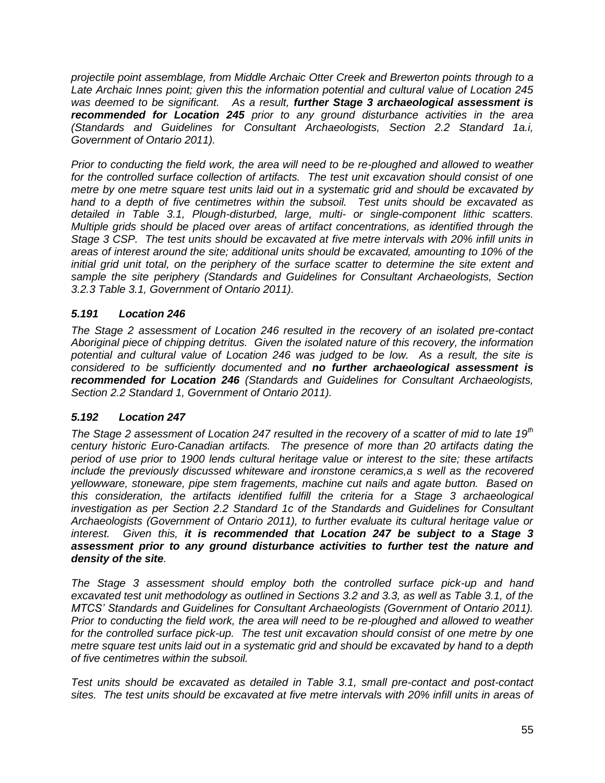*projectile point assemblage, from Middle Archaic Otter Creek and Brewerton points through to a Late Archaic Innes point; given this the information potential and cultural value of Location 245 was deemed to be significant. As a result, further Stage 3 archaeological assessment is recommended for Location 245 prior to any ground disturbance activities in the area (Standards and Guidelines for Consultant Archaeologists, Section 2.2 Standard 1a.i, Government of Ontario 2011).* 

*Prior to conducting the field work, the area will need to be re-ploughed and allowed to weather for the controlled surface collection of artifacts. The test unit excavation should consist of one metre by one metre square test units laid out in a systematic grid and should be excavated by hand to a depth of five centimetres within the subsoil. Test units should be excavated as detailed in Table 3.1, Plough-disturbed, large, multi- or single-component lithic scatters. Multiple grids should be placed over areas of artifact concentrations, as identified through the Stage 3 CSP. The test units should be excavated at five metre intervals with 20% infill units in areas of interest around the site; additional units should be excavated, amounting to 10% of the initial grid unit total, on the periphery of the surface scatter to determine the site extent and sample the site periphery (Standards and Guidelines for Consultant Archaeologists, Section 3.2.3 Table 3.1, Government of Ontario 2011).* 

## *5.191 Location 246*

*The Stage 2 assessment of Location 246 resulted in the recovery of an isolated pre-contact Aboriginal piece of chipping detritus. Given the isolated nature of this recovery, the information potential and cultural value of Location 246 was judged to be low. As a result, the site is considered to be sufficiently documented and no further archaeological assessment is recommended for Location 246 (Standards and Guidelines for Consultant Archaeologists, Section 2.2 Standard 1, Government of Ontario 2011).*

## *5.192 Location 247*

*The Stage 2 assessment of Location 247 resulted in the recovery of a scatter of mid to late 19th century historic Euro-Canadian artifacts. The presence of more than 20 artifacts dating the period of use prior to 1900 lends cultural heritage value or interest to the site; these artifacts include the previously discussed whiteware and ironstone ceramics,a s well as the recovered yellowware, stoneware, pipe stem fragements, machine cut nails and agate button. Based on this consideration, the artifacts identified fulfill the criteria for a Stage 3 archaeological investigation as per Section 2.2 Standard 1c of the Standards and Guidelines for Consultant Archaeologists (Government of Ontario 2011), to further evaluate its cultural heritage value or interest. Given this, it is recommended that Location 247 be subject to a Stage 3 assessment prior to any ground disturbance activities to further test the nature and density of the site.* 

*The Stage 3 assessment should employ both the controlled surface pick-up and hand excavated test unit methodology as outlined in Sections 3.2 and 3.3, as well as Table 3.1, of the MTCS' Standards and Guidelines for Consultant Archaeologists (Government of Ontario 2011). Prior to conducting the field work, the area will need to be re-ploughed and allowed to weather for the controlled surface pick-up. The test unit excavation should consist of one metre by one metre square test units laid out in a systematic grid and should be excavated by hand to a depth of five centimetres within the subsoil.* 

*Test units should be excavated as detailed in Table 3.1, small pre-contact and post-contact sites. The test units should be excavated at five metre intervals with 20% infill units in areas of*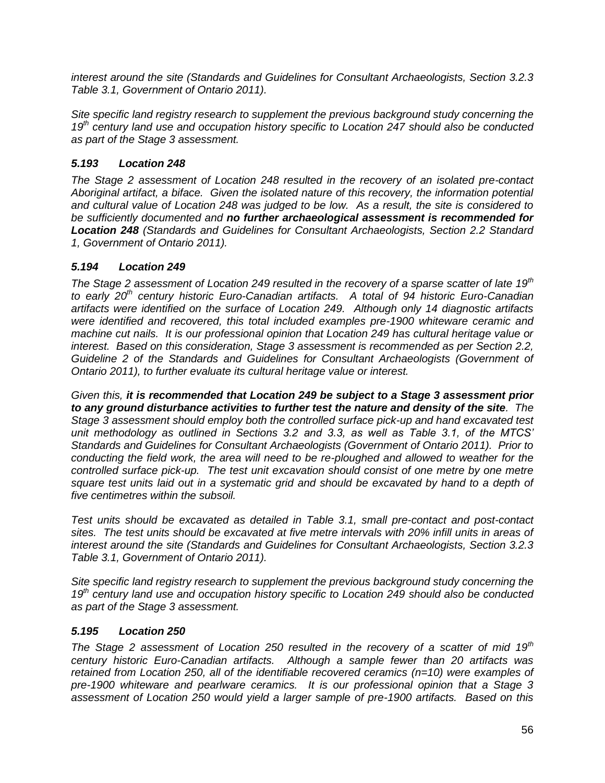*interest around the site (Standards and Guidelines for Consultant Archaeologists, Section 3.2.3 Table 3.1, Government of Ontario 2011).* 

*Site specific land registry research to supplement the previous background study concerning the 19th century land use and occupation history specific to Location 247 should also be conducted as part of the Stage 3 assessment.*

## *5.193 Location 248*

*The Stage 2 assessment of Location 248 resulted in the recovery of an isolated pre-contact Aboriginal artifact, a biface. Given the isolated nature of this recovery, the information potential and cultural value of Location 248 was judged to be low. As a result, the site is considered to be sufficiently documented and no further archaeological assessment is recommended for Location 248 (Standards and Guidelines for Consultant Archaeologists, Section 2.2 Standard 1, Government of Ontario 2011).*

## *5.194 Location 249*

*The Stage 2 assessment of Location 249 resulted in the recovery of a sparse scatter of late 19th to early 20th century historic Euro-Canadian artifacts. A total of 94 historic Euro-Canadian artifacts were identified on the surface of Location 249. Although only 14 diagnostic artifacts were identified and recovered, this total included examples pre-1900 whiteware ceramic and machine cut nails. It is our professional opinion that Location 249 has cultural heritage value or interest. Based on this consideration, Stage 3 assessment is recommended as per Section 2.2, Guideline 2 of the Standards and Guidelines for Consultant Archaeologists (Government of Ontario 2011), to further evaluate its cultural heritage value or interest.* 

*Given this, it is recommended that Location 249 be subject to a Stage 3 assessment prior to any ground disturbance activities to further test the nature and density of the site. The Stage 3 assessment should employ both the controlled surface pick-up and hand excavated test unit methodology as outlined in Sections 3.2 and 3.3, as well as Table 3.1, of the MTCS' Standards and Guidelines for Consultant Archaeologists (Government of Ontario 2011). Prior to conducting the field work, the area will need to be re-ploughed and allowed to weather for the controlled surface pick-up. The test unit excavation should consist of one metre by one metre square test units laid out in a systematic grid and should be excavated by hand to a depth of five centimetres within the subsoil.* 

*Test units should be excavated as detailed in Table 3.1, small pre-contact and post-contact sites. The test units should be excavated at five metre intervals with 20% infill units in areas of interest around the site (Standards and Guidelines for Consultant Archaeologists, Section 3.2.3 Table 3.1, Government of Ontario 2011).* 

*Site specific land registry research to supplement the previous background study concerning the 19th century land use and occupation history specific to Location 249 should also be conducted as part of the Stage 3 assessment.*

## *5.195 Location 250*

*The Stage 2 assessment of Location 250 resulted in the recovery of a scatter of mid 19th century historic Euro-Canadian artifacts. Although a sample fewer than 20 artifacts was retained from Location 250, all of the identifiable recovered ceramics (n=10) were examples of pre-1900 whiteware and pearlware ceramics. It is our professional opinion that a Stage 3 assessment of Location 250 would yield a larger sample of pre-1900 artifacts. Based on this*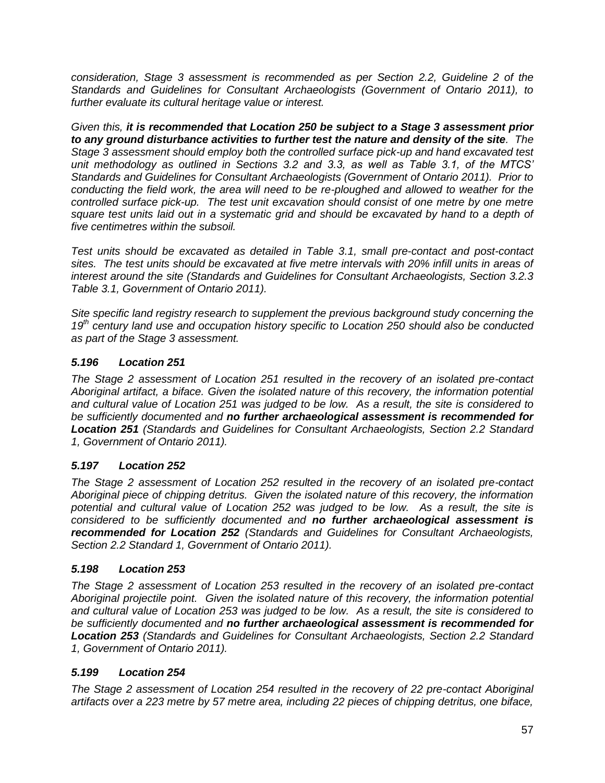*consideration, Stage 3 assessment is recommended as per Section 2.2, Guideline 2 of the Standards and Guidelines for Consultant Archaeologists (Government of Ontario 2011), to further evaluate its cultural heritage value or interest.* 

*Given this, it is recommended that Location 250 be subject to a Stage 3 assessment prior to any ground disturbance activities to further test the nature and density of the site. The Stage 3 assessment should employ both the controlled surface pick-up and hand excavated test unit methodology as outlined in Sections 3.2 and 3.3, as well as Table 3.1, of the MTCS' Standards and Guidelines for Consultant Archaeologists (Government of Ontario 2011). Prior to conducting the field work, the area will need to be re-ploughed and allowed to weather for the controlled surface pick-up. The test unit excavation should consist of one metre by one metre square test units laid out in a systematic grid and should be excavated by hand to a depth of five centimetres within the subsoil.* 

*Test units should be excavated as detailed in Table 3.1, small pre-contact and post-contact sites. The test units should be excavated at five metre intervals with 20% infill units in areas of interest around the site (Standards and Guidelines for Consultant Archaeologists, Section 3.2.3 Table 3.1, Government of Ontario 2011).* 

*Site specific land registry research to supplement the previous background study concerning the 19th century land use and occupation history specific to Location 250 should also be conducted as part of the Stage 3 assessment.*

# *5.196 Location 251*

*The Stage 2 assessment of Location 251 resulted in the recovery of an isolated pre-contact Aboriginal artifact, a biface. Given the isolated nature of this recovery, the information potential and cultural value of Location 251 was judged to be low. As a result, the site is considered to be sufficiently documented and no further archaeological assessment is recommended for Location 251 (Standards and Guidelines for Consultant Archaeologists, Section 2.2 Standard 1, Government of Ontario 2011).*

## *5.197 Location 252*

*The Stage 2 assessment of Location 252 resulted in the recovery of an isolated pre-contact Aboriginal piece of chipping detritus. Given the isolated nature of this recovery, the information potential and cultural value of Location 252 was judged to be low. As a result, the site is considered to be sufficiently documented and no further archaeological assessment is recommended for Location 252 (Standards and Guidelines for Consultant Archaeologists, Section 2.2 Standard 1, Government of Ontario 2011).*

## *5.198 Location 253*

*The Stage 2 assessment of Location 253 resulted in the recovery of an isolated pre-contact Aboriginal projectile point. Given the isolated nature of this recovery, the information potential and cultural value of Location 253 was judged to be low. As a result, the site is considered to be sufficiently documented and no further archaeological assessment is recommended for Location 253 (Standards and Guidelines for Consultant Archaeologists, Section 2.2 Standard 1, Government of Ontario 2011).*

## *5.199 Location 254*

*The Stage 2 assessment of Location 254 resulted in the recovery of 22 pre-contact Aboriginal artifacts over a 223 metre by 57 metre area, including 22 pieces of chipping detritus, one biface,*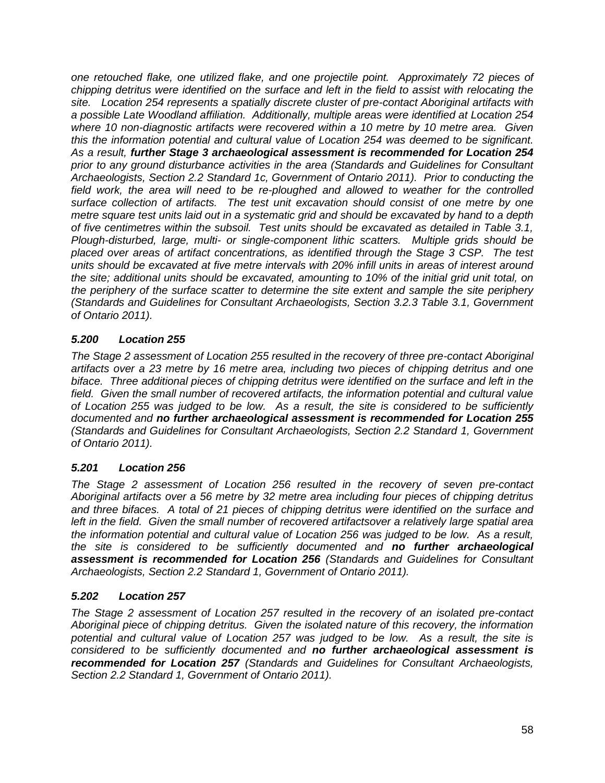*one retouched flake, one utilized flake, and one projectile point. Approximately 72 pieces of chipping detritus were identified on the surface and left in the field to assist with relocating the site. Location 254 represents a spatially discrete cluster of pre-contact Aboriginal artifacts with a possible Late Woodland affiliation. Additionally, multiple areas were identified at Location 254 where 10 non-diagnostic artifacts were recovered within a 10 metre by 10 metre area. Given this the information potential and cultural value of Location 254 was deemed to be significant. As a result, further Stage 3 archaeological assessment is recommended for Location 254 prior to any ground disturbance activities in the area (Standards and Guidelines for Consultant Archaeologists, Section 2.2 Standard 1c, Government of Ontario 2011). Prior to conducting the field work, the area will need to be re-ploughed and allowed to weather for the controlled surface collection of artifacts. The test unit excavation should consist of one metre by one metre square test units laid out in a systematic grid and should be excavated by hand to a depth of five centimetres within the subsoil. Test units should be excavated as detailed in Table 3.1, Plough-disturbed, large, multi- or single-component lithic scatters. Multiple grids should be placed over areas of artifact concentrations, as identified through the Stage 3 CSP. The test units should be excavated at five metre intervals with 20% infill units in areas of interest around the site; additional units should be excavated, amounting to 10% of the initial grid unit total, on the periphery of the surface scatter to determine the site extent and sample the site periphery (Standards and Guidelines for Consultant Archaeologists, Section 3.2.3 Table 3.1, Government of Ontario 2011).* 

# *5.200 Location 255*

*The Stage 2 assessment of Location 255 resulted in the recovery of three pre-contact Aboriginal artifacts over a 23 metre by 16 metre area, including two pieces of chipping detritus and one biface. Three additional pieces of chipping detritus were identified on the surface and left in the field. Given the small number of recovered artifacts, the information potential and cultural value of Location 255 was judged to be low. As a result, the site is considered to be sufficiently documented and no further archaeological assessment is recommended for Location 255 (Standards and Guidelines for Consultant Archaeologists, Section 2.2 Standard 1, Government of Ontario 2011).*

## *5.201 Location 256*

*The Stage 2 assessment of Location 256 resulted in the recovery of seven pre-contact Aboriginal artifacts over a 56 metre by 32 metre area including four pieces of chipping detritus and three bifaces. A total of 21 pieces of chipping detritus were identified on the surface and left in the field. Given the small number of recovered artifactsover a relatively large spatial area the information potential and cultural value of Location 256 was judged to be low. As a result, the site is considered to be sufficiently documented and no further archaeological assessment is recommended for Location 256 (Standards and Guidelines for Consultant Archaeologists, Section 2.2 Standard 1, Government of Ontario 2011).*

### *5.202 Location 257*

*The Stage 2 assessment of Location 257 resulted in the recovery of an isolated pre-contact Aboriginal piece of chipping detritus. Given the isolated nature of this recovery, the information potential and cultural value of Location 257 was judged to be low. As a result, the site is considered to be sufficiently documented and no further archaeological assessment is recommended for Location 257 (Standards and Guidelines for Consultant Archaeologists, Section 2.2 Standard 1, Government of Ontario 2011).*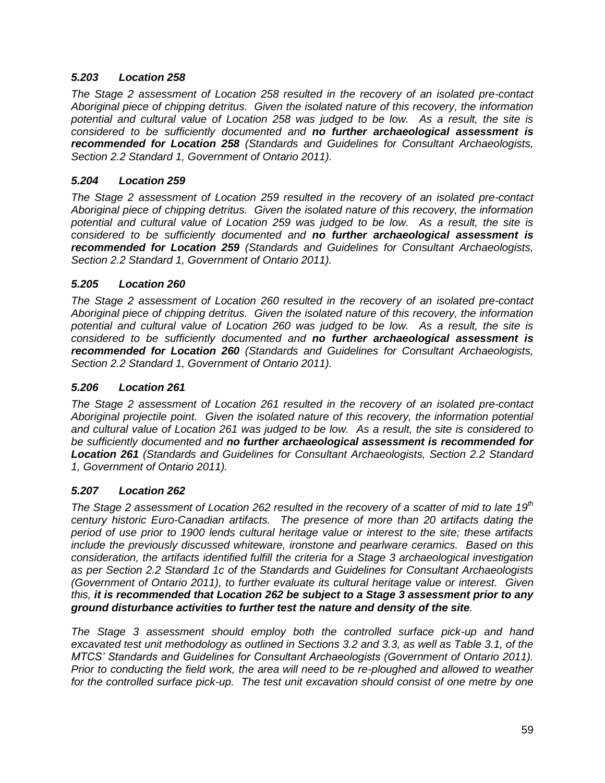### *5.203 Location 258*

*The Stage 2 assessment of Location 258 resulted in the recovery of an isolated pre-contact Aboriginal piece of chipping detritus. Given the isolated nature of this recovery, the information potential and cultural value of Location 258 was judged to be low. As a result, the site is considered to be sufficiently documented and no further archaeological assessment is recommended for Location 258 (Standards and Guidelines for Consultant Archaeologists, Section 2.2 Standard 1, Government of Ontario 2011).*

### *5.204 Location 259*

*The Stage 2 assessment of Location 259 resulted in the recovery of an isolated pre-contact Aboriginal piece of chipping detritus. Given the isolated nature of this recovery, the information potential and cultural value of Location 259 was judged to be low. As a result, the site is considered to be sufficiently documented and no further archaeological assessment is recommended for Location 259 (Standards and Guidelines for Consultant Archaeologists, Section 2.2 Standard 1, Government of Ontario 2011).*

### *5.205 Location 260*

*The Stage 2 assessment of Location 260 resulted in the recovery of an isolated pre-contact Aboriginal piece of chipping detritus. Given the isolated nature of this recovery, the information potential and cultural value of Location 260 was judged to be low. As a result, the site is considered to be sufficiently documented and no further archaeological assessment is recommended for Location 260 (Standards and Guidelines for Consultant Archaeologists, Section 2.2 Standard 1, Government of Ontario 2011).*

### *5.206 Location 261*

*The Stage 2 assessment of Location 261 resulted in the recovery of an isolated pre-contact Aboriginal projectile point. Given the isolated nature of this recovery, the information potential and cultural value of Location 261 was judged to be low. As a result, the site is considered to be sufficiently documented and no further archaeological assessment is recommended for Location 261 (Standards and Guidelines for Consultant Archaeologists, Section 2.2 Standard 1, Government of Ontario 2011).*

## *5.207 Location 262*

*The Stage 2 assessment of Location 262 resulted in the recovery of a scatter of mid to late 19th century historic Euro-Canadian artifacts. The presence of more than 20 artifacts dating the period of use prior to 1900 lends cultural heritage value or interest to the site; these artifacts include the previously discussed whiteware, ironstone and pearlware ceramics. Based on this consideration, the artifacts identified fulfill the criteria for a Stage 3 archaeological investigation as per Section 2.2 Standard 1c of the Standards and Guidelines for Consultant Archaeologists (Government of Ontario 2011), to further evaluate its cultural heritage value or interest. Given this, it is recommended that Location 262 be subject to a Stage 3 assessment prior to any ground disturbance activities to further test the nature and density of the site.* 

*The Stage 3 assessment should employ both the controlled surface pick-up and hand excavated test unit methodology as outlined in Sections 3.2 and 3.3, as well as Table 3.1, of the MTCS' Standards and Guidelines for Consultant Archaeologists (Government of Ontario 2011). Prior to conducting the field work, the area will need to be re-ploughed and allowed to weather*  for the controlled surface pick-up. The test unit excavation should consist of one metre by one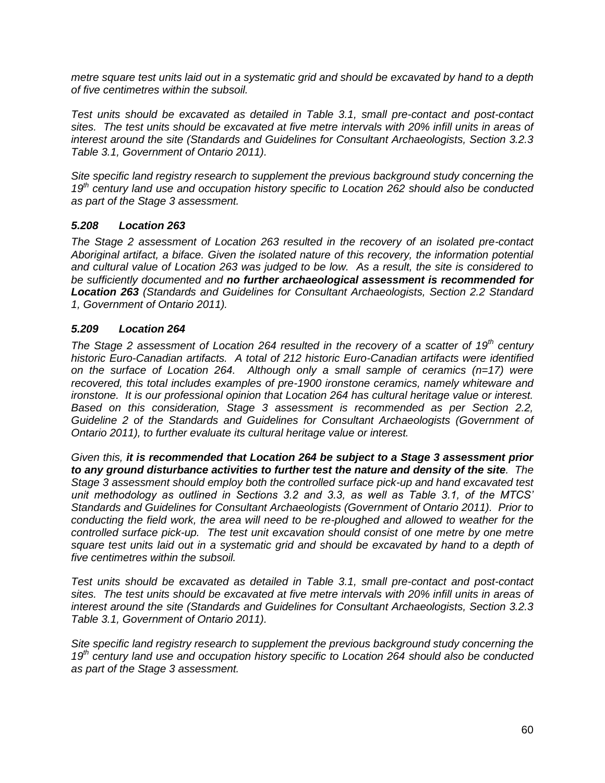*metre square test units laid out in a systematic grid and should be excavated by hand to a depth of five centimetres within the subsoil.* 

*Test units should be excavated as detailed in Table 3.1, small pre-contact and post-contact sites. The test units should be excavated at five metre intervals with 20% infill units in areas of interest around the site (Standards and Guidelines for Consultant Archaeologists, Section 3.2.3 Table 3.1, Government of Ontario 2011).* 

*Site specific land registry research to supplement the previous background study concerning the 19th century land use and occupation history specific to Location 262 should also be conducted as part of the Stage 3 assessment.*

### *5.208 Location 263*

*The Stage 2 assessment of Location 263 resulted in the recovery of an isolated pre-contact Aboriginal artifact, a biface. Given the isolated nature of this recovery, the information potential and cultural value of Location 263 was judged to be low. As a result, the site is considered to be sufficiently documented and no further archaeological assessment is recommended for Location 263 (Standards and Guidelines for Consultant Archaeologists, Section 2.2 Standard 1, Government of Ontario 2011).*

#### *5.209 Location 264*

*The Stage 2 assessment of Location 264 resulted in the recovery of a scatter of 19th century historic Euro-Canadian artifacts. A total of 212 historic Euro-Canadian artifacts were identified on the surface of Location 264. Although only a small sample of ceramics (n=17) were recovered, this total includes examples of pre-1900 ironstone ceramics, namely whiteware and ironstone. It is our professional opinion that Location 264 has cultural heritage value or interest. Based on this consideration, Stage 3 assessment is recommended as per Section 2.2, Guideline 2 of the Standards and Guidelines for Consultant Archaeologists (Government of Ontario 2011), to further evaluate its cultural heritage value or interest.* 

*Given this, it is recommended that Location 264 be subject to a Stage 3 assessment prior to any ground disturbance activities to further test the nature and density of the site. The Stage 3 assessment should employ both the controlled surface pick-up and hand excavated test unit methodology as outlined in Sections 3.2 and 3.3, as well as Table 3.1, of the MTCS' Standards and Guidelines for Consultant Archaeologists (Government of Ontario 2011). Prior to conducting the field work, the area will need to be re-ploughed and allowed to weather for the controlled surface pick-up. The test unit excavation should consist of one metre by one metre square test units laid out in a systematic grid and should be excavated by hand to a depth of five centimetres within the subsoil.* 

*Test units should be excavated as detailed in Table 3.1, small pre-contact and post-contact sites. The test units should be excavated at five metre intervals with 20% infill units in areas of interest around the site (Standards and Guidelines for Consultant Archaeologists, Section 3.2.3 Table 3.1, Government of Ontario 2011).* 

*Site specific land registry research to supplement the previous background study concerning the 19th century land use and occupation history specific to Location 264 should also be conducted as part of the Stage 3 assessment.*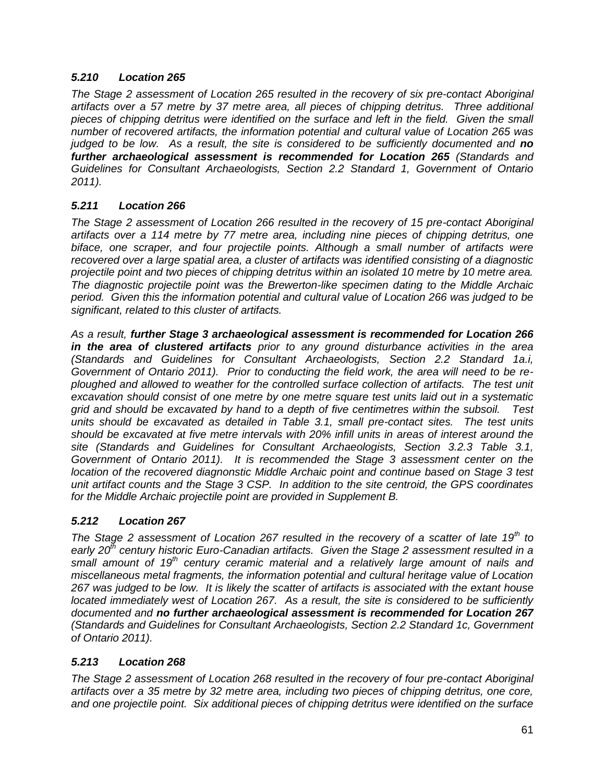### *5.210 Location 265*

*The Stage 2 assessment of Location 265 resulted in the recovery of six pre-contact Aboriginal artifacts over a 57 metre by 37 metre area, all pieces of chipping detritus. Three additional*  pieces of chipping detritus were identified on the surface and left in the field. Given the small *number of recovered artifacts, the information potential and cultural value of Location 265 was judged to be low. As a result, the site is considered to be sufficiently documented and no further archaeological assessment is recommended for Location 265 (Standards and Guidelines for Consultant Archaeologists, Section 2.2 Standard 1, Government of Ontario 2011).*

### *5.211 Location 266*

*The Stage 2 assessment of Location 266 resulted in the recovery of 15 pre-contact Aboriginal artifacts over a 114 metre by 77 metre area, including nine pieces of chipping detritus, one biface, one scraper, and four projectile points. Although a small number of artifacts were recovered over a large spatial area, a cluster of artifacts was identified consisting of a diagnostic projectile point and two pieces of chipping detritus within an isolated 10 metre by 10 metre area. The diagnostic projectile point was the Brewerton-like specimen dating to the Middle Archaic period. Given this the information potential and cultural value of Location 266 was judged to be significant, related to this cluster of artifacts.*

*As a result, further Stage 3 archaeological assessment is recommended for Location 266 in the area of clustered artifacts prior to any ground disturbance activities in the area (Standards and Guidelines for Consultant Archaeologists, Section 2.2 Standard 1a.i, Government of Ontario 2011). Prior to conducting the field work, the area will need to be reploughed and allowed to weather for the controlled surface collection of artifacts. The test unit excavation should consist of one metre by one metre square test units laid out in a systematic grid and should be excavated by hand to a depth of five centimetres within the subsoil. Test units should be excavated as detailed in Table 3.1, small pre-contact sites. The test units should be excavated at five metre intervals with 20% infill units in areas of interest around the site (Standards and Guidelines for Consultant Archaeologists, Section 3.2.3 Table 3.1, Government of Ontario 2011). It is recommended the Stage 3 assessment center on the location of the recovered diagnonstic Middle Archaic point and continue based on Stage 3 test unit artifact counts and the Stage 3 CSP. In addition to the site centroid, the GPS coordinates for the Middle Archaic projectile point are provided in Supplement B.* 

## *5.212 Location 267*

*The Stage 2 assessment of Location 267 resulted in the recovery of a scatter of late 19th to early 20th century historic Euro-Canadian artifacts. Given the Stage 2 assessment resulted in a small amount of 19th century ceramic material and a relatively large amount of nails and miscellaneous metal fragments, the information potential and cultural heritage value of Location 267 was judged to be low. It is likely the scatter of artifacts is associated with the extant house located immediately west of Location 267. As a result, the site is considered to be sufficiently documented and no further archaeological assessment is recommended for Location 267 (Standards and Guidelines for Consultant Archaeologists, Section 2.2 Standard 1c, Government of Ontario 2011).*

### *5.213 Location 268*

*The Stage 2 assessment of Location 268 resulted in the recovery of four pre-contact Aboriginal artifacts over a 35 metre by 32 metre area, including two pieces of chipping detritus, one core, and one projectile point. Six additional pieces of chipping detritus were identified on the surface*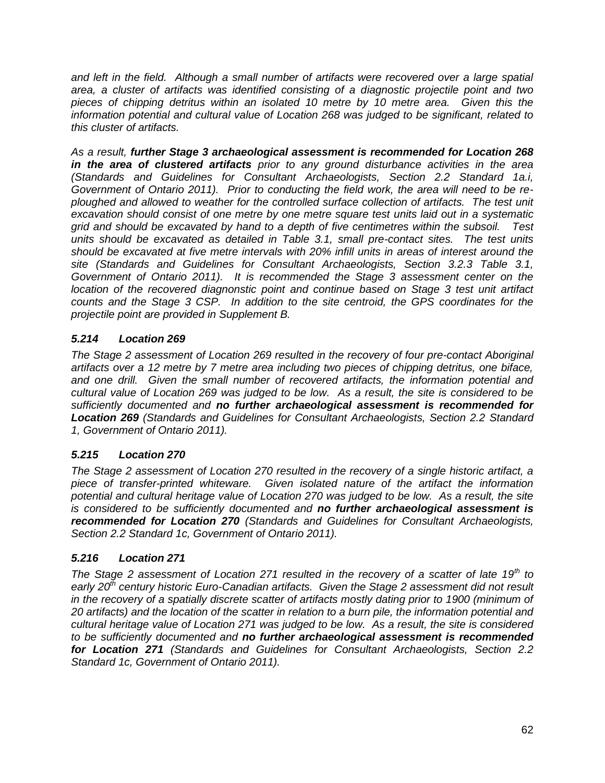*and left in the field. Although a small number of artifacts were recovered over a large spatial area, a cluster of artifacts was identified consisting of a diagnostic projectile point and two pieces of chipping detritus within an isolated 10 metre by 10 metre area. Given this the information potential and cultural value of Location 268 was judged to be significant, related to this cluster of artifacts.*

*As a result, further Stage 3 archaeological assessment is recommended for Location 268 in the area of clustered artifacts prior to any ground disturbance activities in the area (Standards and Guidelines for Consultant Archaeologists, Section 2.2 Standard 1a.i, Government of Ontario 2011). Prior to conducting the field work, the area will need to be reploughed and allowed to weather for the controlled surface collection of artifacts. The test unit excavation should consist of one metre by one metre square test units laid out in a systematic grid and should be excavated by hand to a depth of five centimetres within the subsoil. Test units should be excavated as detailed in Table 3.1, small pre-contact sites. The test units should be excavated at five metre intervals with 20% infill units in areas of interest around the site (Standards and Guidelines for Consultant Archaeologists, Section 3.2.3 Table 3.1, Government of Ontario 2011). It is recommended the Stage 3 assessment center on the location of the recovered diagnonstic point and continue based on Stage 3 test unit artifact counts and the Stage 3 CSP. In addition to the site centroid, the GPS coordinates for the projectile point are provided in Supplement B.* 

## *5.214 Location 269*

*The Stage 2 assessment of Location 269 resulted in the recovery of four pre-contact Aboriginal artifacts over a 12 metre by 7 metre area including two pieces of chipping detritus, one biface, and one drill. Given the small number of recovered artifacts, the information potential and cultural value of Location 269 was judged to be low. As a result, the site is considered to be sufficiently documented and no further archaeological assessment is recommended for Location 269 (Standards and Guidelines for Consultant Archaeologists, Section 2.2 Standard 1, Government of Ontario 2011).*

## *5.215 Location 270*

*The Stage 2 assessment of Location 270 resulted in the recovery of a single historic artifact, a piece of transfer-printed whiteware. Given isolated nature of the artifact the information potential and cultural heritage value of Location 270 was judged to be low. As a result, the site is considered to be sufficiently documented and no further archaeological assessment is recommended for Location 270 (Standards and Guidelines for Consultant Archaeologists, Section 2.2 Standard 1c, Government of Ontario 2011).*

## *5.216 Location 271*

*The Stage 2 assessment of Location 271 resulted in the recovery of a scatter of late 19th to early 20th century historic Euro-Canadian artifacts. Given the Stage 2 assessment did not result in the recovery of a spatially discrete scatter of artifacts mostly dating prior to 1900 (minimum of 20 artifacts) and the location of the scatter in relation to a burn pile, the information potential and cultural heritage value of Location 271 was judged to be low. As a result, the site is considered to be sufficiently documented and no further archaeological assessment is recommended for Location 271 (Standards and Guidelines for Consultant Archaeologists, Section 2.2 Standard 1c, Government of Ontario 2011).*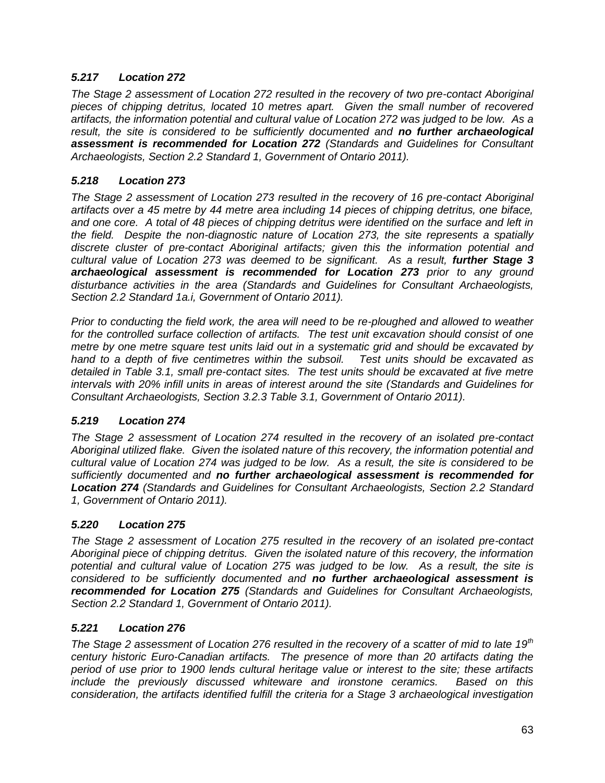### *5.217 Location 272*

*The Stage 2 assessment of Location 272 resulted in the recovery of two pre-contact Aboriginal pieces of chipping detritus, located 10 metres apart. Given the small number of recovered artifacts, the information potential and cultural value of Location 272 was judged to be low. As a result, the site is considered to be sufficiently documented and no further archaeological assessment is recommended for Location 272 (Standards and Guidelines for Consultant Archaeologists, Section 2.2 Standard 1, Government of Ontario 2011).*

### *5.218 Location 273*

*The Stage 2 assessment of Location 273 resulted in the recovery of 16 pre-contact Aboriginal artifacts over a 45 metre by 44 metre area including 14 pieces of chipping detritus, one biface, and one core. A total of 48 pieces of chipping detritus were identified on the surface and left in the field. Despite the non-diagnostic nature of Location 273, the site represents a spatially discrete cluster of pre-contact Aboriginal artifacts; given this the information potential and cultural value of Location 273 was deemed to be significant. As a result, further Stage 3 archaeological assessment is recommended for Location 273 prior to any ground disturbance activities in the area (Standards and Guidelines for Consultant Archaeologists, Section 2.2 Standard 1a.i, Government of Ontario 2011).* 

*Prior to conducting the field work, the area will need to be re-ploughed and allowed to weather for the controlled surface collection of artifacts. The test unit excavation should consist of one metre by one metre square test units laid out in a systematic grid and should be excavated by hand to a depth of five centimetres within the subsoil. Test units should be excavated as detailed in Table 3.1, small pre-contact sites. The test units should be excavated at five metre intervals with 20% infill units in areas of interest around the site (Standards and Guidelines for Consultant Archaeologists, Section 3.2.3 Table 3.1, Government of Ontario 2011).* 

### *5.219 Location 274*

*The Stage 2 assessment of Location 274 resulted in the recovery of an isolated pre-contact Aboriginal utilized flake. Given the isolated nature of this recovery, the information potential and cultural value of Location 274 was judged to be low. As a result, the site is considered to be sufficiently documented and no further archaeological assessment is recommended for Location 274 (Standards and Guidelines for Consultant Archaeologists, Section 2.2 Standard 1, Government of Ontario 2011).*

### *5.220 Location 275*

*The Stage 2 assessment of Location 275 resulted in the recovery of an isolated pre-contact Aboriginal piece of chipping detritus. Given the isolated nature of this recovery, the information potential and cultural value of Location 275 was judged to be low. As a result, the site is considered to be sufficiently documented and no further archaeological assessment is recommended for Location 275 (Standards and Guidelines for Consultant Archaeologists, Section 2.2 Standard 1, Government of Ontario 2011).*

### *5.221 Location 276*

*The Stage 2 assessment of Location 276 resulted in the recovery of a scatter of mid to late 19th century historic Euro-Canadian artifacts. The presence of more than 20 artifacts dating the period of use prior to 1900 lends cultural heritage value or interest to the site; these artifacts include the previously discussed whiteware and ironstone ceramics. Based on this consideration, the artifacts identified fulfill the criteria for a Stage 3 archaeological investigation*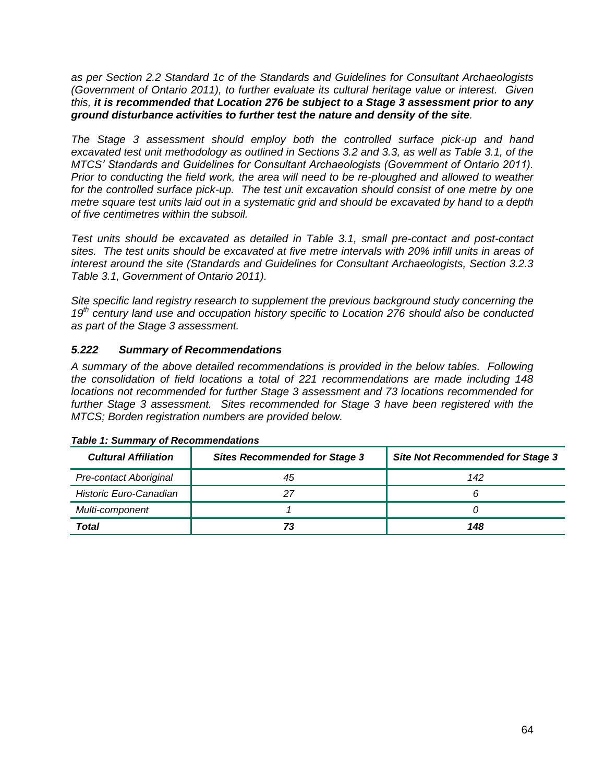*as per Section 2.2 Standard 1c of the Standards and Guidelines for Consultant Archaeologists (Government of Ontario 2011), to further evaluate its cultural heritage value or interest. Given this, it is recommended that Location 276 be subject to a Stage 3 assessment prior to any ground disturbance activities to further test the nature and density of the site.* 

*The Stage 3 assessment should employ both the controlled surface pick-up and hand excavated test unit methodology as outlined in Sections 3.2 and 3.3, as well as Table 3.1, of the MTCS' Standards and Guidelines for Consultant Archaeologists (Government of Ontario 2011). Prior to conducting the field work, the area will need to be re-ploughed and allowed to weather*  for the controlled surface pick-up. The test unit excavation should consist of one metre by one *metre square test units laid out in a systematic grid and should be excavated by hand to a depth of five centimetres within the subsoil.* 

*Test units should be excavated as detailed in Table 3.1, small pre-contact and post-contact sites. The test units should be excavated at five metre intervals with 20% infill units in areas of interest around the site (Standards and Guidelines for Consultant Archaeologists, Section 3.2.3 Table 3.1, Government of Ontario 2011).* 

*Site specific land registry research to supplement the previous background study concerning the 19th century land use and occupation history specific to Location 276 should also be conducted as part of the Stage 3 assessment.*

## *5.222 Summary of Recommendations*

*A summary of the above detailed recommendations is provided in the below tables. Following the consolidation of field locations a total of 221 recommendations are made including 148 locations not recommended for further Stage 3 assessment and 73 locations recommended for further Stage 3 assessment. Sites recommended for Stage 3 have been registered with the MTCS; Borden registration numbers are provided below.*

| <b>Cultural Affiliation</b> | <b>Sites Recommended for Stage 3</b> | <b>Site Not Recommended for Stage 3</b> |  |  |
|-----------------------------|--------------------------------------|-----------------------------------------|--|--|
| Pre-contact Aboriginal      | 45                                   | 142                                     |  |  |
| Historic Euro-Canadian      |                                      |                                         |  |  |
| Multi-component             |                                      |                                         |  |  |
| Total                       |                                      | 148                                     |  |  |

### *Table 1: Summary of Recommendations*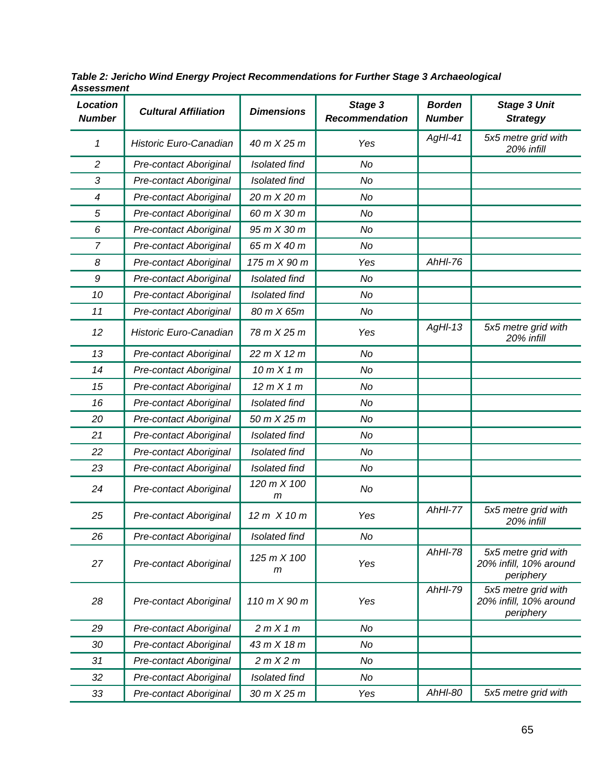| <b>Location</b><br><b>Number</b> | <b>Cultural Affiliation</b> | <b>Dimensions</b>    | Stage 3<br><b>Recommendation</b> | <b>Borden</b><br><b>Number</b> | <b>Stage 3 Unit</b><br><b>Strategy</b>                     |
|----------------------------------|-----------------------------|----------------------|----------------------------------|--------------------------------|------------------------------------------------------------|
| 1                                | Historic Euro-Canadian      | 40 m X 25 m          | Yes                              | AgHI-41                        | 5x5 metre grid with<br>20% infill                          |
| $\overline{c}$                   | Pre-contact Aboriginal      | <b>Isolated find</b> | No                               |                                |                                                            |
| 3                                | Pre-contact Aboriginal      | Isolated find        | No                               |                                |                                                            |
| 4                                | Pre-contact Aboriginal      | 20 m X 20 m          | No                               |                                |                                                            |
| 5                                | Pre-contact Aboriginal      | 60 m X 30 m          | No                               |                                |                                                            |
| 6                                | Pre-contact Aboriginal      | 95 m X 30 m          | No                               |                                |                                                            |
| $\overline{7}$                   | Pre-contact Aboriginal      | 65 m X 40 m          | No                               |                                |                                                            |
| 8                                | Pre-contact Aboriginal      | 175 m X 90 m         | Yes                              | $AhHI-76$                      |                                                            |
| 9                                | Pre-contact Aboriginal      | Isolated find        | No                               |                                |                                                            |
| 10                               | Pre-contact Aboriginal      | Isolated find        | No                               |                                |                                                            |
| 11                               | Pre-contact Aboriginal      | 80 m X 65m           | No                               |                                |                                                            |
| 12                               | Historic Euro-Canadian      | 78 m X 25 m          | Yes                              | $AgHI-13$                      | 5x5 metre grid with<br>20% infill                          |
| 13                               | Pre-contact Aboriginal      | 22 m X 12 m          | No                               |                                |                                                            |
| 14                               | Pre-contact Aboriginal      | 10 m X 1 m           | No                               |                                |                                                            |
| 15                               | Pre-contact Aboriginal      | 12 m X 1 m           | No                               |                                |                                                            |
| 16                               | Pre-contact Aboriginal      | Isolated find        | No                               |                                |                                                            |
| 20                               | Pre-contact Aboriginal      | 50 m X 25 m          | No                               |                                |                                                            |
| 21                               | Pre-contact Aboriginal      | Isolated find        | No                               |                                |                                                            |
| 22                               | Pre-contact Aboriginal      | Isolated find        | No                               |                                |                                                            |
| 23                               | Pre-contact Aboriginal      | Isolated find        | No                               |                                |                                                            |
| 24                               | Pre-contact Aboriginal      | 120 m X 100<br>m     | No                               |                                |                                                            |
| 25                               | Pre-contact Aboriginal      | 12 m X 10 m          | Yes                              | AhHI-77                        | 5x5 metre grid with<br>20% infill                          |
| 26                               | Pre-contact Aboriginal      | Isolated find        | No                               |                                |                                                            |
| 27                               | Pre-contact Aboriginal      | 125 m X 100<br>m     | Yes                              | $AhHI-78$                      | 5x5 metre grid with<br>20% infill, 10% around<br>periphery |
| 28                               | Pre-contact Aboriginal      | 110 m X 90 m         | Yes                              | <b>AhHI-79</b>                 | 5x5 metre grid with<br>20% infill, 10% around<br>periphery |
| 29                               | Pre-contact Aboriginal      | 2mX1m                | No                               |                                |                                                            |
| 30                               | Pre-contact Aboriginal      | 43 m X 18 m          | No                               |                                |                                                            |
| 31                               | Pre-contact Aboriginal      | 2 m X 2 m            | No                               |                                |                                                            |
| 32                               | Pre-contact Aboriginal      | Isolated find        | No                               |                                |                                                            |
| 33                               | Pre-contact Aboriginal      | 30 m X 25 m          | Yes                              | AhHI-80                        | 5x5 metre grid with                                        |

*Table 2: Jericho Wind Energy Project Recommendations for Further Stage 3 Archaeological Assessment*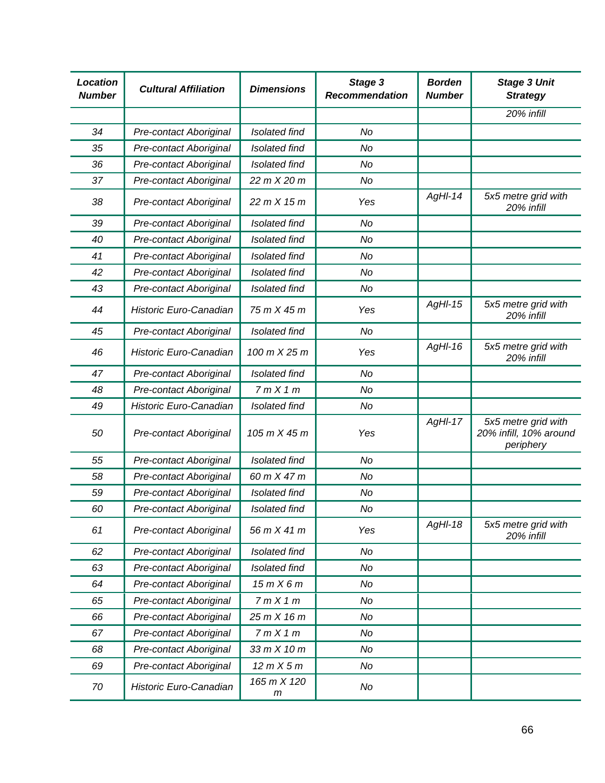| <b>Location</b><br><b>Number</b> | <b>Cultural Affiliation</b> | <b>Dimensions</b>    | Stage 3<br>Recommendation | <b>Borden</b><br><b>Number</b> | <b>Stage 3 Unit</b><br><b>Strategy</b>                     |
|----------------------------------|-----------------------------|----------------------|---------------------------|--------------------------------|------------------------------------------------------------|
|                                  |                             |                      |                           |                                | 20% infill                                                 |
| 34                               | Pre-contact Aboriginal      | Isolated find        | No                        |                                |                                                            |
| 35                               | Pre-contact Aboriginal      | Isolated find        | No                        |                                |                                                            |
| 36                               | Pre-contact Aboriginal      | Isolated find        | No                        |                                |                                                            |
| 37                               | Pre-contact Aboriginal      | 22 m X 20 m          | No                        |                                |                                                            |
| 38                               | Pre-contact Aboriginal      | 22 m X 15 m          | Yes                       | $AgHI-14$                      | 5x5 metre grid with<br>20% infill                          |
| 39                               | Pre-contact Aboriginal      | <b>Isolated find</b> | No                        |                                |                                                            |
| 40                               | Pre-contact Aboriginal      | Isolated find        | No                        |                                |                                                            |
| 41                               | Pre-contact Aboriginal      | Isolated find        | No                        |                                |                                                            |
| 42                               | Pre-contact Aboriginal      | Isolated find        | No                        |                                |                                                            |
| 43                               | Pre-contact Aboriginal      | Isolated find        | No                        |                                |                                                            |
| 44                               | Historic Euro-Canadian      | 75 m X 45 m          | Yes                       | $AgHI-15$                      | 5x5 metre grid with<br>20% infill                          |
| 45                               | Pre-contact Aboriginal      | <b>Isolated find</b> | No                        |                                |                                                            |
| 46                               | Historic Euro-Canadian      | 100 m X 25 m         | Yes                       | $AgH-I6$                       | 5x5 metre grid with<br>20% infill                          |
| 47                               | Pre-contact Aboriginal      | Isolated find        | No                        |                                |                                                            |
| 48                               | Pre-contact Aboriginal      | 7mX1m                | No                        |                                |                                                            |
| 49                               | Historic Euro-Canadian      | <b>Isolated find</b> | No                        |                                |                                                            |
| 50                               | Pre-contact Aboriginal      | 105 m X 45 m         | Yes                       | $AgHI-17$                      | 5x5 metre grid with<br>20% infill, 10% around<br>periphery |
| 55                               | Pre-contact Aboriginal      | <b>Isolated find</b> | No                        |                                |                                                            |
| 58                               | Pre-contact Aboriginal      | 60 m X 47 m          | No                        |                                |                                                            |
| 59                               | Pre-contact Aboriginal      | Isolated find        | No                        |                                |                                                            |
| 60                               | Pre-contact Aboriginal      | Isolated find        | No                        |                                |                                                            |
| 61                               | Pre-contact Aboriginal      | 56 m X 41 m          | Yes                       | AgHI-18                        | 5x5 metre grid with<br>20% infill                          |
| 62                               | Pre-contact Aboriginal      | Isolated find        | No                        |                                |                                                            |
| 63                               | Pre-contact Aboriginal      | Isolated find        | No                        |                                |                                                            |
| 64                               | Pre-contact Aboriginal      | 15mX6m               | No                        |                                |                                                            |
| 65                               | Pre-contact Aboriginal      | 7mX1m                | No                        |                                |                                                            |
| 66                               | Pre-contact Aboriginal      | 25 m X 16 m          | No                        |                                |                                                            |
| 67                               | Pre-contact Aboriginal      | 7mX1m                | No                        |                                |                                                            |
| 68                               | Pre-contact Aboriginal      | 33 m X 10 m          | No                        |                                |                                                            |
| 69                               | Pre-contact Aboriginal      | 12 m X 5 m           | No                        |                                |                                                            |
| 70                               | Historic Euro-Canadian      | 165 m X 120<br>m     | No                        |                                |                                                            |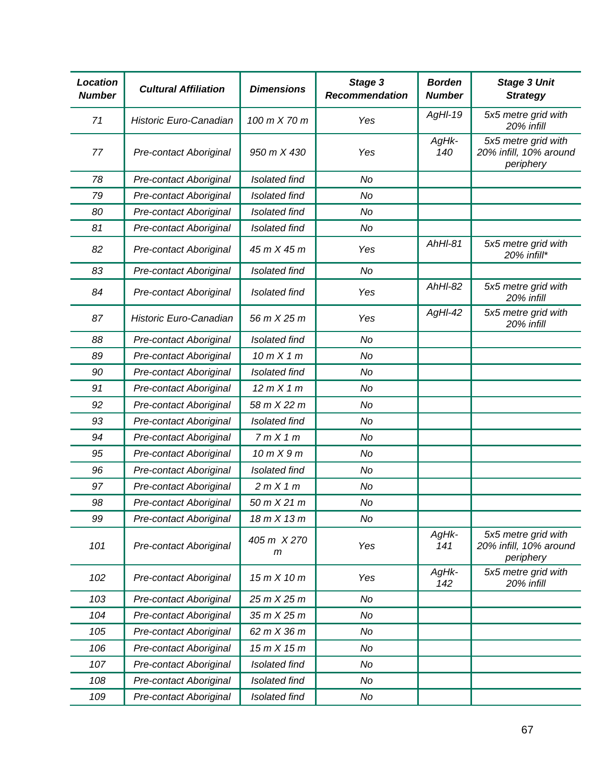| <b>Location</b><br><b>Number</b> | <b>Cultural Affiliation</b> | <b>Dimensions</b>    | Stage 3<br><b>Recommendation</b> | <b>Borden</b><br><b>Number</b> | <b>Stage 3 Unit</b><br><b>Strategy</b>                     |
|----------------------------------|-----------------------------|----------------------|----------------------------------|--------------------------------|------------------------------------------------------------|
| 71                               | Historic Euro-Canadian      | 100 m X 70 m         | Yes                              | AgHI-19                        | 5x5 metre grid with<br>20% infill                          |
| 77                               | Pre-contact Aboriginal      | 950 m X 430          | Yes                              | AgHk-<br>140                   | 5x5 metre grid with<br>20% infill, 10% around<br>periphery |
| 78                               | Pre-contact Aboriginal      | <b>Isolated find</b> | No                               |                                |                                                            |
| 79                               | Pre-contact Aboriginal      | <b>Isolated find</b> | <b>No</b>                        |                                |                                                            |
| 80                               | Pre-contact Aboriginal      | <b>Isolated find</b> | No                               |                                |                                                            |
| 81                               | Pre-contact Aboriginal      | Isolated find        | <b>No</b>                        |                                |                                                            |
| 82                               | Pre-contact Aboriginal      | 45 m X 45 m          | Yes                              | AhHI-81                        | 5x5 metre grid with<br>20% infill*                         |
| 83                               | Pre-contact Aboriginal      | <b>Isolated find</b> | No                               |                                |                                                            |
| 84                               | Pre-contact Aboriginal      | <b>Isolated find</b> | Yes                              | $AhHI-82$                      | 5x5 metre grid with<br>20% infill                          |
| 87                               | Historic Euro-Canadian      | 56 m X 25 m          | Yes                              | AgHI-42                        | 5x5 metre grid with<br>20% infill                          |
| 88                               | Pre-contact Aboriginal      | <b>Isolated find</b> | No                               |                                |                                                            |
| 89                               | Pre-contact Aboriginal      | 10 m X 1 m           | <b>No</b>                        |                                |                                                            |
| 90                               | Pre-contact Aboriginal      | <b>Isolated find</b> | No                               |                                |                                                            |
| 91                               | Pre-contact Aboriginal      | 12 m X 1 m           | <b>No</b>                        |                                |                                                            |
| 92                               | Pre-contact Aboriginal      | 58 m X 22 m          | No                               |                                |                                                            |
| 93                               | Pre-contact Aboriginal      | <b>Isolated find</b> | <b>No</b>                        |                                |                                                            |
| 94                               | Pre-contact Aboriginal      | 7mX1m                | No                               |                                |                                                            |
| 95                               | Pre-contact Aboriginal      | 10 m X 9 m           | No                               |                                |                                                            |
| 96                               | Pre-contact Aboriginal      | <b>Isolated find</b> | No                               |                                |                                                            |
| 97                               | Pre-contact Aboriginal      | 2mX1m                | No                               |                                |                                                            |
| 98                               | Pre-contact Aboriginal      | 50 m X 21 m          | No                               |                                |                                                            |
| 99                               | Pre-contact Aboriginal      | 18 m X 13 m          | No                               |                                |                                                            |
| 101                              | Pre-contact Aboriginal      | 405 m X 270<br>m     | Yes                              | AgHk-<br>141                   | 5x5 metre grid with<br>20% infill, 10% around<br>periphery |
| 102                              | Pre-contact Aboriginal      | 15 m X 10 m          | Yes                              | AgHk-<br>142                   | 5x5 metre grid with<br>20% infill                          |
| 103                              | Pre-contact Aboriginal      | 25 m X 25 m          | No                               |                                |                                                            |
| 104                              | Pre-contact Aboriginal      | 35 m X 25 m          | No                               |                                |                                                            |
| 105                              | Pre-contact Aboriginal      | 62 m X 36 m          | No                               |                                |                                                            |
| 106                              | Pre-contact Aboriginal      | 15mX15m              | No                               |                                |                                                            |
| 107                              | Pre-contact Aboriginal      | Isolated find        | No                               |                                |                                                            |
| 108                              | Pre-contact Aboriginal      | Isolated find        | No                               |                                |                                                            |
| 109                              | Pre-contact Aboriginal      | Isolated find        | No                               |                                |                                                            |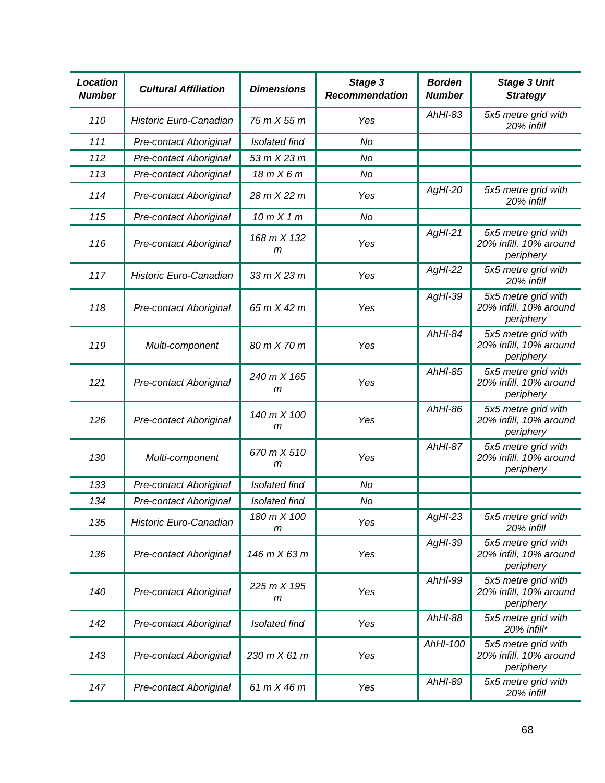| <b>Location</b><br><b>Number</b> | <b>Cultural Affiliation</b>   | <b>Dimensions</b>          | Stage 3<br><b>Recommendation</b> | <b>Borden</b><br><b>Number</b> | <b>Stage 3 Unit</b><br><b>Strategy</b>                     |
|----------------------------------|-------------------------------|----------------------------|----------------------------------|--------------------------------|------------------------------------------------------------|
| 110                              | Historic Euro-Canadian        | 75 m X 55 m                | Yes                              | $AhHI-83$                      | 5x5 metre grid with<br>20% infill                          |
| 111                              | Pre-contact Aboriginal        | <b>Isolated find</b>       | <b>No</b>                        |                                |                                                            |
| 112                              | Pre-contact Aboriginal        | 53 m X 23 m                | <b>No</b>                        |                                |                                                            |
| 113                              | Pre-contact Aboriginal        | 18mX6m                     | No                               |                                |                                                            |
| 114                              | Pre-contact Aboriginal        | 28 m X 22 m                | Yes                              | AgHI-20                        | 5x5 metre grid with<br>20% infill                          |
| 115                              | <b>Pre-contact Aboriginal</b> | 10 m X 1 m                 | <b>No</b>                        |                                |                                                            |
| 116                              | Pre-contact Aboriginal        | 168 m X 132<br>m           | Yes                              | $AgHI-21$                      | 5x5 metre grid with<br>20% infill, 10% around<br>periphery |
| 117                              | Historic Euro-Canadian        | $33$ m $X$ 23 m            | Yes                              | $AgHI-22$                      | 5x5 metre grid with<br>20% infill                          |
| 118                              | Pre-contact Aboriginal        | 65 m X 42 m                | Yes                              | AgHI-39                        | 5x5 metre grid with<br>20% infill, 10% around<br>periphery |
| 119                              | Multi-component               | 80 m X 70 m                | Yes                              | AhHI-84                        | 5x5 metre grid with<br>20% infill, 10% around<br>periphery |
| 121                              | Pre-contact Aboriginal        | 240 m X 165<br>m           | Yes                              | $AhHI-85$                      | 5x5 metre grid with<br>20% infill, 10% around<br>periphery |
| 126                              | Pre-contact Aboriginal        | 140 m X 100<br>m           | Yes                              | AhHI-86                        | 5x5 metre grid with<br>20% infill, 10% around<br>periphery |
| 130                              | Multi-component               | 670 m X 510<br>m           | Yes                              | AhHI-87                        | 5x5 metre grid with<br>20% infill, 10% around<br>periphery |
| 133                              | Pre-contact Aboriginal        | <b>Isolated find</b>       | No                               |                                |                                                            |
| 134                              | Pre-contact Aboriginal        | <b>Isolated find</b>       | No                               |                                |                                                            |
| 135                              | Historic Euro-Canadian        | 180 m X 100<br>m           | Yes                              | $AgHI-23$                      | 5x5 metre grid with<br>20% infill                          |
| 136                              | Pre-contact Aboriginal        | 146 m X 63 m               | Yes                              | AgHI-39                        | 5x5 metre grid with<br>20% infill, 10% around<br>periphery |
| 140                              | Pre-contact Aboriginal        | $225 \, m \times 195$<br>m | Yes                              | AhHI-99                        | 5x5 metre grid with<br>20% infill, 10% around<br>periphery |
| 142                              | Pre-contact Aboriginal        | <b>Isolated find</b>       | Yes                              | AhHI-88                        | 5x5 metre grid with<br>$20\%$ infill*                      |
| 143                              | Pre-contact Aboriginal        | 230 m X 61 m               | Yes                              | AhHI-100                       | 5x5 metre grid with<br>20% infill, 10% around<br>periphery |
| 147                              | Pre-contact Aboriginal        | 61 m X 46 m                | Yes                              | AhHI-89                        | 5x5 metre grid with<br>20% infill                          |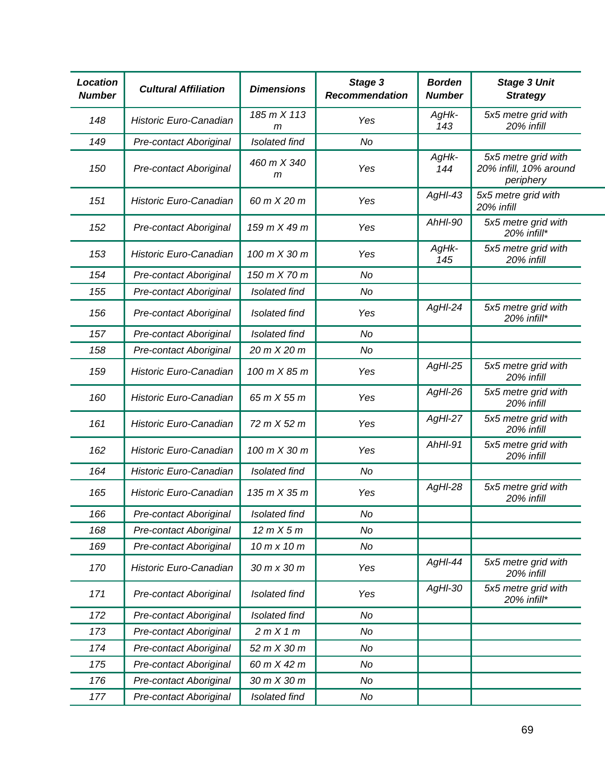| <b>Location</b><br><b>Number</b> | <b>Cultural Affiliation</b>   | <b>Dimensions</b>    | Stage 3<br><b>Recommendation</b> | <b>Borden</b><br><b>Number</b> | <b>Stage 3 Unit</b><br><b>Strategy</b>                     |
|----------------------------------|-------------------------------|----------------------|----------------------------------|--------------------------------|------------------------------------------------------------|
| 148                              | Historic Euro-Canadian        | 185 m X 113<br>m     | Yes                              | AgHk-<br>143                   | 5x5 metre grid with<br>20% infill                          |
| 149                              | Pre-contact Aboriginal        | <b>Isolated find</b> | No                               |                                |                                                            |
| 150                              | Pre-contact Aboriginal        | 460 m X 340<br>m     | Yes                              | AgHk-<br>144                   | 5x5 metre grid with<br>20% infill, 10% around<br>periphery |
| 151                              | <b>Historic Euro-Canadian</b> | 60 m X 20 m          | Yes                              | $AgHI-43$                      | 5x5 metre grid with<br>20% infill                          |
| 152                              | Pre-contact Aboriginal        | 159 m X 49 m         | Yes                              | AhHI-90                        | 5x5 metre grid with<br>20% infill*                         |
| 153                              | Historic Euro-Canadian        | 100 m X 30 m         | Yes                              | AgHk-<br>145                   | 5x5 metre grid with<br>20% infill                          |
| 154                              | Pre-contact Aboriginal        | 150 m X 70 m         | No                               |                                |                                                            |
| 155                              | Pre-contact Aboriginal        | <b>Isolated find</b> | No                               |                                |                                                            |
| 156                              | Pre-contact Aboriginal        | Isolated find        | Yes                              | $AgHI-24$                      | 5x5 metre grid with<br>20% infill*                         |
| 157                              | Pre-contact Aboriginal        | <b>Isolated find</b> | No                               |                                |                                                            |
| 158                              | <b>Pre-contact Aboriginal</b> | 20 m X 20 m          | No                               |                                |                                                            |
| 159                              | Historic Euro-Canadian        | 100 m X 85 m         | Yes                              | AgHI-25                        | 5x5 metre grid with<br>20% infill                          |
| 160                              | Historic Euro-Canadian        | 65 m X 55 m          | Yes                              | $AgHI-26$                      | 5x5 metre grid with<br>20% infill                          |
| 161                              | Historic Euro-Canadian        | 72 m X 52 m          | Yes                              | $AgHI-27$                      | 5x5 metre grid with<br>20% infill                          |
| 162                              | Historic Euro-Canadian        | 100 m X 30 m         | Yes                              | AhHI-91                        | 5x5 metre grid with<br>20% infill                          |
| 164                              | Historic Euro-Canadian        | Isolated find        | No                               |                                |                                                            |
| 165                              | Historic Euro-Canadian        | 135 m X 35 m         | Yes                              | AgHI-28                        | 5x5 metre grid with<br>20% infill                          |
| 166                              | Pre-contact Aboriginal        | Isolated find        | No                               |                                |                                                            |
| 168                              | <b>Pre-contact Aboriginal</b> | 12 m X 5 m           | No                               |                                |                                                            |
| 169                              | <b>Pre-contact Aboriginal</b> | 10 m x 10 m          | No                               |                                |                                                            |
| 170                              | Historic Euro-Canadian        | 30 m x 30 m          | Yes                              | AgHI-44                        | 5x5 metre grid with<br>20% infill                          |
| 171                              | Pre-contact Aboriginal        | Isolated find        | Yes                              | AgHI-30                        | 5x5 metre grid with<br>20% infill*                         |
| 172                              | <b>Pre-contact Aboriginal</b> | Isolated find        | No                               |                                |                                                            |
| 173                              | Pre-contact Aboriginal        | 2mX1m                | No                               |                                |                                                            |
| 174                              | <b>Pre-contact Aboriginal</b> | 52 m X 30 m          | No                               |                                |                                                            |
| 175                              | <b>Pre-contact Aboriginal</b> | 60 m X 42 m          | No                               |                                |                                                            |
| 176                              | <b>Pre-contact Aboriginal</b> | 30 m X 30 m          | No                               |                                |                                                            |
| 177                              | <b>Pre-contact Aboriginal</b> | Isolated find        | No                               |                                |                                                            |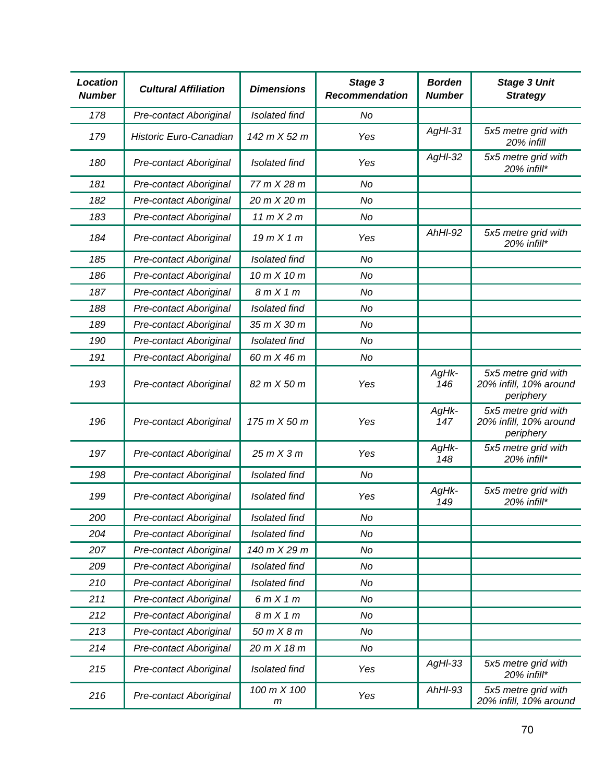| <b>Location</b><br><b>Number</b> | <b>Cultural Affiliation</b>   | <b>Dimensions</b>           | Stage 3<br><b>Recommendation</b> | <b>Borden</b><br><b>Number</b> | <b>Stage 3 Unit</b><br><b>Strategy</b>                     |
|----------------------------------|-------------------------------|-----------------------------|----------------------------------|--------------------------------|------------------------------------------------------------|
| 178                              | Pre-contact Aboriginal        | Isolated find               | No                               |                                |                                                            |
| 179                              | Historic Euro-Canadian        | 142 m X 52 m                | Yes                              | $AgH-31$                       | 5x5 metre grid with<br>20% infill                          |
| 180                              | Pre-contact Aboriginal        | <b>Isolated find</b>        | Yes                              | $AgHI-32$                      | 5x5 metre grid with<br>20% infill*                         |
| 181                              | Pre-contact Aboriginal        | 77 m X 28 m                 | No                               |                                |                                                            |
| 182                              | Pre-contact Aboriginal        | 20 m X 20 m                 | No                               |                                |                                                            |
| 183                              | Pre-contact Aboriginal        | 11 m X 2 m                  | No                               |                                |                                                            |
| 184                              | Pre-contact Aboriginal        | 19mX1m                      | Yes                              | $AhHI-92$                      | 5x5 metre grid with<br>20% infill*                         |
| 185                              | Pre-contact Aboriginal        | <b>Isolated find</b>        | <b>No</b>                        |                                |                                                            |
| 186                              | Pre-contact Aboriginal        | 10 m X 10 m                 | No                               |                                |                                                            |
| 187                              | Pre-contact Aboriginal        | 8mX1m                       | No                               |                                |                                                            |
| 188                              | Pre-contact Aboriginal        | <b>Isolated find</b>        | No                               |                                |                                                            |
| 189                              | Pre-contact Aboriginal        | 35 m X 30 m                 | No                               |                                |                                                            |
| 190                              | Pre-contact Aboriginal        | Isolated find               | No                               |                                |                                                            |
| 191                              | Pre-contact Aboriginal        | 60 m X 46 m                 | No                               |                                |                                                            |
| 193                              | Pre-contact Aboriginal        | 82 m X 50 m                 | Yes                              | AgHk-<br>146                   | 5x5 metre grid with<br>20% infill, 10% around<br>periphery |
| 196                              | Pre-contact Aboriginal        | 175 m X 50 m                | Yes                              | AgHk-<br>147                   | 5x5 metre grid with<br>20% infill, 10% around<br>periphery |
| 197                              | Pre-contact Aboriginal        | 25mX3m                      | Yes                              | AgHk-<br>148                   | 5x5 metre grid with<br>20% infill*                         |
| 198                              | Pre-contact Aboriginal        | Isolated find               | No                               |                                |                                                            |
| 199                              | Pre-contact Aboriginal        | <b>Isolated find</b>        | Yes                              | AgHk-<br>149                   | 5x5 metre grid with<br>20% infill*                         |
| 200                              | <b>Pre-contact Aboriginal</b> | Isolated find               | No                               |                                |                                                            |
| 204                              | Pre-contact Aboriginal        | Isolated find               | No                               |                                |                                                            |
| 207                              | Pre-contact Aboriginal        | 140 m X 29 m                | No                               |                                |                                                            |
| 209                              | Pre-contact Aboriginal        | Isolated find               | No                               |                                |                                                            |
| 210                              | Pre-contact Aboriginal        | Isolated find               | No                               |                                |                                                            |
| 211                              | Pre-contact Aboriginal        | 6mX1m                       | No                               |                                |                                                            |
| 212                              | Pre-contact Aboriginal        | 8mX1m                       | No                               |                                |                                                            |
| 213                              | Pre-contact Aboriginal        | $50$ m $X$ $8$ m            | No                               |                                |                                                            |
| 214                              | Pre-contact Aboriginal        | 20 m X 18 m                 | No                               |                                |                                                            |
| 215                              | Pre-contact Aboriginal        | Isolated find               | Yes                              | $AgHI-33$                      | 5x5 metre grid with<br>20% infill*                         |
| 216                              | Pre-contact Aboriginal        | 100 m X 100<br>$\mathsf{m}$ | Yes                              | AhHI-93                        | 5x5 metre grid with<br>20% infill, 10% around              |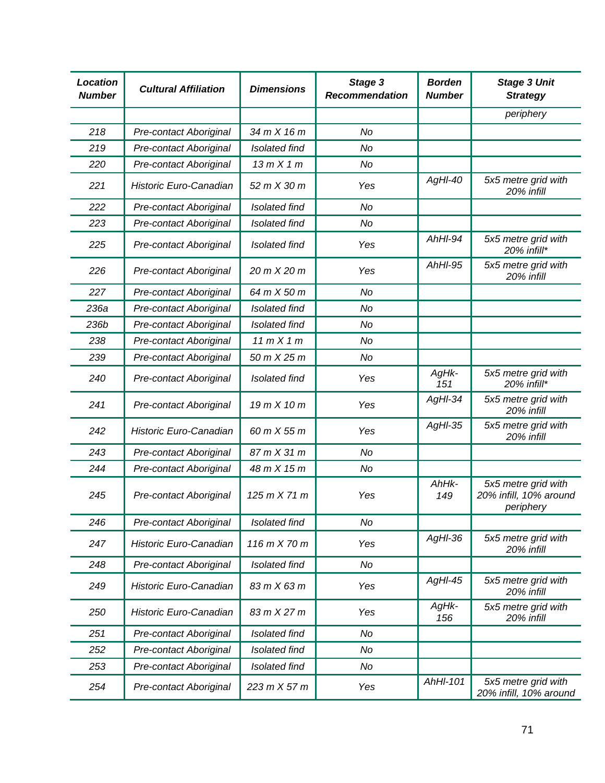| <b>Location</b><br><b>Number</b> | <b>Cultural Affiliation</b>   | <b>Dimensions</b>    | Stage 3<br><b>Recommendation</b> | <b>Borden</b><br><b>Number</b> | <b>Stage 3 Unit</b><br><b>Strategy</b>                     |
|----------------------------------|-------------------------------|----------------------|----------------------------------|--------------------------------|------------------------------------------------------------|
|                                  |                               |                      |                                  |                                | periphery                                                  |
| 218                              | Pre-contact Aboriginal        | 34 m X 16 m          | <b>No</b>                        |                                |                                                            |
| 219                              | Pre-contact Aboriginal        | <b>Isolated find</b> | No                               |                                |                                                            |
| 220                              | <b>Pre-contact Aboriginal</b> | 13mX1m               | No                               |                                |                                                            |
| 221                              | Historic Euro-Canadian        | 52 m X 30 m          | Yes                              | AgHI-40                        | 5x5 metre grid with<br>20% infill                          |
| 222                              | Pre-contact Aboriginal        | <b>Isolated find</b> | <b>No</b>                        |                                |                                                            |
| 223                              | Pre-contact Aboriginal        | Isolated find        | No                               |                                |                                                            |
| 225                              | Pre-contact Aboriginal        | Isolated find        | Yes                              | AhHI-94                        | 5x5 metre grid with<br>20% infill*                         |
| 226                              | <b>Pre-contact Aboriginal</b> | 20 m X 20 m          | Yes                              | AhHI-95                        | 5x5 metre grid with<br>20% infill                          |
| 227                              | Pre-contact Aboriginal        | 64 m X 50 m          | No                               |                                |                                                            |
| 236a                             | Pre-contact Aboriginal        | <b>Isolated find</b> | No                               |                                |                                                            |
| 236b                             | Pre-contact Aboriginal        | <b>Isolated find</b> | No                               |                                |                                                            |
| 238                              | <b>Pre-contact Aboriginal</b> | 11 m X 1 m           | No                               |                                |                                                            |
| 239                              | Pre-contact Aboriginal        | 50 m X 25 m          | No                               |                                |                                                            |
| 240                              | Pre-contact Aboriginal        | <b>Isolated find</b> | Yes                              | AgHk-<br>151                   | 5x5 metre grid with<br>20% infill*                         |
| 241                              | Pre-contact Aboriginal        | 19 m X 10 m          | Yes                              | AgHI-34                        | 5x5 metre grid with<br>20% infill                          |
| 242                              | Historic Euro-Canadian        | 60 m X 55 m          | Yes                              | $AgHI-35$                      | 5x5 metre grid with<br>20% infill                          |
| 243                              | Pre-contact Aboriginal        | 87 m X 31 m          | No                               |                                |                                                            |
| 244                              | Pre-contact Aboriginal        | 48 m X 15 m          | No                               |                                |                                                            |
| 245                              | Pre-contact Aboriginal        | 125 m X 71 m         | Yes                              | AhHk-<br>149                   | 5x5 metre grid with<br>20% infill, 10% around<br>periphery |
| 246                              | Pre-contact Aboriginal        | Isolated find        | No                               |                                |                                                            |
| 247                              | Historic Euro-Canadian        | 116 m X 70 m         | Yes                              | $AgHI-36$                      | 5x5 metre grid with<br>20% infill                          |
| 248                              | Pre-contact Aboriginal        | Isolated find        | No                               |                                |                                                            |
| 249                              | Historic Euro-Canadian        | 83 m X 63 m          | Yes                              | $AgHI-45$                      | 5x5 metre grid with<br>20% infill                          |
| 250                              | Historic Euro-Canadian        | 83 m X 27 m          | Yes                              | AgHk-<br>156                   | 5x5 metre grid with<br>20% infill                          |
| 251                              | Pre-contact Aboriginal        | <b>Isolated find</b> | No                               |                                |                                                            |
| 252                              | <b>Pre-contact Aboriginal</b> | Isolated find        | No                               |                                |                                                            |
| 253                              | Pre-contact Aboriginal        | Isolated find        | No                               |                                |                                                            |
| 254                              | <b>Pre-contact Aboriginal</b> | 223 m X 57 m         | Yes                              | AhHI-101                       | 5x5 metre grid with<br>20% infill, 10% around              |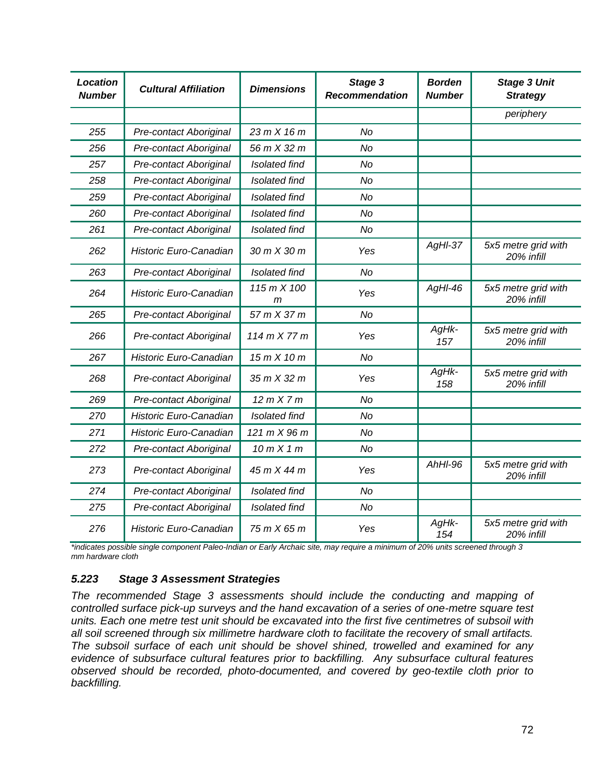| <b>Location</b><br><b>Number</b> | <b>Cultural Affiliation</b>   | <b>Dimensions</b>           | Stage 3<br><b>Recommendation</b> | <b>Borden</b><br><b>Number</b> | <b>Stage 3 Unit</b><br><b>Strategy</b> |
|----------------------------------|-------------------------------|-----------------------------|----------------------------------|--------------------------------|----------------------------------------|
|                                  |                               |                             |                                  |                                | periphery                              |
| 255                              | Pre-contact Aboriginal        | 23 m X 16 m                 | <b>No</b>                        |                                |                                        |
| 256                              | Pre-contact Aboriginal        | 56 m X 32 m                 | <b>No</b>                        |                                |                                        |
| 257                              | Pre-contact Aboriginal        | <b>Isolated find</b>        | No                               |                                |                                        |
| 258                              | Pre-contact Aboriginal        | <b>Isolated find</b>        | <b>No</b>                        |                                |                                        |
| 259                              | Pre-contact Aboriginal        | <b>Isolated find</b>        | No                               |                                |                                        |
| 260                              | Pre-contact Aboriginal        | <b>Isolated find</b>        | <b>No</b>                        |                                |                                        |
| 261                              | <b>Pre-contact Aboriginal</b> | Isolated find               | No                               |                                |                                        |
| 262                              | Historic Euro-Canadian        | 30 m X 30 m                 | Yes                              | $AgHI-37$                      | 5x5 metre grid with<br>20% infill      |
| 263                              | Pre-contact Aboriginal        | <b>Isolated find</b>        | <b>No</b>                        |                                |                                        |
| 264                              | Historic Euro-Canadian        | 115 m X 100<br>$\mathsf{m}$ | Yes                              | $AgHI-46$                      | 5x5 metre grid with<br>20% infill      |
| 265                              | Pre-contact Aboriginal        | 57 m X 37 m                 | <b>No</b>                        |                                |                                        |
| 266                              | Pre-contact Aboriginal        | 114 m X 77 m                | Yes                              | AgHk-<br>157                   | 5x5 metre grid with<br>20% infill      |
| 267                              | Historic Euro-Canadian        | 15 m X 10 m                 | <b>No</b>                        |                                |                                        |
| 268                              | Pre-contact Aboriginal        | 35 m X 32 m                 | Yes                              | AgHk-<br>158                   | 5x5 metre grid with<br>20% infill      |
| 269                              | Pre-contact Aboriginal        | 12 m X 7 m                  | <b>No</b>                        |                                |                                        |
| 270                              | <b>Historic Euro-Canadian</b> | <b>Isolated find</b>        | <b>No</b>                        |                                |                                        |
| 271                              | Historic Euro-Canadian        | 121 m X 96 m                | <b>No</b>                        |                                |                                        |
| 272                              | Pre-contact Aboriginal        | 10mX1m                      | No                               |                                |                                        |
| 273                              | <b>Pre-contact Aboriginal</b> | 45 m X 44 m                 | Yes                              | $AhHI-96$                      | 5x5 metre grid with<br>20% infill      |
| 274                              | Pre-contact Aboriginal        | <b>Isolated find</b>        | <b>No</b>                        |                                |                                        |
| 275                              | Pre-contact Aboriginal        | <b>Isolated find</b>        | <b>No</b>                        |                                |                                        |
| 276                              | Historic Euro-Canadian        | 75 m X 65 m                 | Yes                              | AgHk-<br>154                   | 5x5 metre grid with<br>20% infill      |

*\*indicates possible single component Paleo-Indian or Early Archaic site, may require a minimum of 20% units screened through 3 mm hardware cloth*

## *5.223 Stage 3 Assessment Strategies*

*The recommended Stage 3 assessments should include the conducting and mapping of controlled surface pick-up surveys and the hand excavation of a series of one-metre square test units. Each one metre test unit should be excavated into the first five centimetres of subsoil with all soil screened through six millimetre hardware cloth to facilitate the recovery of small artifacts. The subsoil surface of each unit should be shovel shined, trowelled and examined for any evidence of subsurface cultural features prior to backfilling. Any subsurface cultural features observed should be recorded, photo-documented, and covered by geo-textile cloth prior to backfilling.*